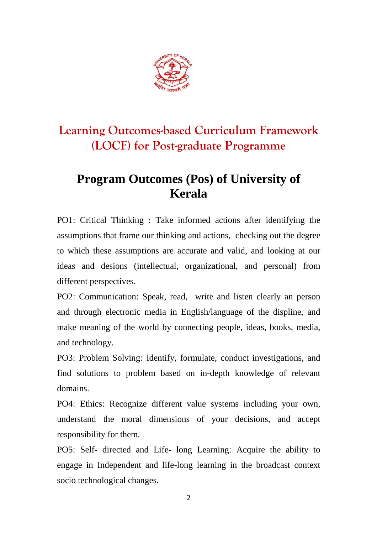

# **Learning Outcomes-based Curriculum Framework (LOCF) for Post-graduate Programme**

# **Program Outcomes (Pos) of University of Kerala**

PO1: Critical Thinking : Take informed actions after identifying the assumptions that frame our thinking and actions, checking out the degree to which these assumptions are accurate and valid, and looking at our ideas and desions (intellectual, organizational, and personal) from different perspectives.

PO2: Communication: Speak, read, write and listen clearly an person and through electronic media in English/language of the displine, and make meaning of the world by connecting people, ideas, books, media, and technology.

PO3: Problem Solving: Identify, formulate, conduct investigations, and find solutions to problem based on in-depth knowledge of relevant domains.

PO4: Ethics: Recognize different value systems including your own, understand the moral dimensions of your decisions, and accept responsibility for them.

PO5: Self- directed and Life- long Learning: Acquire the ability to engage in Independent and life-long learning in the broadcast context socio technological changes.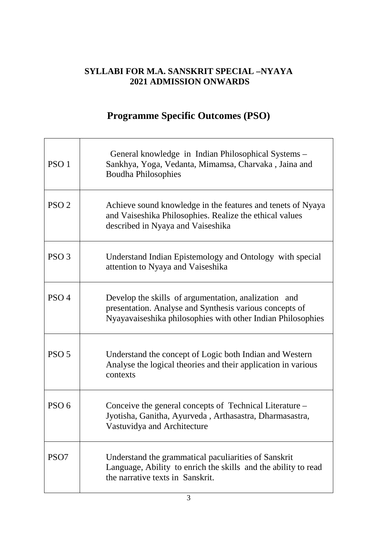# **SYLLABI FOR M.A. SANSKRIT SPECIAL –NYAYA 2021 ADMISSION ONWARDS**

# **Programme Specific Outcomes (PSO)**

| PSO <sub>1</sub> | General knowledge in Indian Philosophical Systems -<br>Sankhya, Yoga, Vedanta, Mimamsa, Charvaka, Jaina and<br><b>Boudha Philosophies</b>                                      |
|------------------|--------------------------------------------------------------------------------------------------------------------------------------------------------------------------------|
| PSO <sub>2</sub> | Achieve sound knowledge in the features and tenets of Nyaya<br>and Vaiseshika Philosophies. Realize the ethical values<br>described in Nyaya and Vaiseshika                    |
| PSO <sub>3</sub> | Understand Indian Epistemology and Ontology with special<br>attention to Nyaya and Vaiseshika                                                                                  |
| PSO <sub>4</sub> | Develop the skills of argumentation, analization and<br>presentation. Analyse and Synthesis various concepts of<br>Nyayavaiseshika philosophies with other Indian Philosophies |
| PSO <sub>5</sub> | Understand the concept of Logic both Indian and Western<br>Analyse the logical theories and their application in various<br>contexts                                           |
| PSO <sub>6</sub> | Conceive the general concepts of Technical Literature –<br>Jyotisha, Ganitha, Ayurveda, Arthasastra, Dharmasastra,<br>Vastuvidya and Architecture                              |
| PSO <sub>7</sub> | Understand the grammatical paculiarities of Sanskrit<br>Language, Ability to enrich the skills and the ability to read<br>the narrative texts in Sanskrit.                     |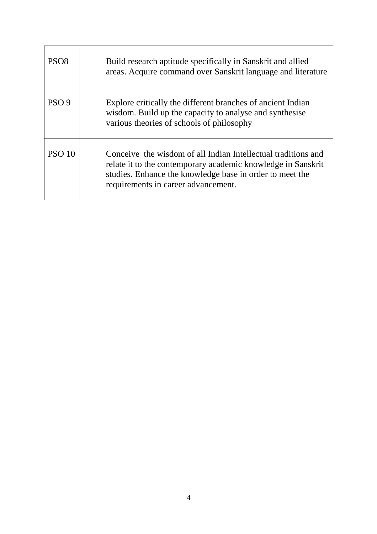| PSO <sub>8</sub> | Build research aptitude specifically in Sanskrit and allied<br>areas. Acquire command over Sanskrit language and literature                                                                                                      |
|------------------|----------------------------------------------------------------------------------------------------------------------------------------------------------------------------------------------------------------------------------|
| PSO <sub>9</sub> | Explore critically the different branches of ancient Indian<br>wisdom. Build up the capacity to analyse and synthesise<br>various theories of schools of philosophy                                                              |
| <b>PSO 10</b>    | Conceive the wisdom of all Indian Intellectual traditions and<br>relate it to the contemporary academic knowledge in Sanskrit<br>studies. Enhance the knowledge base in order to meet the<br>requirements in career advancement. |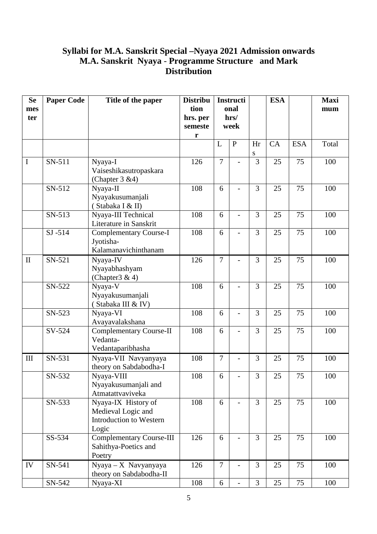#### **Syllabi for M.A. Sanskrit Special –Nyaya 2021 Admission onwards M.A. Sanskrit Nyaya** - **Programme Structure and Mark Distribution**

| <b>Se</b>    | <b>Paper Code</b> | Title of the paper              | <b>Distribu</b> |                | <b>Instructi</b>         |                | <b>ESA</b> |            | <b>Maxi</b> |
|--------------|-------------------|---------------------------------|-----------------|----------------|--------------------------|----------------|------------|------------|-------------|
| mes          |                   |                                 | tion            |                | onal                     |                |            |            | mum         |
| ter          |                   |                                 | hrs. per        |                | hrs/<br>week             |                |            |            |             |
|              |                   |                                 | semeste         |                |                          |                |            |            |             |
|              |                   |                                 | r               |                |                          |                |            |            |             |
|              |                   |                                 |                 | L              | $\mathbf{P}$             | Hr             | CA         | <b>ESA</b> | Total       |
|              |                   |                                 |                 |                |                          | S              |            |            |             |
| I            | SN-511            | Nyaya-I                         | 126             | $\overline{7}$ |                          | 3              | 25         | 75         | 100         |
|              |                   | Vaiseshikasutropaskara          |                 |                |                          |                |            |            |             |
|              |                   | (Chapter $3 \& 4$ )             |                 |                |                          |                |            |            |             |
|              | SN-512            | Nyaya-II                        | 108             | 6              | $\overline{\phantom{a}}$ | 3              | 25         | 75         | 100         |
|              |                   | Nyayakusumanjali                |                 |                |                          |                |            |            |             |
|              |                   | (Stabaka I & II)                |                 |                |                          |                |            |            |             |
|              | SN-513            | Nyaya-III Technical             | 108             | 6              |                          | 3              | 25         | 75         | 100         |
|              |                   | Literature in Sanskrit          |                 |                |                          |                |            |            |             |
|              | $SJ - 514$        | <b>Complementary Course-I</b>   | 108             | 6              |                          | 3              | 25         | 75         | 100         |
|              |                   | Jyotisha-                       |                 |                |                          |                |            |            |             |
|              |                   | Kalamanavichinthanam            |                 |                |                          |                |            |            |             |
| $\mathbf{I}$ | SN-521            | Nyaya-IV                        | 126             | $\overline{7}$ |                          | 3              | 25         | 75         | 100         |
|              |                   | Nyayabhashyam                   |                 |                |                          |                |            |            |             |
|              |                   | (Chapter $3 & 4$ )              |                 |                |                          |                |            |            |             |
|              | SN-522            | Nyaya-V                         | 108             | 6              |                          | 3              | 25         | 75         | 100         |
|              |                   | Nyayakusumanjali                |                 |                |                          |                |            |            |             |
|              |                   | (Stabaka III & IV)              |                 |                |                          |                |            |            |             |
|              | SN-523            | Nyaya-VI                        | 108             | 6              |                          | 3              | 25         | 75         | 100         |
|              |                   | Avayavalakshana                 |                 |                |                          |                |            |            |             |
|              | SV-524            | <b>Complementary Course-II</b>  | 108             | 6              |                          | $\overline{3}$ | 25         | 75         | 100         |
|              |                   | Vedanta-                        |                 |                |                          |                |            |            |             |
|              |                   | Vedantaparibhasha               |                 |                |                          |                |            |            |             |
| $\rm III$    | SN-531            | Nyaya-VII Navyanyaya            | 108             | $\overline{7}$ |                          | 3              | 25         | 75         | 100         |
|              |                   | theory on Sabdabodha-I          |                 |                |                          |                |            |            |             |
|              | SN-532            | Nyaya-VIII                      | 108             | 6              |                          | 3              | 25         | 75         | 100         |
|              |                   | Nyayakusumanjali and            |                 |                |                          |                |            |            |             |
|              |                   | Atmatattvaviveka                |                 |                |                          |                |            |            |             |
|              | SN-533            | Nyaya-IX History of             | 108             | 6              |                          | 3              | 25         | 75         | 100         |
|              |                   | Medieval Logic and              |                 |                |                          |                |            |            |             |
|              |                   | Introduction to Western         |                 |                |                          |                |            |            |             |
|              |                   | Logic                           |                 |                |                          |                |            |            |             |
|              | SS-534            | <b>Complementary Course-III</b> | 126             | 6              |                          | $\overline{3}$ | 25         | 75         | 100         |
|              |                   | Sahithya-Poetics and            |                 |                |                          |                |            |            |             |
|              |                   | Poetry                          |                 |                |                          |                |            |            |             |
| IV           | SN-541            | Nyaya - X Navyanyaya            | 126             | $\overline{7}$ | $\overline{\phantom{a}}$ | $\overline{3}$ | 25         | 75         | 100         |
|              |                   | theory on Sabdabodha-II         |                 |                |                          |                |            |            |             |
|              | SN-542            | Nyaya-XI                        | 108             | 6              |                          | 3              | 25         | 75         | 100         |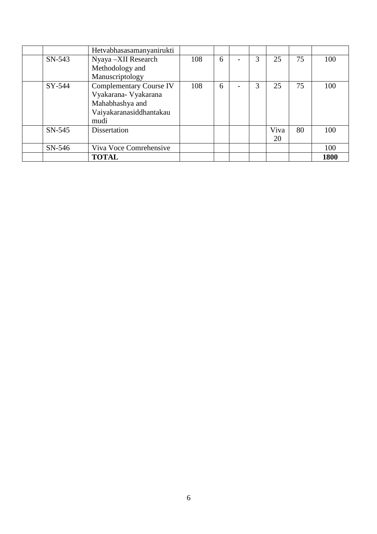|          | Hetvabhasasamanyanirukti       |     |   |   |      |    |      |
|----------|--------------------------------|-----|---|---|------|----|------|
| $SN-543$ | Nyaya -XII Research            | 108 | 6 | 3 | 25   | 75 | 100  |
|          | Methodology and                |     |   |   |      |    |      |
|          | Manuscriptology                |     |   |   |      |    |      |
| SY-544   | <b>Complementary Course IV</b> | 108 | 6 | 3 | 25   | 75 | 100  |
|          | Vyakarana- Vyakarana           |     |   |   |      |    |      |
|          | Mahabhashya and                |     |   |   |      |    |      |
|          | Vaiyakaranasiddhantakau        |     |   |   |      |    |      |
|          | mudi                           |     |   |   |      |    |      |
| $SN-545$ | <b>Dissertation</b>            |     |   |   | Viva | 80 | 100  |
|          |                                |     |   |   | 20   |    |      |
| $SN-546$ | Viva Voce Comrehensive         |     |   |   |      |    | 100  |
|          | <b>TOTAL</b>                   |     |   |   |      |    | 1800 |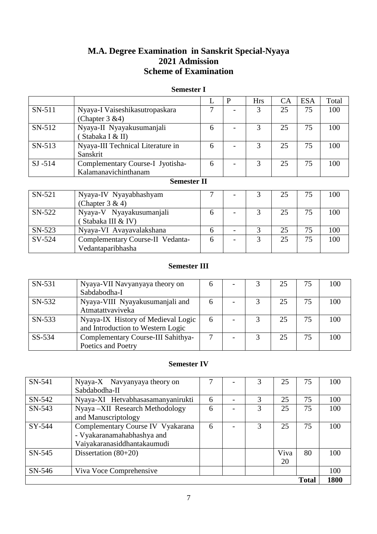# **M.A. Degree Examination in Sanskrit Special-Nyaya 2021 Admission Scheme of Examination**

#### **Semester I**

|            |                                   |   | $\mathbf{P}$ | <b>Hrs</b> | <b>CA</b> | <b>ESA</b> | Total |
|------------|-----------------------------------|---|--------------|------------|-----------|------------|-------|
| $SN-511$   | Nyaya-I Vaiseshikasutropaskara    | ⇁ |              |            | 25        | 75         | 100   |
|            | (Chapter $3 \& 4$ )               |   |              |            |           |            |       |
| $SN-512$   | Nyaya-II Nyayakusumanjali         | 6 |              |            | 25        | 75         | 100   |
|            | Stabaka I & II)                   |   |              |            |           |            |       |
| $SN-513$   | Nyaya-III Technical Literature in | 6 |              | 3          | 25        | 75         | 100   |
|            | Sanskrit                          |   |              |            |           |            |       |
| $SI - 514$ | Complementary Course-I Jyotisha-  | 6 |              |            | 25        | 75         | 100   |
|            | Kalamanavichinthanam              |   |              |            |           |            |       |

#### **Semester II**

| $SN-521$ | Nyaya-IV Nyayabhashyam           | − |  | 25 | 75 | 100 |
|----------|----------------------------------|---|--|----|----|-----|
|          | (Chapter $3 & 4$ )               |   |  |    |    |     |
| SN-522   | Nyaya-V Nyayakusumanjali         | h |  | 25 | 75 | 100 |
|          | Stabaka III & IV)                |   |  |    |    |     |
| $SN-523$ | Nyaya-VI Avayavalakshana         |   |  | 25 | 75 | 100 |
| SV-524   | Complementary Course-II Vedanta- |   |  | 25 | 75 | 100 |
|          | Vedantaparibhasha                |   |  |    |    |     |

#### **Semester III**

| SN-531   | Nyaya-VII Navyanyaya theory on<br>Sabdabodha-I |   |  | 25 | 75 | 100 |
|----------|------------------------------------------------|---|--|----|----|-----|
| SN-532   | Nyaya-VIII Nyayakusumanjali and                | 6 |  | 25 | 75 | 100 |
|          | Atmatattvaviveka                               |   |  |    |    |     |
| $SN-533$ | Nyaya-IX History of Medieval Logic             | 6 |  | 25 | 75 | 100 |
|          | and Introduction to Western Logic              |   |  |    |    |     |
| $SS-534$ | Complementary Course-III Sahithya-             | ⇁ |  | 25 | 75 | 100 |
|          | Poetics and Poetry                             |   |  |    |    |     |

#### **Semester IV**

| SN-541   | Nyaya-X Navyanyaya theory on      |   |   | 25   | 75           | 100  |
|----------|-----------------------------------|---|---|------|--------------|------|
|          | Sabdabodha-II                     |   |   |      |              |      |
| SN-542   | Nyaya-XI Hetvabhasasamanyanirukti | 6 | 3 | 25   | 75           | 100  |
| $SN-543$ | Nyaya -XII Research Methodology   | 6 | 3 | 25   | 75           | 100  |
|          | and Manuscriptology               |   |   |      |              |      |
| $SY-544$ | Complementary Course IV Vyakarana | 6 | 3 | 25   | 75           | 100  |
|          | - Vyakaranamahabhashya and        |   |   |      |              |      |
|          | Vaiyakaranasiddhantakaumudi       |   |   |      |              |      |
| $SN-545$ | Dissertation $(80+20)$            |   |   | Viva | 80           | 100  |
|          |                                   |   |   | 20   |              |      |
| SN-546   | Viva Voce Comprehensive           |   |   |      |              | 100  |
|          |                                   |   |   |      | <b>Total</b> | 1800 |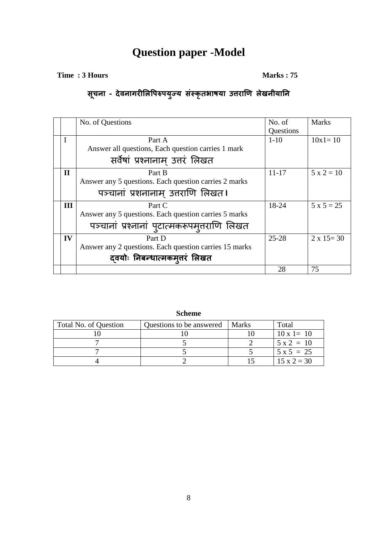# **Question paper -Model**

#### **Time : 3 Hours Marks : 75**

# सूचना - देवनागरीलिपिरुपयुज्य संस्कृतभाषया उत्तराणि लेखनीयानि

|              | No. of Questions                                       | No. of    | <b>Marks</b>       |
|--------------|--------------------------------------------------------|-----------|--------------------|
|              |                                                        | Questions |                    |
| I            | Part A                                                 | $1 - 10$  | $10x1 = 10$        |
|              | Answer all questions, Each question carries 1 mark     |           |                    |
|              | सर्वेषां प्रश्नानाम उत्तरं लिखत                        |           |                    |
| $\mathbf{I}$ | Part B                                                 | $11 - 17$ | $5 x 2 = 10$       |
|              | Answer any 5 questions. Each question carries 2 marks  |           |                    |
|              | पञ्चानां प्रशनानाम् उत्तराणि लिखत।                     |           |                    |
| III          | Part C                                                 | 18-24     | $5 \times 5 = 25$  |
|              | Answer any 5 questions. Each question carries 5 marks  |           |                    |
|              | पञ्चानां प्रश्नानां पुटात्मकरूपमृत्तराणि लिखत          |           |                    |
| IV           | Part D                                                 | $25 - 28$ | $2 \times 15 = 30$ |
|              | Answer any 2 questions. Each question carries 15 marks |           |                    |
|              | दवयोः निबन्धात्मकमूत्तरं लिखत                          |           |                    |
|              |                                                        | 28        | 75                 |

**Scheme** 

| Total No. of Question | Questions to be answered | Marks | Total              |
|-----------------------|--------------------------|-------|--------------------|
|                       |                          |       | $10 \times 1 = 10$ |
|                       |                          |       | $5 \times 2 = 10$  |
|                       |                          |       | $5 \times 5 = 25$  |
|                       |                          |       | $15 \times 2 = 30$ |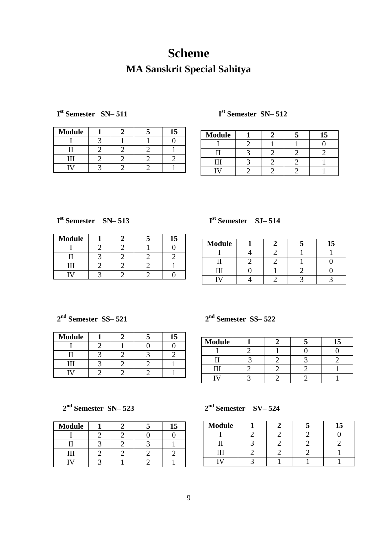# **Scheme MA Sanskrit Special Sahitya**

| <b>Module</b> |  |  |
|---------------|--|--|
|               |  |  |
|               |  |  |
|               |  |  |
|               |  |  |

### I<sup>st</sup> Semester SN– 512

| <b>Module</b> |  |  |
|---------------|--|--|
|               |  |  |
|               |  |  |
|               |  |  |
|               |  |  |

# $I<sup>st</sup>$  Semester SN-513

I<sup>st</sup> Semester SN-511

| <b>Module</b> |  |  |
|---------------|--|--|
|               |  |  |
|               |  |  |
|               |  |  |
|               |  |  |

| <b>Module</b> |  |  |
|---------------|--|--|
|               |  |  |
|               |  |  |
|               |  |  |
|               |  |  |

# 2<sup>nd</sup> Semester SS-521

| <b>Module</b> |  | 1 E<br>Ξ |
|---------------|--|----------|
|               |  |          |
|               |  |          |
|               |  |          |
|               |  |          |

# $2<sup>nd</sup>$  Semester SS– 522

**st Semester SN– 513 Ist Semester SJ– 514** 

| <b>Module</b> |  |  |
|---------------|--|--|
|               |  |  |
|               |  |  |
|               |  |  |
|               |  |  |

| <b>Module</b> |  |  |
|---------------|--|--|
|               |  |  |
|               |  |  |
|               |  |  |
|               |  |  |

# **2nd Semester SN– 523 2nd Semester SV– 524**

| <b>Module</b> |  |  |
|---------------|--|--|
|               |  |  |
|               |  |  |
|               |  |  |
|               |  |  |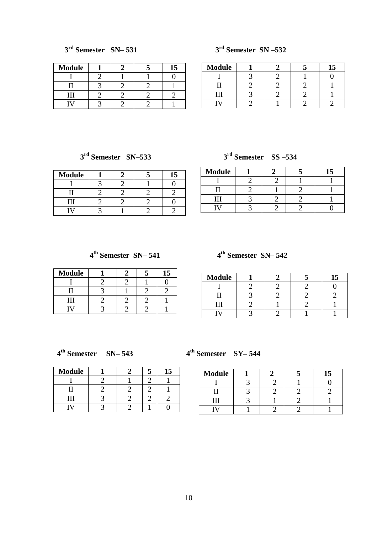# **3rd Semester SN– 531 3rd Semester SN –532**

| <b>Module</b> |  |  |
|---------------|--|--|
|               |  |  |
|               |  |  |
|               |  |  |
|               |  |  |

| <b>Module</b> |  |  |
|---------------|--|--|
|               |  |  |
|               |  |  |
|               |  |  |
|               |  |  |

# 3<sup>rd</sup> Semester SN-533

| <b>Module</b> |  | 15 |
|---------------|--|----|
|               |  |    |
|               |  |    |
| m             |  |    |
|               |  |    |

# **rd Semester SN–533 3rd Semester SS –534**

| <b>Module</b> |  | 15 |
|---------------|--|----|
|               |  |    |
|               |  |    |
|               |  |    |
|               |  |    |

# 4<sup>th</sup> Semester SN-541

| <b>Module</b> |  | E |
|---------------|--|---|
|               |  |   |
|               |  |   |
|               |  |   |
|               |  |   |

# **th Semester SN– 541 4th Semester SN– 542**

| <b>Module</b> |  |  |
|---------------|--|--|
|               |  |  |
|               |  |  |
|               |  |  |
|               |  |  |

# $4<sup>th</sup>$  Semester SN-543

**th Semester SN– 543 4th Semester SY– 544** 

| <b>Module</b> |  | 15 |
|---------------|--|----|
|               |  |    |
|               |  |    |
|               |  |    |
|               |  |    |

| <b>Module</b> |  |  |
|---------------|--|--|
|               |  |  |
|               |  |  |
|               |  |  |
|               |  |  |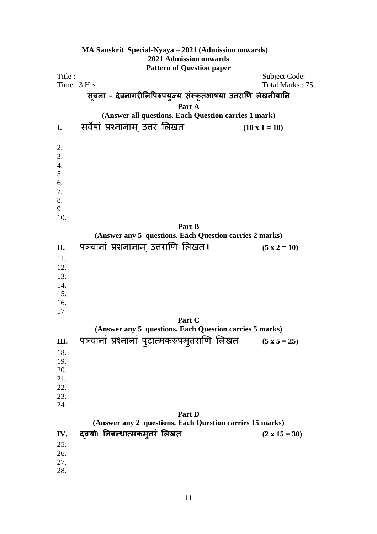|                       | MA Sanskrit Special-Nyaya – 2021 (Admission onwards)<br><b>2021 Admission onwards</b> |                                         |  |  |  |
|-----------------------|---------------------------------------------------------------------------------------|-----------------------------------------|--|--|--|
|                       | <b>Pattern of Question paper</b>                                                      |                                         |  |  |  |
| Title:<br>Time: 3 Hrs |                                                                                       | <b>Subject Code:</b><br>Total Marks: 75 |  |  |  |
|                       | सूचना - देवनागरीलिपिरुपयुज्य संस्कृतभाषया उत्तराणि लेखनीयानि                          |                                         |  |  |  |
|                       | Part A                                                                                |                                         |  |  |  |
|                       | (Answer all questions. Each Question carries 1 mark)                                  |                                         |  |  |  |
| I.                    | सर्वेषां प्रश्नानाम् उत्तरं लिखत                                                      | $(10 \times 1 = 10)$                    |  |  |  |
| 1.                    |                                                                                       |                                         |  |  |  |
| 2.                    |                                                                                       |                                         |  |  |  |
| 3.                    |                                                                                       |                                         |  |  |  |
| 4.                    |                                                                                       |                                         |  |  |  |
| 5.<br>6.              |                                                                                       |                                         |  |  |  |
| 7.                    |                                                                                       |                                         |  |  |  |
| 8.                    |                                                                                       |                                         |  |  |  |
| 9.                    |                                                                                       |                                         |  |  |  |
| 10.                   |                                                                                       |                                         |  |  |  |
|                       | Part B                                                                                |                                         |  |  |  |
|                       | (Answer any 5 questions. Each Question carries 2 marks)                               |                                         |  |  |  |
| II.                   | पञ्चानां प्रशनानाम् उत्तराणि लिखत।                                                    | $(5 \times 2 = 10)$                     |  |  |  |
| 11.                   |                                                                                       |                                         |  |  |  |
| 12.<br>13.            |                                                                                       |                                         |  |  |  |
| 14.                   |                                                                                       |                                         |  |  |  |
| 15.                   |                                                                                       |                                         |  |  |  |
| 16.                   |                                                                                       |                                         |  |  |  |
| 17                    |                                                                                       |                                         |  |  |  |
|                       | Part C                                                                                |                                         |  |  |  |
|                       | (Answer any 5 questions. Each Question carries 5 marks)                               |                                         |  |  |  |
| III.                  | पञ्चानां प्रश्नानां पुटात्मकरूपम् <b>तराणि लिखत</b>                                   | $(5 x 5 = 25)$                          |  |  |  |
| 18.                   |                                                                                       |                                         |  |  |  |
| 19.                   |                                                                                       |                                         |  |  |  |
| 20.<br>21.            |                                                                                       |                                         |  |  |  |
| 22.                   |                                                                                       |                                         |  |  |  |
| 23.                   |                                                                                       |                                         |  |  |  |
| 24                    |                                                                                       |                                         |  |  |  |
|                       | Part D                                                                                |                                         |  |  |  |
|                       | (Answer any 2 questions. Each Question carries 15 marks)                              |                                         |  |  |  |
| IV.                   | द्वयोः निबन्धात्मकम्तरं लिखत                                                          | $(2 \times 15 = 30)$                    |  |  |  |
| 25.<br>26.            |                                                                                       |                                         |  |  |  |
| 27.                   |                                                                                       |                                         |  |  |  |
| 28.                   |                                                                                       |                                         |  |  |  |
|                       |                                                                                       |                                         |  |  |  |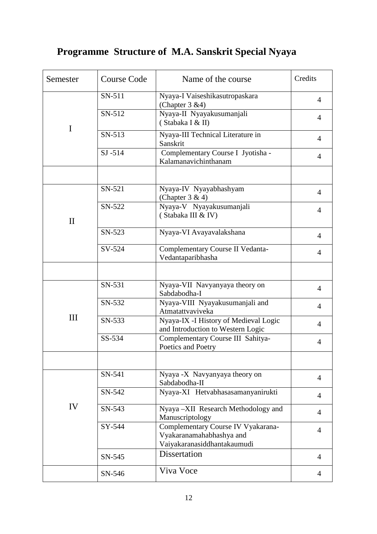# **Programme Structure of M.A. Sanskrit Special Nyaya**

| Semester     | <b>Course Code</b> | Name of the course                                                                            | Credits        |
|--------------|--------------------|-----------------------------------------------------------------------------------------------|----------------|
|              | SN-511             | Nyaya-I Vaiseshikasutropaskara<br>(Chapter $3 \& 4$ )                                         | $\overline{4}$ |
| I            | SN-512             | Nyaya-II Nyayakusumanjali<br>(Stabaka I & II)                                                 | $\overline{4}$ |
|              | SN-513             | Nyaya-III Technical Literature in<br>Sanskrit                                                 | $\overline{4}$ |
|              | $SJ - 514$         | Complementary Course I Jyotisha -<br>Kalamanavichinthanam                                     | $\overline{4}$ |
|              |                    |                                                                                               |                |
|              | SN-521             | Nyaya-IV Nyayabhashyam<br>(Chapter $3 & 4$ )                                                  | $\overline{4}$ |
| $\mathbf{I}$ | SN-522             | Nyaya-V Nyayakusumanjali<br>(Stabaka III & IV)                                                | $\overline{4}$ |
|              | SN-523             | Nyaya-VI Avayavalakshana                                                                      | $\overline{4}$ |
|              | SV-524             | Complementary Course II Vedanta-<br>Vedantaparibhasha                                         | $\overline{4}$ |
|              |                    |                                                                                               |                |
|              | SN-531             | Nyaya-VII Navyanyaya theory on<br>Sabdabodha-I                                                | $\overline{4}$ |
|              | SN-532             | Nyaya-VIII Nyayakusumanjali and<br>Atmatattvaviveka                                           | $\overline{4}$ |
| III          | SN-533             | Nyaya-IX -I History of Medieval Logic<br>and Introduction to Western Logic                    | $\overline{4}$ |
|              | SS-534             | Complementary Course III Sahitya-<br>Poetics and Poetry                                       | 4              |
|              |                    |                                                                                               |                |
|              | SN-541             | Nyaya -X Navyanyaya theory on<br>Sabdabodha-II                                                | $\overline{4}$ |
|              | SN-542             | Nyaya-XI Hetvabhasasamanyanirukti                                                             | $\overline{4}$ |
| IV           | SN-543             | Nyaya -XII Research Methodology and<br>Manuscriptology                                        | $\overline{4}$ |
|              | SY-544             | Complementary Course IV Vyakarana-<br>Vyakaranamahabhashya and<br>Vaiyakaranasiddhantakaumudi | $\overline{4}$ |
|              | SN-545             | Dissertation                                                                                  | $\overline{4}$ |
|              | SN-546             | Viva Voce                                                                                     | $\overline{4}$ |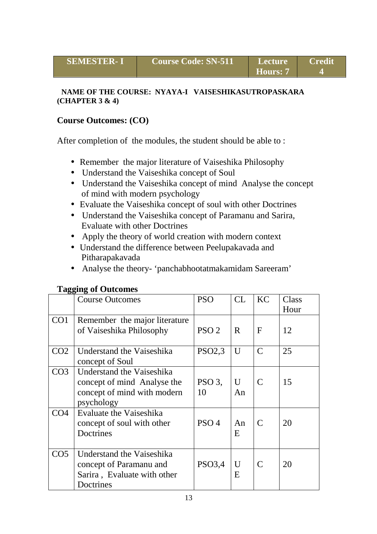| <b>SEMESTER-I</b> | <b>Course Code: SN-511</b> | <b>Lecture</b> | l Credit |
|-------------------|----------------------------|----------------|----------|
|                   |                            | Hours: 7       |          |

#### **NAME OF THE COURSE: NYAYA-I VAISESHIKASUTROPASKARA (CHAPTER 3 & 4)**

#### **Course Outcomes: (CO)**

After completion of the modules, the student should be able to :

- Remember the major literature of Vaiseshika Philosophy
- Understand the Vaiseshika concept of Soul
- Understand the Vaiseshika concept of mind Analyse the concept of mind with modern psychology
- Evaluate the Vaiseshika concept of soul with other Doctrines
- Understand the Vaiseshika concept of Paramanu and Sarira, Evaluate with other Doctrines
- Apply the theory of world creation with modern context
- Understand the difference between Peelupakavada and Pitharapakavada
- Analyse the theory- 'panchabhootatmakamidam Sareeram'

#### **Tagging of Outcomes**

|                 | <b>Course Outcomes</b>                                                                                | <b>PSO</b>             | CL                | KC            | Class<br>Hour |
|-----------------|-------------------------------------------------------------------------------------------------------|------------------------|-------------------|---------------|---------------|
| CO <sub>1</sub> | Remember the major literature<br>of Vaiseshika Philosophy                                             | PSO <sub>2</sub>       | $\mathbf{R}$      | $\mathbf{F}$  | 12            |
| CO <sub>2</sub> | Understand the Vaiseshika<br>concept of Soul                                                          | PSO2,3                 | U                 | $\mathcal{C}$ | 25            |
| CO <sub>3</sub> | Understand the Vaiseshika<br>concept of mind Analyse the<br>concept of mind with modern<br>psychology | PSO <sub>3</sub><br>10 | $\mathbf U$<br>An | $\mathcal{C}$ | 15            |
| CO <sub>4</sub> | Evaluate the Vaiseshika<br>concept of soul with other<br>Doctrines                                    | PSO <sub>4</sub>       | An<br>E           | $\mathcal{C}$ | 20            |
| CO <sub>5</sub> | Understand the Vaiseshika<br>concept of Paramanu and<br>Sarira, Evaluate with other<br>Doctrines      | PSO3,4                 | $\mathbf U$<br>E  | $\mathcal{C}$ | 20            |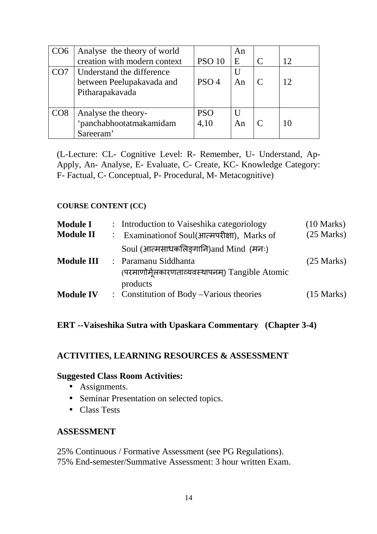| CO <sub>6</sub> | Analyse the theory of world  |                  | An |                             |    |
|-----------------|------------------------------|------------------|----|-----------------------------|----|
|                 | creation with modern context | <b>PSO 10</b>    | E  | $\mathcal{C}_{\mathcal{C}}$ | 12 |
| CO <sub>7</sub> | Understand the difference    |                  |    |                             |    |
|                 | between Peelupakavada and    | PSO <sub>4</sub> | An | $\subset$                   | 12 |
|                 | Pitharapakavada              |                  |    |                             |    |
|                 |                              |                  |    |                             |    |
| CO <sub>8</sub> | Analyse the theory-          | <b>PSO</b>       |    |                             |    |
|                 | 'panchabhootatmakamidam      | 4,10             | An |                             | 10 |
|                 | Sareeram'                    |                  |    |                             |    |

(L-Lecture: CL- Cognitive Level: R- Remember, U- Understand, Ap-Apply, An- Analyse, E- Evaluate, C- Create, KC- Knowledge Category: F- Factual, C- Conceptual, P- Procedural, M- Metacognitive)

#### **COURSE CONTENT (CC)**

| <b>Module I</b>   | : Introduction to Vaiseshika categoriology      | $(10 \text{ Marks})$ |
|-------------------|-------------------------------------------------|----------------------|
| <b>Module II</b>  | Examination of Soul(आत्मपरीक्षा), Marks of      | $(25 \text{ Marks})$ |
|                   | Soul (आत्मसाधकलिङगानि)and Mind (मनः)            |                      |
| <b>Module III</b> | : Paramanu Siddhanta                            | $(25$ Marks)         |
|                   | (परमाणोर्मूलकारणताव्यवस्थापनम्) Tangible Atomic |                      |
|                   | products                                        |                      |
| <b>Module IV</b>  | : Constitution of Body – Various theories       | $(15 \text{ Marks})$ |

#### **ERT --Vaiseshika Sutra with Upaskara Commentary (Chapter 3-4)**

#### **ACTIVITIES, LEARNING RESOURCES & ASSESSMENT**

#### **Suggested Class Room Activities:**

- Assignments.
- Seminar Presentation on selected topics.
- Class Tests

#### **ASSESSMENT**

25% Continuous / Formative Assessment (see PG Regulations). 75% End-semester/Summative Assessment: 3 hour written Exam.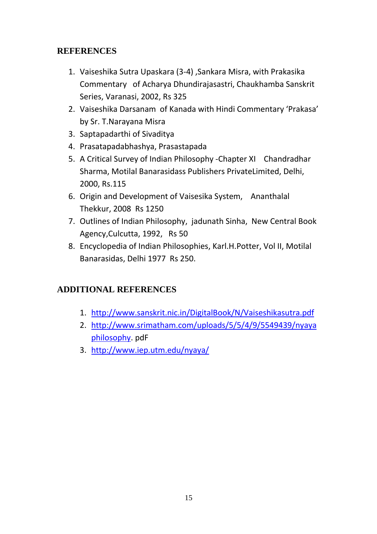# **REFERENCES**

- 1. Vaiseshika Sutra Upaskara (3-4) ,Sankara Misra, with Prakasika Commentary of Acharya Dhundirajasastri, Chaukhamba Sanskrit Series, Varanasi, 2002, Rs 325
- 2. Vaiseshika Darsanam of Kanada with Hindi Commentary 'Prakasa' by Sr. T.Narayana Misra
- 3. Saptapadarthi of Sivaditya
- 4. Prasatapadabhashya, Prasastapada
- 5. A Critical Survey of Indian Philosophy -Chapter XI Chandradhar Sharma, Motilal Banarasidass Publishers PrivateLimited, Delhi, 2000, Rs.115
- 6. Origin and Development of Vaisesika System, Ananthalal Thekkur, 2008 Rs 1250
- 7. Outlines of Indian Philosophy, jadunath Sinha, New Central Book Agency,Culcutta, 1992, Rs 50
- 8. Encyclopedia of Indian Philosophies, Karl.H.Potter, Vol II, Motilal Banarasidas, Delhi 1977 Rs 250.

# **ADDITIONAL REFERENCES**

- 1. http://www.sanskrit.nic.in/DigitalBook/N/Vaiseshikasutra.pdf
- 2. http://www.srimatham.com/uploads/5/5/4/9/5549439/nyaya philosophy. pdF
- 3. http://www.iep.utm.edu/nyaya/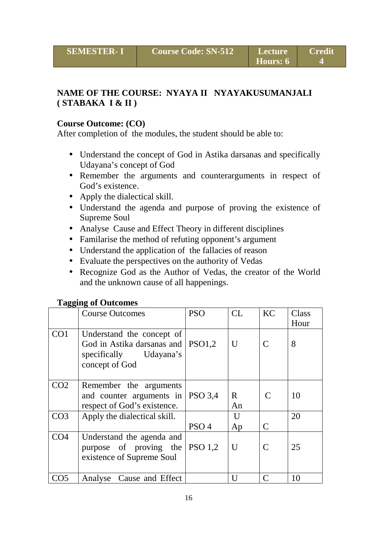# **NAME OF THE COURSE: NYAYA II NYAYAKUSUMANJALI ( STABAKA I & II )**

#### **Course Outcome: (CO)**

After completion of the modules, the student should be able to:

- Understand the concept of God in Astika darsanas and specifically Udayana's concept of God
- Remember the arguments and counterarguments in respect of God's existence.
- Apply the dialectical skill.
- Understand the agenda and purpose of proving the existence of Supreme Soul
- Analyse Cause and Effect Theory in different disciplines
- Familarise the method of refuting opponent's argument
- Understand the application of the fallacies of reason
- Evaluate the perspectives on the authority of Vedas
- Recognize God as the Author of Vedas, the creator of the World and the unknown cause of all happenings.

#### **Tagging of Outcomes**

|                 | <b>Course Outcomes</b>                                                                              | <b>PSO</b>       | CL.     | KC                          | Class<br>Hour |
|-----------------|-----------------------------------------------------------------------------------------------------|------------------|---------|-----------------------------|---------------|
| CO <sub>1</sub> | Understand the concept of<br>God in Astika darsanas and<br>specifically Udayana's<br>concept of God | PSO1,2           | U       |                             | 8             |
| CO <sub>2</sub> | Remember the arguments<br>and counter arguments in<br>respect of God's existence.                   | <b>PSO</b> 3.4   | R<br>An | $\mathcal{C}$               | 10            |
| CO <sub>3</sub> | Apply the dialectical skill.                                                                        | PSO <sub>4</sub> | U<br>Ap | $\mathcal{C}$               | 20            |
| CO <sub>4</sub> | Understand the agenda and<br>purpose of proving the<br>existence of Supreme Soul                    | <b>PSO</b> 1.2   | U       |                             | 25            |
| CO5             | Analyse Cause and Effect                                                                            |                  | U       | $\mathcal{C}_{\mathcal{C}}$ | 10            |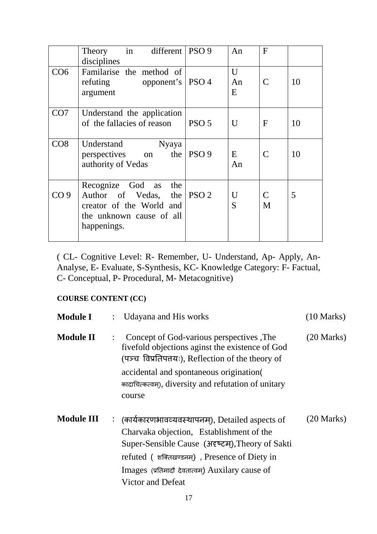|                 | Theory in different PSO 9<br>disciplines                                                                            |                  | An           | $\mathbf{F}$  |    |
|-----------------|---------------------------------------------------------------------------------------------------------------------|------------------|--------------|---------------|----|
| CO6             | Familarise the method of<br>refuting<br>opponent's   PSO 4<br>argument                                              |                  | U<br>An<br>E | $\mathcal{C}$ | 10 |
| CO7             | Understand the application<br>of the fallacies of reason                                                            | PSO <sub>5</sub> | U            | $\mathbf{F}$  | 10 |
| CO8             | Understand<br>Nyaya<br>perspectives on the   PSO 9<br>authority of Vedas                                            |                  | E<br>An      | $\mathcal{C}$ | 10 |
| CO <sub>9</sub> | Recognize God as the<br>Author of Vedas, the<br>creator of the World and<br>the unknown cause of all<br>happenings. | PSO <sub>2</sub> | U<br>S       | C<br>M        | 5  |

( CL- Cognitive Level: R- Remember, U- Understand, Ap- Apply, An-Analyse, E- Evaluate, S-Synthesis, KC- Knowledge Category: F- Factual, C- Conceptual, P- Procedural, M- Metacognitive)

# **COURSE CONTENT (CC)**

| <b>Module I</b>   | Udayana and His works                                                                                                                                                                            | $(10 \text{ Marks})$ |
|-------------------|--------------------------------------------------------------------------------------------------------------------------------------------------------------------------------------------------|----------------------|
| <b>Module II</b>  | Concept of God-various perspectives , The<br>fivefold objections aginst the existence of God<br>(पञ्च विप्रतिपत्तयः), Reflection of the theory of<br>accidental and spontaneous origination(     | $(20$ Marks)         |
|                   | कादाचित्कत्वम), diversity and refutation of unitary<br>course                                                                                                                                    |                      |
|                   |                                                                                                                                                                                                  |                      |
| <b>Module III</b> | : (कार्यकारणभावव्यवस्थापनम्), Detailed aspects of<br>Charvaka objection, Establishment of the<br>Super-Sensible Cause (अदृष्टम), Theory of Sakti<br>refuted (शक्तिखण्डनम्), Presence of Diety in | $(20$ Marks)         |
|                   | Images (प्रतिमादौ देवतात्वम्) Auxilary cause of                                                                                                                                                  |                      |
|                   | Victor and Defeat                                                                                                                                                                                |                      |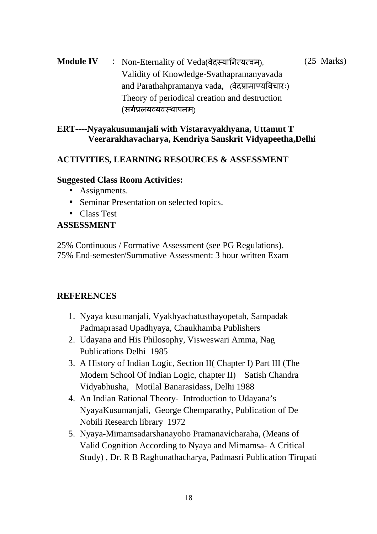#### Module IV : Non-Eternality of Veda(वेदस्यानित्यत्वम), Validity of Knowledge-Svathapramanyavada and Parathahpramanya vada, (वेदप्रामाण्यविचारः) Theory of periodical creation and destruction (सर्गप्रलयव्यवस्थापनम) (25 Marks)

### **ERT----Nyayakusumanjali with Vistaravyakhyana, Uttamut T Veerarakhavacharya, Kendriya Sanskrit Vidyapeetha,Delhi**

# **ACTIVITIES, LEARNING RESOURCES & ASSESSMENT**

### **Suggested Class Room Activities:**

- Assignments.
- Seminar Presentation on selected topics.
- Class Test

# **ASSESSMENT**

25% Continuous / Formative Assessment (see PG Regulations). 75% End-semester/Summative Assessment: 3 hour written Exam

# **REFERENCES**

- 1. Nyaya kusumanjali, Vyakhyachatusthayopetah, Sampadak Padmaprasad Upadhyaya, Chaukhamba Publishers
- 2. Udayana and His Philosophy, Visweswari Amma, Nag Publications Delhi 1985
- 3. A History of Indian Logic, Section II( Chapter I) Part III (The Modern School Of Indian Logic, chapter II) Satish Chandra Vidyabhusha, Motilal Banarasidass, Delhi 1988
- 4. An Indian Rational Theory- Introduction to Udayana's NyayaKusumanjali, George Chemparathy, Publication of De Nobili Research library 1972
- 5. Nyaya-Mimamsadarshanayoho Pramanavicharaha, (Means of Valid Cognition According to Nyaya and Mimamsa- A Critical Study) , Dr. R B Raghunathacharya, Padmasri Publication Tirupati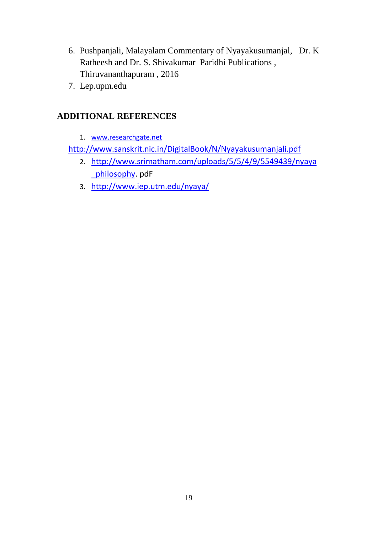- 6. Pushpanjali, Malayalam Commentary of Nyayakusumanjal, Dr. K Ratheesh and Dr. S. Shivakumar Paridhi Publications , Thiruvananthapuram , 2016
- 7. Lep.upm.edu

# **ADDITIONAL REFERENCES**

1. www.researchgate.net

http://www.sanskrit.nic.in/DigitalBook/N/Nyayakusumanjali.pdf

- 2. http://www.srimatham.com/uploads/5/5/4/9/5549439/nyaya \_philosophy. pdF
- 3. http://www.iep.utm.edu/nyaya/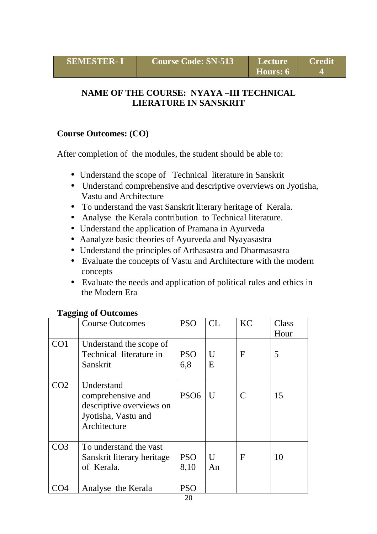# **NAME OF THE COURSE: NYAYA –III TECHNICAL LIERATURE IN SANSKRIT**

# **Course Outcomes: (CO)**

After completion of the modules, the student should be able to:

- Understand the scope of Technical literature in Sanskrit
- Understand comprehensive and descriptive overviews on Jyotisha, Vastu and Architecture
- To understand the vast Sanskrit literary heritage of Kerala.
- Analyse the Kerala contribution to Technical literature.
- Understand the application of Pramana in Ayurveda
- Aanalyze basic theories of Ayurveda and Nyayasastra
- Understand the principles of Arthasastra and Dharmasastra
- Evaluate the concepts of Vastu and Architecture with the modern concepts
- Evaluate the needs and application of political rules and ethics in the Modern Era

| ပပ              | <b>Course Outcomes</b>                                                                             | <b>PSO</b>         | CL      | <b>KC</b>                   | Class<br>Hour |
|-----------------|----------------------------------------------------------------------------------------------------|--------------------|---------|-----------------------------|---------------|
| CO <sub>1</sub> | Understand the scope of<br>Technical literature in<br>Sanskrit                                     | <b>PSO</b><br>6,8  | U<br>E  | $\mathbf F$                 | 5             |
| CO <sub>2</sub> | Understand<br>comprehensive and<br>descriptive overviews on<br>Jyotisha, Vastu and<br>Architecture | PSO <sub>6</sub>   | U       | $\mathcal{C}_{\mathcal{C}}$ | 15            |
| CO <sub>3</sub> | To understand the vast<br>Sanskrit literary heritage<br>of Kerala.                                 | <b>PSO</b><br>8,10 | U<br>An | F                           | 10            |
|                 | Analyse the Kerala                                                                                 | <b>PSO</b>         |         |                             |               |

#### **Tagging of Outcomes**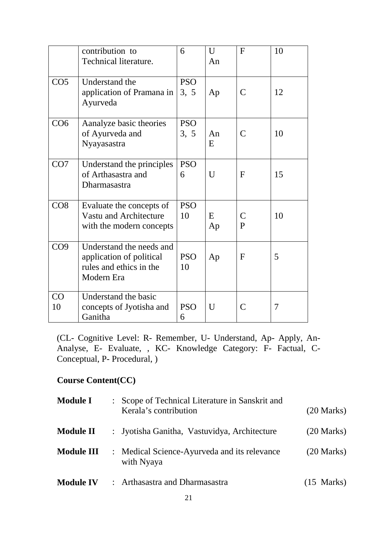|                 | contribution to<br>Technical literature.                                                      | 6                  | $\mathbf{U}$<br>An | $\mathbf{F}$                  | 10 |
|-----------------|-----------------------------------------------------------------------------------------------|--------------------|--------------------|-------------------------------|----|
| CO <sub>5</sub> | Understand the<br>application of Pramana in<br>Ayurveda                                       | <b>PSO</b><br>3, 5 | Ap                 | $\mathcal{C}$                 | 12 |
| CO6             | Aanalyze basic theories<br>of Ayurveda and<br>Nyayasastra                                     | <b>PSO</b><br>3, 5 | An<br>E            | $\mathcal{C}$                 | 10 |
| CO7             | Understand the principles<br>of Arthasastra and<br>Dharmasastra                               | <b>PSO</b><br>6    | U                  | $\mathbf{F}$                  | 15 |
| CO8             | Evaluate the concepts of<br>Vastu and Architecture<br>with the modern concepts                | <b>PSO</b><br>10   | E<br>Ap            | $\mathcal{C}$<br>$\mathbf{P}$ | 10 |
| CO9             | Understand the needs and<br>application of political<br>rules and ethics in the<br>Modern Era | <b>PSO</b><br>10   | Ap                 | $\mathbf{F}$                  | 5  |
| CO<br>10        | Understand the basic<br>concepts of Jyotisha and<br>Ganitha                                   | <b>PSO</b><br>6    | U                  | $\mathcal{C}$                 | 7  |

(CL- Cognitive Level: R- Remember, U- Understand, Ap- Apply, An-Analyse, E- Evaluate, , KC- Knowledge Category: F- Factual, C-Conceptual, P- Procedural, )

# **Course Content(CC)**

| <b>Module I</b>   | Scope of Technical Literature in Sanskrit and<br>Kerala's contribution | $(20$ Marks)         |
|-------------------|------------------------------------------------------------------------|----------------------|
| <b>Module II</b>  | : Jyotisha Ganitha, Vastuvidya, Architecture                           | $(20$ Marks)         |
| <b>Module III</b> | : Medical Science-Ayurveda and its relevance<br>with Nyaya             | $(20$ Marks)         |
| <b>Module IV</b>  | : Arthasastra and Dharmasastra                                         | $(15 \text{ Marks})$ |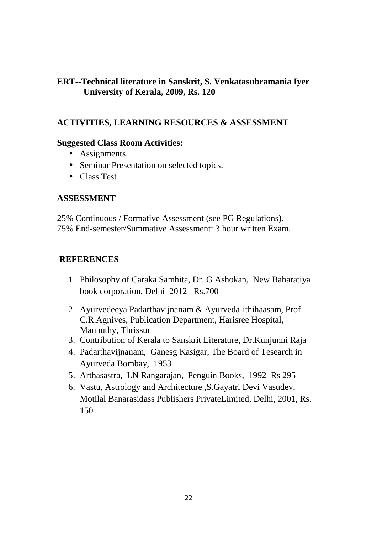### **ERT--Technical literature in Sanskrit, S. Venkatasubramania Iyer University of Kerala, 2009, Rs. 120**

### **ACTIVITIES, LEARNING RESOURCES & ASSESSMENT**

#### **Suggested Class Room Activities:**

- Assignments.
- Seminar Presentation on selected topics.
- Class Test

#### **ASSESSMENT**

25% Continuous / Formative Assessment (see PG Regulations). 75% End-semester/Summative Assessment: 3 hour written Exam.

#### **REFERENCES**

- 1. Philosophy of Caraka Samhita, Dr. G Ashokan, New Baharatiya book corporation, Delhi 2012 Rs.700
- 2. Ayurvedeeya Padarthavijnanam & Ayurveda-ithihaasam, Prof. C.R.Agnives, Publication Department, Harisree Hospital, Mannuthy, Thrissur
- 3. Contribution of Kerala to Sanskrit Literature, Dr.Kunjunni Raja
- 4. Padarthavijnanam, Ganesg Kasigar, The Board of Tesearch in Ayurveda Bombay, 1953
- 5. Arthasastra, LN Rangarajan, Penguin Books, 1992 Rs 295
- 6. Vastu, Astrology and Architecture ,S.Gayatri Devi Vasudev, Motilal Banarasidass Publishers PrivateLimited, Delhi, 2001, Rs. 150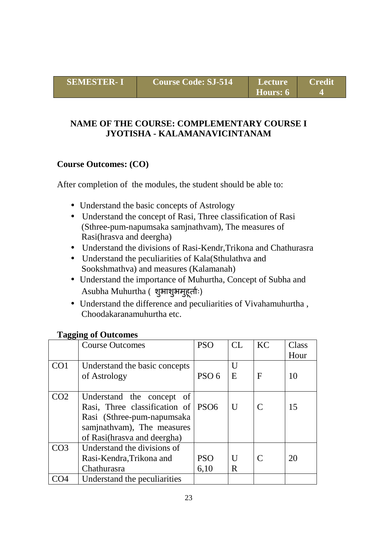# **NAME OF THE COURSE: COMPLEMENTARY COURSE I JYOTISHA - KALAMANAVICINTANAM**

# **Course Outcomes: (CO)**

After completion of the modules, the student should be able to:

- Understand the basic concepts of Astrology
- Understand the concept of Rasi, Three classification of Rasi (Sthree-pum-napumsaka samjnathvam), The measures of Rasi(hrasva and deergha)
- Understand the divisions of Rasi-Kendr,Trikona and Chathurasra
- Understand the peculiarities of Kala(Sthulathva and Sookshmathva) and measures (Kalamanah)
- Understand the importance of Muhurtha, Concept of Subha and Asubha Muhurtha () शुभाशुभमुहूर्ताः)
- Understand the difference and peculiarities of Vivahamuhurtha , Choodakaranamuhurtha etc.

#### **Tagging of Outcomes**

| ◡               | <b>Course Outcomes</b>                                                                                                                                              | <b>PSO</b>         | CL             | <b>KC</b>   | Class<br>Hour |
|-----------------|---------------------------------------------------------------------------------------------------------------------------------------------------------------------|--------------------|----------------|-------------|---------------|
| CO <sub>1</sub> | Understand the basic concepts<br>of Astrology                                                                                                                       | PSO <sub>6</sub>   | U<br>E         | $\mathbf F$ | 10            |
| CO <sub>2</sub> | Understand the concept<br><sub>of</sub><br>Rasi, Three classification of<br>Rasi (Sthree-pum-napumsaka<br>samjnathvam), The measures<br>of Rasi(hrasva and deergha) | PS <sub>O6</sub>   | $\overline{U}$ |             | 15            |
| CO <sub>3</sub> | Understand the divisions of<br>Rasi-Kendra, Trikona and<br>Chathurasra                                                                                              | <b>PSO</b><br>6,10 | U<br>R         |             | 20            |
|                 | Understand the peculiarities                                                                                                                                        |                    |                |             |               |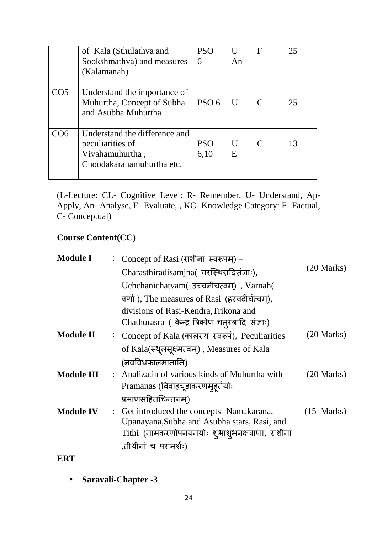|     | of Kala (Sthulathva and<br>Sookshmathva) and measures<br>(Kalamanah)                              | <b>PSO</b><br>6    | U<br>An        | $\mathbf F$ | 25 |
|-----|---------------------------------------------------------------------------------------------------|--------------------|----------------|-------------|----|
| CO5 | Understand the importance of<br>Muhurtha, Concept of Subha<br>and Asubha Muhurtha                 | PSO <sub>6</sub>   | $\overline{U}$ |             | 25 |
| CO6 | Understand the difference and<br>peculiarities of<br>Vivahamuhurtha,<br>Choodakaranamuhurtha etc. | <b>PSO</b><br>6,10 | U<br>Е         |             | 13 |

(L-Lecture: CL- Cognitive Level: R- Remember, U- Understand, Ap-Apply, An- Analyse, E- Evaluate, , KC- Knowledge Category: F- Factual, C- Conceptual)

# **Course Content(CC)**

| <b>Module I</b>   | Concept of Rasi (राशीनां स्वरूपम्) –                                                                                                          |                      |
|-------------------|-----------------------------------------------------------------------------------------------------------------------------------------------|----------------------|
|                   | Charasthiradisamjna(चरस्थिरादिसंज्ञाः),                                                                                                       | $(20 \text{ Marks})$ |
|                   | Uchchanichatvam(उच्चनीचत्वम), Varnah(                                                                                                         |                      |
|                   | वर्णाः), The measures of Rasi (ह्रस्वदीर्घत्वम),                                                                                              |                      |
|                   | divisions of Rasi-Kendra, Trikona and<br>Chathurasra ( केन्द्र-त्रिकोण-चतुरश्रादि संज्ञाः)                                                    |                      |
| <b>Module II</b>  | : Concept of Kala (कालस्य स्वरूपं), Peculiarities                                                                                             | $(20 \text{ Marks})$ |
|                   | of Kala(स्थूलसूक्ष्मत्वंम्), Measures of Kala                                                                                                 |                      |
|                   | (नवविधकालमानानि)                                                                                                                              |                      |
| <b>Module III</b> | : Analizatin of various kinds of Muhurtha with<br>Pramanas (विवाहचूडाकरणमुहूर्तयोः                                                            | $(20 \text{ Marks})$ |
|                   | प्रमाणसहितचिन्तनम)                                                                                                                            |                      |
| <b>Module IV</b>  | Get introduced the concepts- Namakarana,<br>Upanayana, Subha and Asubha stars, Rasi, and<br>Tithi (नामकरणोपनयनयोः शुभाश्भनक्षत्राणां, राशीनां | $(15$ Marks)         |
|                   | ,तीथीनां च परामर्शः)                                                                                                                          |                      |

# **ERT**

• **Saravali-Chapter -3**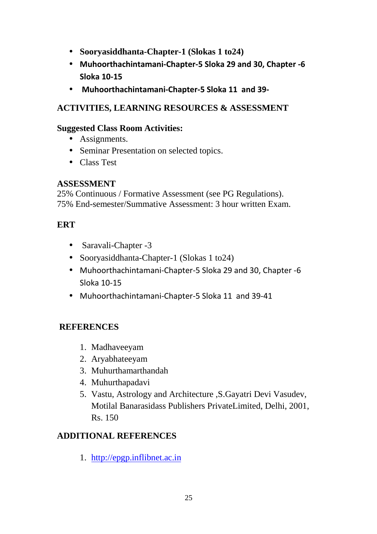- **Sooryasiddhanta-Chapter-1 (Slokas 1 to24)**
- **Muhoorthachintamani-Chapter-5 Sloka 29 and 30, Chapter -6 Sloka 10-15**
- • **Muhoorthachintamani-Chapter-5 Sloka 11 and 39-**

# **ACTIVITIES, LEARNING RESOURCES & ASSESSMENT**

### **Suggested Class Room Activities:**

- Assignments.
- Seminar Presentation on selected topics.
- Class Test

#### **ASSESSMENT**

25% Continuous / Formative Assessment (see PG Regulations). 75% End-semester/Summative Assessment: 3 hour written Exam.

# **ERT**

- Saravali-Chapter -3
- Sooryasiddhanta-Chapter-1 (Slokas 1 to 24)
- Muhoorthachintamani-Chapter-5 Sloka 29 and 30, Chapter -6 Sloka 10-15
- Muhoorthachintamani-Chapter-5 Sloka 11 and 39-41

# **REFERENCES**

- 1. Madhaveeyam
- 2. Aryabhateeyam
- 3. Muhurthamarthandah
- 4. Muhurthapadavi
- 5. Vastu, Astrology and Architecture ,S.Gayatri Devi Vasudev, Motilal Banarasidass Publishers PrivateLimited, Delhi, 2001, Rs. 150

# **ADDITIONAL REFERENCES**

1. http://epgp.inflibnet.ac.in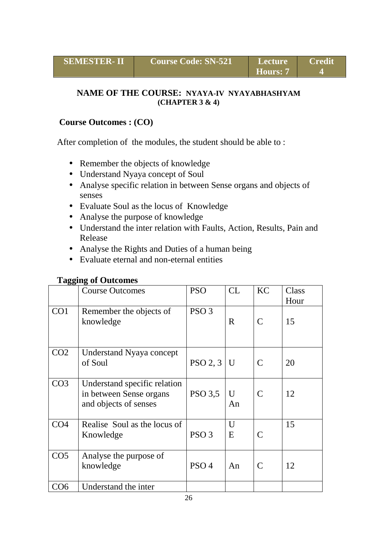#### **NAME OF THE COURSE: NYAYA-IV NYAYABHASHYAM (CHAPTER 3 & 4)**

## **Course Outcomes : (CO)**

After completion of the modules, the student should be able to :

- Remember the objects of knowledge
- Understand Nyaya concept of Soul
- Analyse specific relation in between Sense organs and objects of senses
- Evaluate Soul as the locus of Knowledge
- Analyse the purpose of knowledge
- Understand the inter relation with Faults, Action, Results, Pain and Release
- Analyse the Rights and Duties of a human being
- Evaluate eternal and non-eternal entities

#### **Tagging of Outcomes**

| ںں              | <b>Course Outcomes</b>                                                           | <b>PSO</b>       | CL          | KC            | Class<br>Hour |
|-----------------|----------------------------------------------------------------------------------|------------------|-------------|---------------|---------------|
| CO <sub>1</sub> | Remember the objects of<br>knowledge                                             | PSO <sub>3</sub> | $\mathbf R$ | $\mathcal{C}$ | 15            |
| CO <sub>2</sub> | Understand Nyaya concept<br>of Soul                                              | PSO 2, 3         | $\mathbf U$ | $\mathcal{C}$ | 20            |
| CO <sub>3</sub> | Understand specific relation<br>in between Sense organs<br>and objects of senses | <b>PSO 3,5</b>   | U<br>An     | $\mathcal{C}$ | 12            |
| CO <sub>4</sub> | Realise Soul as the locus of<br>Knowledge                                        | PSO <sub>3</sub> | U<br>E      | $\mathcal{C}$ | 15            |
| CO <sub>5</sub> | Analyse the purpose of<br>knowledge                                              | PSO <sub>4</sub> | An          | $\mathcal{C}$ | 12            |
| CO6             | Understand the inter                                                             |                  |             |               |               |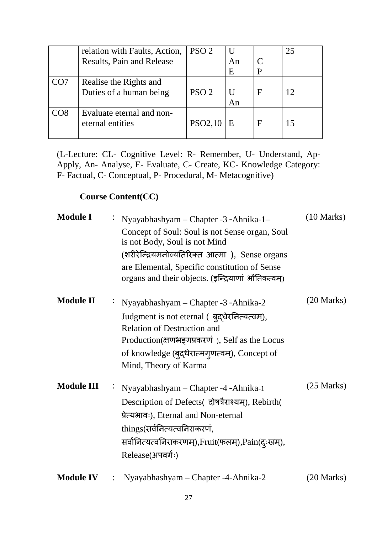|                 | relation with Faults, Action,    | PSO <sub>2</sub> |    | 25 |
|-----------------|----------------------------------|------------------|----|----|
|                 | <b>Results, Pain and Release</b> |                  | An |    |
|                 |                                  |                  | Ε  |    |
| CO <sub>7</sub> | Realise the Rights and           |                  |    |    |
|                 | Duties of a human being          | PSO <sub>2</sub> |    | 12 |
|                 |                                  |                  | An |    |
|                 | Evaluate eternal and non-        |                  |    |    |
|                 | eternal entities                 | PSO2,10          | E  | 15 |
|                 |                                  |                  |    |    |

(L-Lecture: CL- Cognitive Level: R- Remember, U- Understand, Ap-Apply, An- Analyse, E- Evaluate, C- Create, KC- Knowledge Category: F- Factual, C- Conceptual, P- Procedural, M- Metacognitive)

### **Course Content(CC)**

| <b>Module I</b>   | Nyayabhashyam – Chapter -3 -Ahnika-1–                                                                | $(10 \text{ Marks})$ |
|-------------------|------------------------------------------------------------------------------------------------------|----------------------|
|                   | Concept of Soul: Soul is not Sense organ, Soul<br>is not Body, Soul is not Mind                      |                      |
|                   | (शरीरेन्द्रियमनोव्यतिरिक्त आत्मा), Sense organs                                                      |                      |
|                   | are Elemental, Specific constitution of Sense<br>organs and their objects. (इन्द्रियाणां भौतिकत्वम्) |                      |
| <b>Module II</b>  | Nyayabhashyam – Chapter -3 -Ahnika-2                                                                 | $(20 \text{ Marks})$ |
|                   | Judgment is not eternal (बृद्धेरनित्यत्वम्),                                                         |                      |
|                   | <b>Relation of Destruction and</b>                                                                   |                      |
|                   | Production (क्षणभङ्गप्रकरणं), Self as the Locus                                                      |                      |
|                   | of knowledge (बुद्धेरात्मगुणत्वम्), Concept of                                                       |                      |
|                   | Mind, Theory of Karma                                                                                |                      |
| <b>Module III</b> | Nyayabhashyam – Chapter -4 -Ahnika-1                                                                 | $(25 \text{ Marks})$ |
|                   | Description of Defects( दोषत्रैराश्यम्), Rebirth(                                                    |                      |
|                   | प्रेत्यभावः), Eternal and Non-eternal                                                                |                      |
|                   | things(सर्वनित्यत्वनिराकरणं,                                                                         |                      |
|                   | सर्वानित्यत्वनिराकरणम्),Fruit(फलम्),Pain(दुःखम्),                                                    |                      |
|                   | Release(अपवर्गः)                                                                                     |                      |
|                   | $\begin{array}{cccc} 1 & 1 & 1 & \end{array}$ (1 $\begin{array}{cccc} 1 & 1 & 1 \end{array}$         |                      |

**Module IV** : Nyayabhashyam – Chapter -4-Ahnika-2 (20 Marks)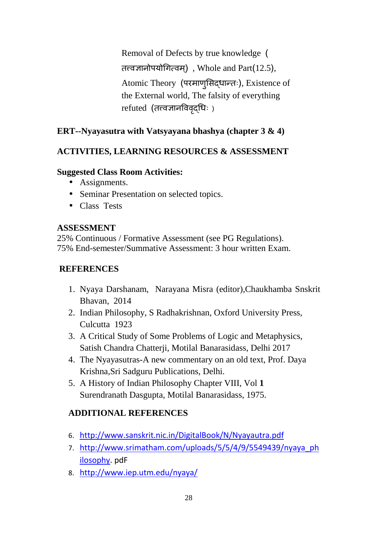Removal of Defects by true knowledge ( तत्त्वज्ञानोपयोगित्वम), Whole and Part(12.5), Atomic Theory (परमाणूसिद्धान्तः), Existence of the External world, The falsity of everything refuted (तत्त्वज्ञानविवृदधिः)

# **ERT--Nyayasutra with Vatsyayana bhashya (chapter 3 & 4)**

# **ACTIVITIES, LEARNING RESOURCES & ASSESSMENT**

# **Suggested Class Room Activities:**

- Assignments.
- Seminar Presentation on selected topics.
- Class Tests

# **ASSESSMENT**

25% Continuous / Formative Assessment (see PG Regulations). 75% End-semester/Summative Assessment: 3 hour written Exam.

# **REFERENCES**

- 1. Nyaya Darshanam, Narayana Misra (editor),Chaukhamba Snskrit Bhavan, 2014
- 2. Indian Philosophy, S Radhakrishnan, Oxford University Press, Culcutta 1923
- 3. A Critical Study of Some Problems of Logic and Metaphysics, Satish Chandra Chatterji, Motilal Banarasidass, Delhi 2017
- 4. The Nyayasutras-A new commentary on an old text, Prof. Daya Krishna,Sri Sadguru Publications, Delhi.
- 5. A History of Indian Philosophy Chapter VIII, Vol **1**  Surendranath Dasgupta, Motilal Banarasidass, 1975.

# **ADDITIONAL REFERENCES**

- 6. http://www.sanskrit.nic.in/DigitalBook/N/Nyayautra.pdf
- 7. http://www.srimatham.com/uploads/5/5/4/9/5549439/nyaya\_ph ilosophy. pdF
- 8. http://www.iep.utm.edu/nyaya/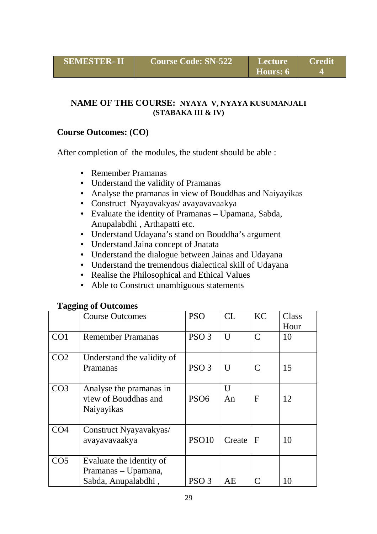#### **NAME OF THE COURSE: NYAYA V, NYAYA KUSUMANJALI (STABAKA III & IV)**

#### **Course Outcomes: (CO)**

After completion of the modules, the student should be able :

- Remember Pramanas
- Understand the validity of Pramanas
- Analyse the pramanas in view of Bouddhas and Naiyayikas
- Construct Nyayavakyas/ avayavavaakya
- Evaluate the identity of Pramanas Upamana, Sabda, Anupalabdhi , Arthapatti etc.
- Understand Udayana's stand on Bouddha's argument
- Understand Jaina concept of Jnatata
- Understand the dialogue between Jainas and Udayana
- Understand the tremendous dialectical skill of Udayana
- Realise the Philosophical and Ethical Values
- Able to Construct unambiguous statements

|                 | <b>Course Outcomes</b>                                                 | <b>PSO</b>       | CL      | <b>KC</b>                   | Class |
|-----------------|------------------------------------------------------------------------|------------------|---------|-----------------------------|-------|
|                 |                                                                        |                  |         |                             | Hour  |
| CO <sub>1</sub> | <b>Remember Pramanas</b>                                               | PSO <sub>3</sub> | U       | $\mathcal{C}$               | 10    |
| CO <sub>2</sub> | Understand the validity of<br>Pramanas                                 | PSO <sub>3</sub> | U       | C                           | 15    |
| CO <sub>3</sub> | Analyse the pramanas in<br>view of Bouddhas and<br>Naiyayikas          | PS <sub>O6</sub> | U<br>An | $\mathbf F$                 | 12    |
| CO <sub>4</sub> | Construct Nyayavakyas/<br>avayavavaakya                                | <b>PSO10</b>     | Create  | $\mathbf F$                 | 10    |
| CO <sub>5</sub> | Evaluate the identity of<br>Pramanas - Upamana,<br>Sabda, Anupalabdhi, | PSO <sub>3</sub> | AE      | $\mathcal{C}_{\mathcal{C}}$ | 10    |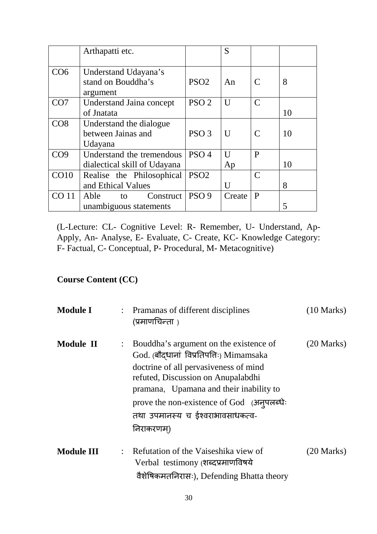|                 | Arthapatti etc.                                           |                  | S       |                             |    |
|-----------------|-----------------------------------------------------------|------------------|---------|-----------------------------|----|
| CO <sub>6</sub> | Understand Udayana's<br>stand on Bouddha's<br>argument    | PSO <sub>2</sub> | An      | $\mathcal{C}_{\mathcal{C}}$ | 8  |
| CO <sub>7</sub> | <b>Understand Jaina concept</b><br>of Jnatata             | PSO <sub>2</sub> | U       | $\mathcal{C}$               | 10 |
| CO8             | Understand the dialogue<br>between Jainas and<br>Udayana  | PSO <sub>3</sub> | U       | $\mathcal{C}_{\mathcal{C}}$ | 10 |
| CO9             | Understand the tremendous<br>dialectical skill of Udayana | PSO <sub>4</sub> | U<br>Ap | P                           | 10 |
| CO10            | Realise the Philosophical<br>and Ethical Values           | PSO <sub>2</sub> | U       | $\mathcal{C}$               | 8  |
| <b>CO</b> 11    | Able<br>Construct<br>to<br>unambiguous statements         | PSO <sub>9</sub> | Create  | $\mathbf{P}$                | 5  |

(L-Lecture: CL- Cognitive Level: R- Remember, U- Understand, Ap-Apply, An- Analyse, E- Evaluate, C- Create, KC- Knowledge Category: F- Factual, C- Conceptual, P- Procedural, M- Metacognitive)

# **Course Content (CC)**

| <b>Module I</b>   | : Pramanas of different disciplines<br>(प्रमाणचिन्ता)                                                                                                                                                                                                                                                      | $(10 \text{ Marks})$ |
|-------------------|------------------------------------------------------------------------------------------------------------------------------------------------------------------------------------------------------------------------------------------------------------------------------------------------------------|----------------------|
| <b>Module II</b>  | Bouddha's argument on the existence of<br>God. (बौदधानां विप्रतिपत्तिः) Mimamsaka<br>doctrine of all pervasiveness of mind<br>refuted, Discussion on Anupalabdhi<br>pramana, Upamana and their inability to<br>prove the non-existence of God (अनुपलब्धेः<br>तथा उपमानस्य च ईश्वराभावसाधकत्व-<br>निराकरणम) | $(20$ Marks)         |
| <b>Module III</b> | : Refutation of the Vaiseshika view of<br>Verbal testimony (शब्दप्रमाणविषये<br>वैशेषिकमतनिरासः), Defending Bhatta theory                                                                                                                                                                                   | $(20$ Marks)         |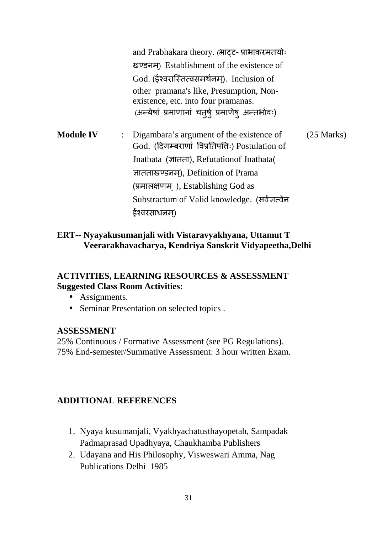|                                                                                | and Prabhakara theory. (भाट्ट- प्राभाकरमतयोः |                                                                                               |                      |  |
|--------------------------------------------------------------------------------|----------------------------------------------|-----------------------------------------------------------------------------------------------|----------------------|--|
|                                                                                |                                              | खण्डनम्) Establishment of the existence of                                                    |                      |  |
|                                                                                |                                              | God. (ईश्वरास्तित्वसमर्थनम). Inclusion of                                                     |                      |  |
| other pramana's like, Presumption, Non-<br>existence, etc. into four pramanas. |                                              |                                                                                               |                      |  |
|                                                                                |                                              | (अन्येषां प्रमाणानां चतुर्षु प्रमाणेषु अन्तर्भावः)                                            |                      |  |
| <b>Module IV</b>                                                               |                                              | : Digambara's argument of the existence of<br>God. (दिगम्बराणां विप्रतिपत्तिः) Postulation of | $(25 \text{ Marks})$ |  |
|                                                                                |                                              | Jnathata (ज्ञातता), Refutation of Jnathata(                                                   |                      |  |
|                                                                                |                                              | ज्ञातताखण्डनम), Definition of Prama                                                           |                      |  |
|                                                                                |                                              | (प्रमालक्षणम), Establishing God as                                                            |                      |  |
|                                                                                |                                              | Substractum of Valid knowledge. (सर्वज्ञत्वेन                                                 |                      |  |
|                                                                                |                                              | डेश्वरसाधनम)                                                                                  |                      |  |

#### **ERT-- Nyayakusumanjali with Vistaravyakhyana, Uttamut T Veerarakhavacharya, Kendriya Sanskrit Vidyapeetha,Delhi**

#### **ACTIVITIES, LEARNING RESOURCES & ASSESSMENT Suggested Class Room Activities:**

- Assignments.
- Seminar Presentation on selected topics.

#### **ASSESSMENT**

25% Continuous / Formative Assessment (see PG Regulations). 75% End-semester/Summative Assessment: 3 hour written Exam.

# **ADDITIONAL REFERENCES**

- 1. Nyaya kusumanjali, Vyakhyachatusthayopetah, Sampadak Padmaprasad Upadhyaya, Chaukhamba Publishers
- 2. Udayana and His Philosophy, Visweswari Amma, Nag Publications Delhi 1985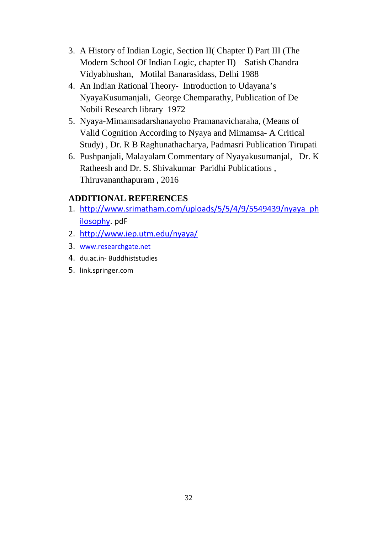- 3. A History of Indian Logic, Section II( Chapter I) Part III (The Modern School Of Indian Logic, chapter II) Satish Chandra Vidyabhushan, Motilal Banarasidass, Delhi 1988
- 4. An Indian Rational Theory- Introduction to Udayana's NyayaKusumanjali, George Chemparathy, Publication of De Nobili Research library 1972
- 5. Nyaya-Mimamsadarshanayoho Pramanavicharaha, (Means of Valid Cognition According to Nyaya and Mimamsa- A Critical Study) , Dr. R B Raghunathacharya, Padmasri Publication Tirupati
- 6. Pushpanjali, Malayalam Commentary of Nyayakusumanjal, Dr. K Ratheesh and Dr. S. Shivakumar Paridhi Publications , Thiruvananthapuram , 2016

# **ADDITIONAL REFERENCES**

- 1. http://www.srimatham.com/uploads/5/5/4/9/5549439/nyaya\_ph ilosophy. pdF
- 2. http://www.iep.utm.edu/nyaya/
- 3. www.researchgate.net
- 4. du.ac.in- Buddhiststudies
- 5. link.springer.com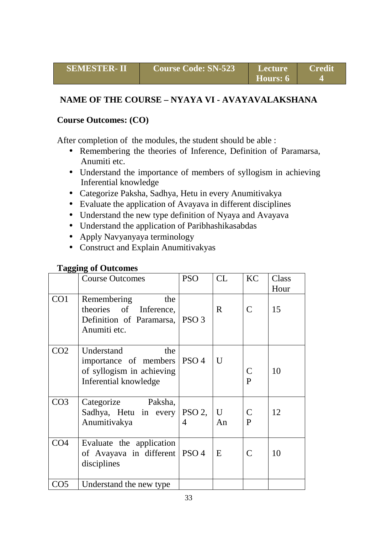**Credit 4** 

# **NAME OF THE COURSE – NYAYA VI - AVAYAVALAKSHANA**

#### **Course Outcomes: (CO)**

After completion of the modules, the student should be able :

- Remembering the theories of Inference, Definition of Paramarsa, Anumiti etc.
- Understand the importance of members of syllogism in achieving Inferential knowledge
- Categorize Paksha, Sadhya, Hetu in every Anumitivakya
- Evaluate the application of Avayava in different disciplines
- Understand the new type definition of Nyaya and Avayava
- Understand the application of Paribhashikasabdas
- Apply Navyanyaya terminology
- Construct and Explain Anumitivakyas

#### **Tagging of Outcomes**

|                 | <b>Course Outcomes</b>                                                                                   | <b>PSO</b> | CL                | KC                                                                                                                            | Class<br>Hour |
|-----------------|----------------------------------------------------------------------------------------------------------|------------|-------------------|-------------------------------------------------------------------------------------------------------------------------------|---------------|
| CO <sub>1</sub> | Remembering<br>the<br>theories of Inference,<br>Definition of Paramarsa, PSO 3<br>Anumiti etc.           |            | $\mathbf{R}$      | $\mathsf{C}$                                                                                                                  | 15            |
| CO <sub>2</sub> | Understand<br>the<br>importance of members   PSO 4<br>of syllogism in achieving<br>Inferential knowledge |            | U                 | $\mathsf{C}% _{0}\!\left( \mathcal{M}\right) ^{1}\!\left( \mathcal{M}\right) ^{1}\!\left( \mathcal{M}\right)$<br>$\mathbf{P}$ | 10            |
| CO <sub>3</sub> | Categorize Paksha,<br>Sadhya, Hetu in every PSO 2,<br>Anumitivakya                                       | 4          | $\mathbf U$<br>An | $\mathsf{C}$<br>$\mathbf{P}$                                                                                                  | 12            |
| CO <sub>4</sub> | Evaluate the application<br>of Avayava in different   PSO 4<br>disciplines                               |            | E                 | C                                                                                                                             | 10            |
| CO <sub>5</sub> | Understand the new type                                                                                  |            |                   |                                                                                                                               |               |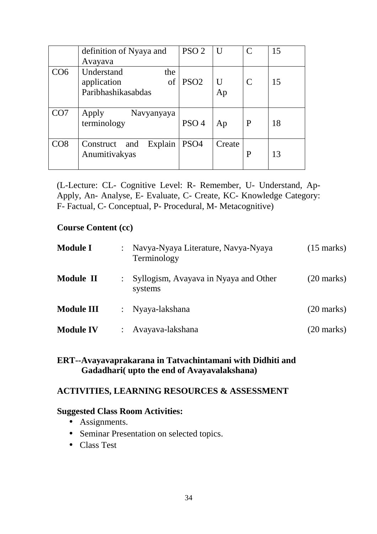|     | definition of Nyaya and                                      | PSO <sub>2</sub> | U       | C             | 15 |
|-----|--------------------------------------------------------------|------------------|---------|---------------|----|
|     | Avayava                                                      |                  |         |               |    |
| CO6 | Understand<br>the<br>application<br>of<br>Paribhashikasabdas | PSO <sub>2</sub> | U<br>Ap | $\mathcal{C}$ | 15 |
| CO7 | Apply<br>Navyanyaya<br>terminology                           | PSO <sub>4</sub> | Ap      | P             | 18 |
| CO8 | Explain<br>Construct and<br>Anumitivakyas                    | PSO <sub>4</sub> | Create  | P             | 13 |

(L-Lecture: CL- Cognitive Level: R- Remember, U- Understand, Ap-Apply, An- Analyse, E- Evaluate, C- Create, KC- Knowledge Category: F- Factual, C- Conceptual, P- Procedural, M- Metacognitive)

#### **Course Content (cc)**

| <b>Module I</b>   | Navya-Nyaya Literature, Navya-Nyaya<br>Terminology | $(15 \text{ marks})$ |
|-------------------|----------------------------------------------------|----------------------|
| <b>Module II</b>  | Syllogism, Avayava in Nyaya and Other<br>systems   | $(20 \text{ marks})$ |
| <b>Module III</b> | : Nyaya-lakshana                                   | $(20 \text{ marks})$ |
| <b>Module IV</b>  | Avayava-lakshana                                   | $(20 \text{ marks})$ |

#### **ERT--Avayavaprakarana in Tatvachintamani with Didhiti and Gadadhari( upto the end of Avayavalakshana)**

#### **ACTIVITIES, LEARNING RESOURCES & ASSESSMENT**

#### **Suggested Class Room Activities:**

- Assignments.
- Seminar Presentation on selected topics.
- Class Test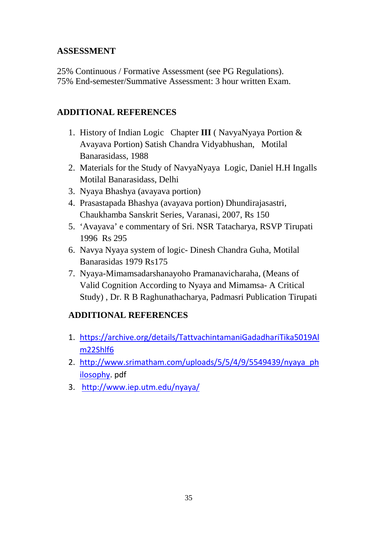# **ASSESSMENT**

25% Continuous / Formative Assessment (see PG Regulations). 75% End-semester/Summative Assessment: 3 hour written Exam.

# **ADDITIONAL REFERENCES**

- 1. History of Indian Logic Chapter **III** ( NavyaNyaya Portion & Avayava Portion) Satish Chandra Vidyabhushan, Motilal Banarasidass, 1988
- 2. Materials for the Study of NavyaNyaya Logic, Daniel H.H Ingalls Motilal Banarasidass, Delhi
- 3. Nyaya Bhashya (avayava portion)
- 4. Prasastapada Bhashya (avayava portion) Dhundirajasastri, Chaukhamba Sanskrit Series, Varanasi, 2007, Rs 150
- 5. 'Avayava' e commentary of Sri. NSR Tatacharya, RSVP Tirupati 1996 Rs 295
- 6. Navya Nyaya system of logic- Dinesh Chandra Guha, Motilal Banarasidas 1979 Rs175
- 7. Nyaya-Mimamsadarshanayoho Pramanavicharaha, (Means of Valid Cognition According to Nyaya and Mimamsa- A Critical Study) , Dr. R B Raghunathacharya, Padmasri Publication Tirupati

# **ADDITIONAL REFERENCES**

- 1. https://archive.org/details/TattvachintamaniGadadhariTika5019Al m22Shlf6
- 2. http://www.srimatham.com/uploads/5/5/4/9/5549439/nyaya\_ph ilosophy. pdf
- 3. http://www.iep.utm.edu/nyaya/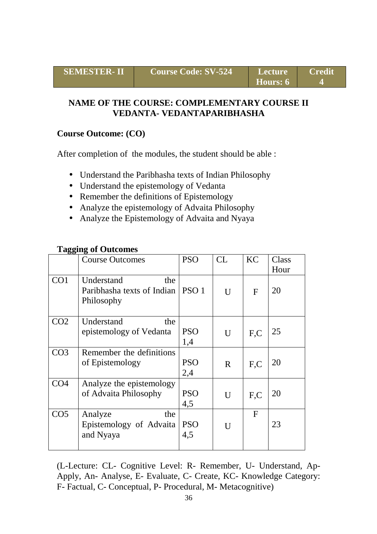#### **NAME OF THE COURSE: COMPLEMENTARY COURSE II VEDANTA- VEDANTAPARIBHASHA**

#### **Course Outcome: (CO)**

After completion of the modules, the student should be able :

- Understand the Paribhasha texts of Indian Philosophy
- Understand the epistemology of Vedanta
- Remember the definitions of Epistemology
- Analyze the epistemology of Advaita Philosophy
- Analyze the Epistemology of Advaita and Nyaya

| <u> 88</u>      | <b>Course Outcomes</b>                                                | <b>PSO</b>        | <b>CL</b>    | <b>KC</b>    | Class<br>Hour |
|-----------------|-----------------------------------------------------------------------|-------------------|--------------|--------------|---------------|
| CO <sub>1</sub> | Understand<br>the<br>Paribhasha texts of Indian   PSO 1<br>Philosophy |                   | U            | $\mathbf{F}$ | 20            |
| CO <sub>2</sub> | Understand<br>the<br>epistemology of Vedanta                          | <b>PSO</b><br>1,4 | U            | F.C          | 25            |
| CO <sub>3</sub> | Remember the definitions<br>of Epistemology                           | <b>PSO</b><br>2,4 | $\mathbf{R}$ | F, C         | 20            |
| CO <sub>4</sub> | Analyze the epistemology<br>of Advaita Philosophy                     | <b>PSO</b><br>4,5 | U            | F, C         | 20            |
| CO <sub>5</sub> | Analyze<br>the<br>Epistemology of Advaita<br>and Nyaya                | <b>PSO</b><br>4,5 | U            | $\mathbf{F}$ | 23            |

#### **Tagging of Outcomes**

(L-Lecture: CL- Cognitive Level: R- Remember, U- Understand, Ap-Apply, An- Analyse, E- Evaluate, C- Create, KC- Knowledge Category: F- Factual, C- Conceptual, P- Procedural, M- Metacognitive)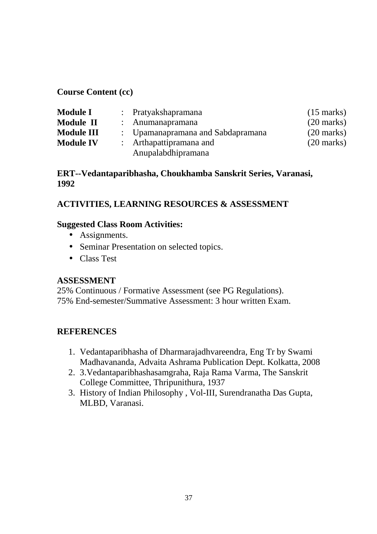**Course Content (cc)** 

| <b>Module I</b>   | : Pratyakshapramana               | $(15 \text{ marks})$ |
|-------------------|-----------------------------------|----------------------|
| <b>Module II</b>  | : Anumanapramana                  | $(20 \text{ marks})$ |
| <b>Module III</b> | : Upamanapramana and Sabdapramana | $(20 \text{ marks})$ |
| <b>Module IV</b>  | : Arthapattipramana and           | $(20 \text{ marks})$ |
|                   | Anupalabdhipramana                |                      |

#### **ERT--Vedantaparibhasha, Choukhamba Sanskrit Series, Varanasi, 1992**

# **ACTIVITIES, LEARNING RESOURCES & ASSESSMENT**

#### **Suggested Class Room Activities:**

- Assignments.
- Seminar Presentation on selected topics.
- Class Test

#### **ASSESSMENT**

25% Continuous / Formative Assessment (see PG Regulations). 75% End-semester/Summative Assessment: 3 hour written Exam.

# **REFERENCES**

- 1. Vedantaparibhasha of Dharmarajadhvareendra, Eng Tr by Swami Madhavananda, Advaita Ashrama Publication Dept. Kolkatta, 2008
- 2. 3.Vedantaparibhashasamgraha, Raja Rama Varma, The Sanskrit College Committee, Thripunithura, 1937
- 3. History of Indian Philosophy , Vol-III, Surendranatha Das Gupta, MLBD, Varanasi.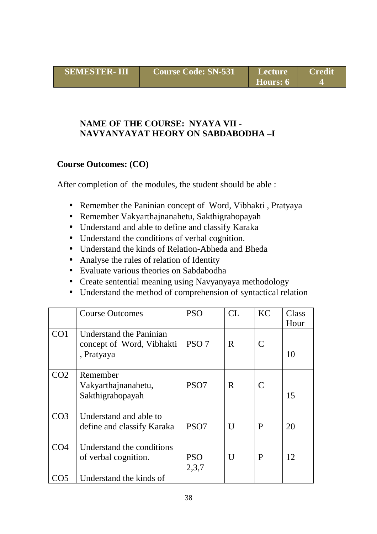# **NAME OF THE COURSE: NYAYA VII - NAVYANYAYAT HEORY ON SABDABODHA –I**

# **Course Outcomes: (CO)**

After completion of the modules, the student should be able :

- Remember the Paninian concept of Word, Vibhakti , Pratyaya
- Remember Vakyarthajnanahetu, Sakthigrahopayah
- Understand and able to define and classify Karaka
- Understand the conditions of verbal cognition.
- Understand the kinds of Relation-Abheda and Bheda
- Analyse the rules of relation of Identity
- Evaluate various theories on Sabdabodha
- Create sentential meaning using Navyanyaya methodology
- Understand the method of comprehension of syntactical relation

|                 | <b>Course Outcomes</b>                                             | <b>PSO</b>          | CL           | <b>KC</b>    | Class |
|-----------------|--------------------------------------------------------------------|---------------------|--------------|--------------|-------|
|                 |                                                                    |                     |              |              | Hour  |
| CO <sub>1</sub> | Understand the Paninian<br>concept of Word, Vibhakti<br>, Pratyaya | PSO <sub>7</sub>    | R            | $\mathsf{C}$ | 10    |
| CO <sub>2</sub> | Remember<br>Vakyarthajnanahetu,<br>Sakthigrahopayah                | PSO <sub>7</sub>    | R            | $\mathsf{C}$ | 15    |
| CO <sub>3</sub> | Understand and able to<br>define and classify Karaka               | PSO <sub>7</sub>    | $\mathbf{U}$ | P            | 20    |
| CO <sub>4</sub> | Understand the conditions<br>of verbal cognition.                  | <b>PSO</b><br>2,3,7 | $\mathbf{U}$ | P            | 12    |
| CO5             | Understand the kinds of                                            |                     |              |              |       |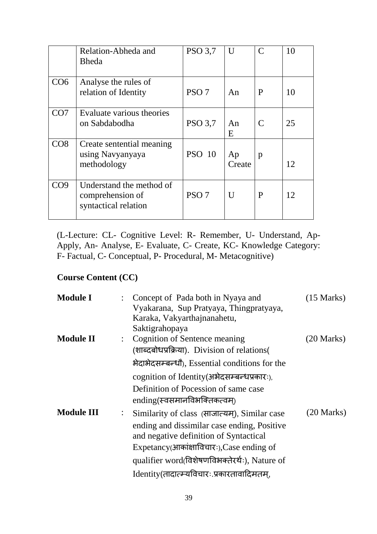|     | Relation-Abheda and<br><b>Bheda</b>                                  | <b>PSO 3,7</b>   | $\mathbf{I}$ | $\mathsf{C}$ | 10 |
|-----|----------------------------------------------------------------------|------------------|--------------|--------------|----|
| CO6 | Analyse the rules of<br>relation of Identity                         | PSO <sub>7</sub> | An           | P            | 10 |
| CO7 | Evaluate various theories<br>on Sabdabodha                           | <b>PSO 3.7</b>   | An<br>E      | C            | 25 |
| CO8 | Create sentential meaning<br>using Navyanyaya<br>methodology         | <b>PSO 10</b>    | Ap<br>Create | p            | 12 |
| CO9 | Understand the method of<br>comprehension of<br>syntactical relation | PSO <sub>7</sub> | $\mathbf{U}$ | P            | 12 |

(L-Lecture: CL- Cognitive Level: R- Remember, U- Understand, Ap-Apply, An- Analyse, E- Evaluate, C- Create, KC- Knowledge Category: F- Factual, C- Conceptual, P- Procedural, M- Metacognitive)

# **Course Content (CC)**

| <b>Module I</b>   | Concept of Pada both in Nyaya and                                                     | $(15 \text{ Marks})$ |
|-------------------|---------------------------------------------------------------------------------------|----------------------|
|                   | Vyakarana, Sup Pratyaya, Thingpratyaya,                                               |                      |
|                   | Karaka, Vakyarthajnanahetu,                                                           |                      |
|                   | Saktigrahopaya                                                                        |                      |
| <b>Module II</b>  | Cognition of Sentence meaning                                                         | $(20 \text{ Marks})$ |
|                   | (शाब्दबोधप्रक्रिया). Division of relations(                                           |                      |
|                   | भेदाभेदसम्बन्धौ), Essential conditions for the                                        |                      |
|                   | cognition of Identity (अभेदसम्बन्धप्रकारः),                                           |                      |
|                   | Definition of Pocession of same case                                                  |                      |
|                   | ending(स्वसमानविभक्तिकत्वम)                                                           |                      |
| <b>Module III</b> | Similarity of class (साजात्यम्), Similar case                                         | $(20$ Marks)         |
|                   | ending and dissimilar case ending, Positive<br>and negative definition of Syntactical |                      |
|                   | Expetancy(आकांक्षाविचारः), Case ending of                                             |                      |
|                   | qualifier word(विशेषणविभक्तेरर्थः), Nature of                                         |                      |
|                   | Identity(तादात्म्यविचार:.प्रकारतावादिमतम,                                             |                      |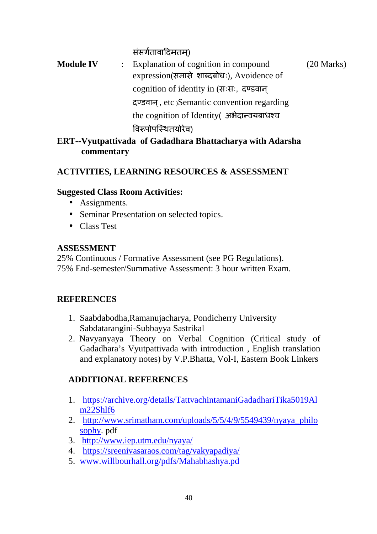संसर्गतावादिमतम)

**Module IV** : Explanation of cognition in compound expression(समासे शाब्दबोधः), Avoidence of cognition of identity in (सःसः, दण्डवान दण्डवान, etc)Semantic convention regarding the cognition of Identity( अभेदान्वयबाधश्च विरूपोपस्थितयोरेव) (20 Marks)

# **ERT--Vyutpattivada of Gadadhara Bhattacharya with Adarsha commentary**

# **ACTIVITIES, LEARNING RESOURCES & ASSESSMENT**

# **Suggested Class Room Activities:**

- Assignments.
- Seminar Presentation on selected topics.
- Class Test

# **ASSESSMENT**

25% Continuous / Formative Assessment (see PG Regulations). 75% End-semester/Summative Assessment: 3 hour written Exam.

# **REFERENCES**

- 1. Saabdabodha,Ramanujacharya, Pondicherry University Sabdatarangini-Subbayya Sastrikal
- 2. Navyanyaya Theory on Verbal Cognition (Critical study of Gadadhara's Vyutpattivada with introduction , English translation and explanatory notes) by V.P.Bhatta, Vol-I, Eastern Book Linkers

- 1. https://archive.org/details/TattvachintamaniGadadhariTika5019Al m22Shlf6
- 2. http://www.srimatham.com/uploads/5/5/4/9/5549439/nyaya\_philo sophy. pdf
- 3. http://www.iep.utm.edu/nyaya/
- 4. https://sreenivasaraos.com/tag/vakyapadiya/
- 5. www.willbourhall.org/pdfs/Mahabhashya.pd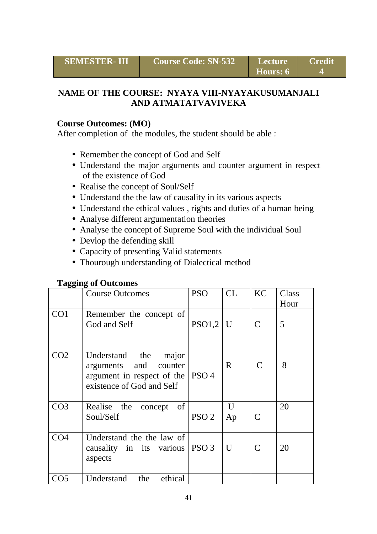| <b>SEMESTER- III</b> | <b>Course Code: SN-532</b> | Lecture         | <b>Credit</b> |
|----------------------|----------------------------|-----------------|---------------|
|                      |                            | <b>Hours: 6</b> |               |

# **NAME OF THE COURSE: NYAYA VIII-NYAYAKUSUMANJALI AND ATMATATVAVIVEKA**

### **Course Outcomes: (MO)**

After completion of the modules, the student should be able :

- Remember the concept of God and Self
- Understand the major arguments and counter argument in respect of the existence of God
- Realise the concept of Soul/Self
- Understand the the law of causality in its various aspects
- Understand the ethical values , rights and duties of a human being
- Analyse different argumentation theories
- Analyse the concept of Supreme Soul with the individual Soul
- Devlop the defending skill
- Capacity of presenting Valid statements
- Thourough understanding of Dialectical method

### **Tagging of Outcomes**

| -00-            |                                                                                                                           |                  |         |               |       |
|-----------------|---------------------------------------------------------------------------------------------------------------------------|------------------|---------|---------------|-------|
|                 | <b>Course Outcomes</b>                                                                                                    | <b>PSO</b>       | CL      | <b>KC</b>     | Class |
|                 |                                                                                                                           |                  |         |               | Hour  |
| CO <sub>1</sub> | Remember the concept of<br>God and Self                                                                                   | PSO1,2           | $\bf U$ | $\mathcal{C}$ | 5     |
|                 |                                                                                                                           |                  |         |               |       |
| CO <sub>2</sub> | Understand the<br>major<br>arguments and counter<br>argument in respect of the $\vert$ PSO 4<br>existence of God and Self |                  | R       | $\mathcal{C}$ | 8     |
| CO <sub>3</sub> | Realise the concept of<br>Soul/Self                                                                                       | PSO <sub>2</sub> | U<br>Ap | $\mathsf{C}$  | 20    |
| CO <sub>4</sub> | Understand the the law of<br>causality in its various   PSO 3<br>aspects                                                  |                  | U       | $\mathcal{C}$ | 20    |
| CO <sub>5</sub> | ethical<br>Understand<br>the                                                                                              |                  |         |               |       |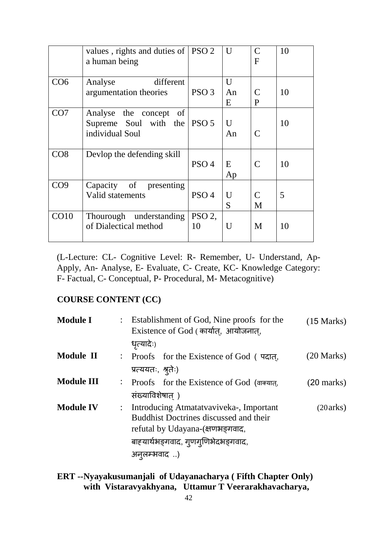|                 | values, rights and duties of   PSO 2<br>a human being                        |                  | U              | $\mathcal{C}$<br>$\mathbf{F}$ | 10 |
|-----------------|------------------------------------------------------------------------------|------------------|----------------|-------------------------------|----|
| CO6             | different<br>Analyse<br>argumentation theories                               | PSO <sub>3</sub> | U<br>An<br>E   | $\mathsf{C}$<br>$\mathbf{P}$  | 10 |
| CO <sub>7</sub> | Analyse the concept<br>of<br>Supreme Soul with the $PSO5$<br>individual Soul |                  | U<br>An        | $\mathcal{C}_{\mathcal{C}}$   | 10 |
| CO8             | Devlop the defending skill                                                   | PSO <sub>4</sub> | E<br>Ap        | $\mathcal{C}$                 | 10 |
| CO9             | Capacity of presenting<br>Valid statements                                   | PSO <sub>4</sub> | U<br>S         | $\mathcal{C}$<br>M            | 5  |
| CO10            | Thourough understanding<br>of Dialectical method                             | PSO 2,<br>10     | $\overline{U}$ | M                             | 10 |

(L-Lecture: CL- Cognitive Level: R- Remember, U- Understand, Ap-Apply, An- Analyse, E- Evaluate, C- Create, KC- Knowledge Category: F- Factual, C- Conceptual, P- Procedural, M- Metacognitive)

# **COURSE CONTENT (CC)**

| <b>Module I</b>   |                | : Establishment of God, Nine proofs for the<br>Existence of God (कार्यात्, आयोजनात्,                                  | $(15 \text{ Marks})$ |
|-------------------|----------------|-----------------------------------------------------------------------------------------------------------------------|----------------------|
|                   |                | धृत्यादेः)                                                                                                            |                      |
| Module II         |                | : Proofs for the Existence of God (पदात,                                                                              | $(20$ Marks)         |
|                   |                | प्रत्ययतः, श्रुतेः)                                                                                                   |                      |
| <b>Module III</b> |                | : Proofs for the Existence of God (वाक्यात्,                                                                          | $(20 \text{ marks})$ |
|                   |                | संख्याविशेषात)                                                                                                        |                      |
| <b>Module IV</b>  | $\ddot{\cdot}$ | Introducing Atmatatyaviveka-, Important<br>Buddhist Doctrines discussed and their<br>refutal by Udayana-(क्षणभङ्गवाद, | $(20 \text{arks})$   |
|                   |                | बाह्यार्थभङ्गवाद, गुणगुणिभेदभङ्गवाद,                                                                                  |                      |
|                   |                | अन् <i>लम्भवाद</i> )                                                                                                  |                      |

**ERT --Nyayakusumanjali of Udayanacharya ( Fifth Chapter Only) with Vistaravyakhyana, Uttamur T Veerarakhavacharya,**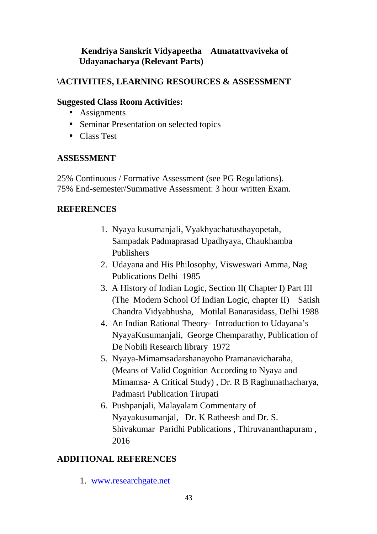# **Kendriya Sanskrit Vidyapeetha Atmatattvaviveka of Udayanacharya (Relevant Parts)**

# **\ACTIVITIES, LEARNING RESOURCES & ASSESSMENT**

## **Suggested Class Room Activities:**

- Assignments
- Seminar Presentation on selected topics
- Class Test

# **ASSESSMENT**

25% Continuous / Formative Assessment (see PG Regulations). 75% End-semester/Summative Assessment: 3 hour written Exam.

# **REFERENCES**

- 1. Nyaya kusumanjali, Vyakhyachatusthayopetah, Sampadak Padmaprasad Upadhyaya, Chaukhamba Publishers
- 2. Udayana and His Philosophy, Visweswari Amma, Nag Publications Delhi 1985
- 3. A History of Indian Logic, Section II( Chapter I) Part III (The Modern School Of Indian Logic, chapter II) Satish Chandra Vidyabhusha, Motilal Banarasidass, Delhi 1988
- 4. An Indian Rational Theory- Introduction to Udayana's NyayaKusumanjali, George Chemparathy, Publication of De Nobili Research library 1972
- 5. Nyaya-Mimamsadarshanayoho Pramanavicharaha, (Means of Valid Cognition According to Nyaya and Mimamsa- A Critical Study) , Dr. R B Raghunathacharya, Padmasri Publication Tirupati
- 6. Pushpanjali, Malayalam Commentary of Nyayakusumanjal, Dr. K Ratheesh and Dr. S. Shivakumar Paridhi Publications , Thiruvananthapuram , 2016

# **ADDITIONAL REFERENCES**

1. www.researchgate.net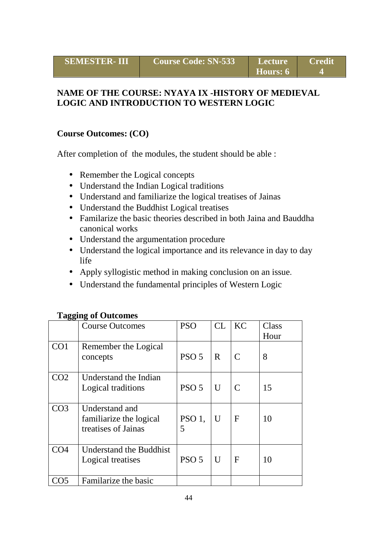# **NAME OF THE COURSE: NYAYA IX -HISTORY OF MEDIEVAL LOGIC AND INTRODUCTION TO WESTERN LOGIC**

# **Course Outcomes: (CO)**

After completion of the modules, the student should be able :

- Remember the Logical concepts
- Understand the Indian Logical traditions
- Understand and familiarize the logical treatises of Jainas
- Understand the Buddhist Logical treatises
- Familarize the basic theories described in both Jaina and Bauddha canonical works
- Understand the argumentation procedure
- Understand the logical importance and its relevance in day to day life
- Apply syllogistic method in making conclusion on an issue.
- Understand the fundamental principles of Western Logic

|                 | <b>Course Outcomes</b>                                           | <b>PSO</b>              | CL             | KC           | Class<br>Hour |
|-----------------|------------------------------------------------------------------|-------------------------|----------------|--------------|---------------|
| CO <sub>1</sub> | Remember the Logical<br>concepts                                 | PSO <sub>5</sub>        | $\mathbf{R}$   | C            | 8             |
| CO <sub>2</sub> | Understand the Indian<br>Logical traditions                      | PSO <sub>5</sub>        | U              | $\mathsf{C}$ | 15            |
| CO <sub>3</sub> | Understand and<br>familiarize the logical<br>treatises of Jainas | PSO <sub>1</sub> ,<br>5 | U              | $\mathbf{F}$ | 10            |
| CO <sub>4</sub> | <b>Understand the Buddhist</b><br>Logical treatises              | PSO <sub>5</sub>        | $\overline{U}$ | $\mathbf F$  | 10            |
|                 | Familarize the basic                                             |                         |                |              |               |

# **Tagging of Outcomes**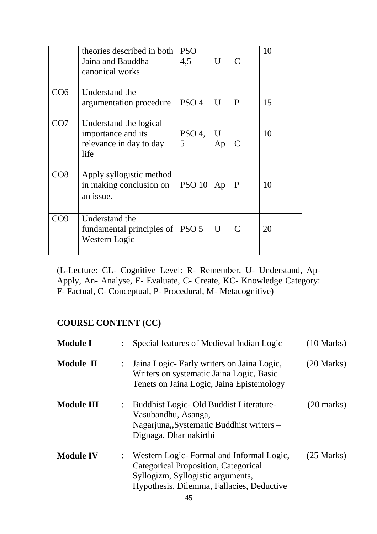|     | theories described in both<br>Jaina and Bauddha<br>canonical works              | <b>PSO</b><br>4,5     | U                 | $\mathcal{C}_{\mathcal{C}}$ | 10 |
|-----|---------------------------------------------------------------------------------|-----------------------|-------------------|-----------------------------|----|
| CO6 | Understand the<br>argumentation procedure                                       | PSO <sub>4</sub>      | $\mathbf{U}$      | P                           | 15 |
| CO7 | Understand the logical<br>importance and its<br>relevance in day to day<br>life | PSO <sub>4</sub><br>5 | $\mathbf U$<br>Ap | C                           | 10 |
| CO8 | Apply syllogistic method<br>in making conclusion on<br>an issue.                | <b>PSO 10</b>         | Ap                | P                           | 10 |
| CO9 | Understand the<br>fundamental principles of   PSO 5<br>Western Logic            |                       | $\mathbf{U}$      | C                           | 20 |

(L-Lecture: CL- Cognitive Level: R- Remember, U- Understand, Ap-Apply, An- Analyse, E- Evaluate, C- Create, KC- Knowledge Category: F- Factual, C- Conceptual, P- Procedural, M- Metacognitive)

# **COURSE CONTENT (CC)**

| <b>Module I</b>   | Special features of Medieval Indian Logic                                                                                                                          | $(10 \text{ Marks})$ |
|-------------------|--------------------------------------------------------------------------------------------------------------------------------------------------------------------|----------------------|
| Module II         | : Jaina Logic- Early writers on Jaina Logic,<br>Writers on systematic Jaina Logic, Basic<br>Tenets on Jaina Logic, Jaina Epistemology                              | $(20$ Marks)         |
| <b>Module III</b> | Buddhist Logic- Old Buddist Literature-<br>Vasubandhu, Asanga,<br>Nagarjuna,,Systematic Buddhist writers –<br>Dignaga, Dharmakirthi                                | (20 marks)           |
| <b>Module IV</b>  | Western Logic-Formal and Informal Logic,<br>Categorical Proposition, Categorical<br>Syllogizm, Syllogistic arguments,<br>Hypothesis, Dilemma, Fallacies, Deductive | $(25 \text{ Marks})$ |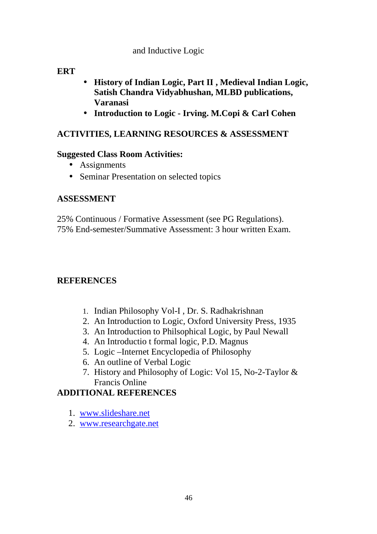### and Inductive Logic

### **ERT**

- **History of Indian Logic, Part II , Medieval Indian Logic, Satish Chandra Vidyabhushan, MLBD publications, Varanasi**
- **Introduction to Logic Irving. M.Copi & Carl Cohen**

# **ACTIVITIES, LEARNING RESOURCES & ASSESSMENT**

### **Suggested Class Room Activities:**

- Assignments
- Seminar Presentation on selected topics

## **ASSESSMENT**

25% Continuous / Formative Assessment (see PG Regulations). 75% End-semester/Summative Assessment: 3 hour written Exam.

# **REFERENCES**

- 1. Indian Philosophy Vol-I , Dr. S. Radhakrishnan
- 2. An Introduction to Logic, Oxford University Press, 1935
- 3. An Introduction to Philsophical Logic, by Paul Newall
- 4. An Introductio t formal logic, P.D. Magnus
- 5. Logic –Internet Encyclopedia of Philosophy
- 6. An outline of Verbal Logic
- 7. History and Philosophy of Logic: Vol 15, No-2-Taylor & Francis Online

- 1. www.slideshare.net
- 2. www.researchgate.net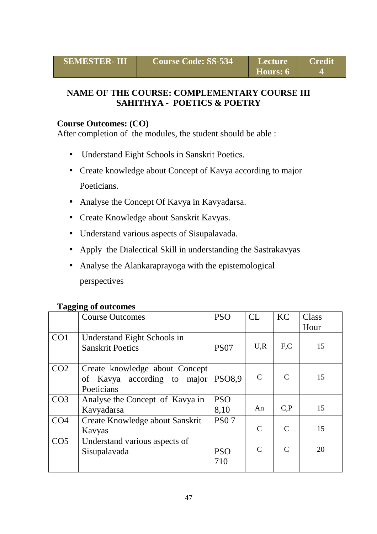# **NAME OF THE COURSE: COMPLEMENTARY COURSE III SAHITHYA - POETICS & POETRY**

### **Course Outcomes: (CO)**

After completion of the modules, the student should be able :

- Understand Eight Schools in Sanskrit Poetics.
- Create knowledge about Concept of Kavya according to major Poeticians.
- Analyse the Concept Of Kavya in Kavyadarsa.
- Create Knowledge about Sanskrit Kavyas.
- Understand various aspects of Sisupalavada.
- Apply the Dialectical Skill in understanding the Sastrakavyas
- Analyse the Alankaraprayoga with the epistemological perspectives

### **Tagging of outcomes**

| oo.             | o<br><b>Course Outcomes</b>                                                 | <b>PSO</b>         | CL            | <b>KC</b>     | Class<br>Hour |
|-----------------|-----------------------------------------------------------------------------|--------------------|---------------|---------------|---------------|
| CO <sub>1</sub> | Understand Eight Schools in<br><b>Sanskrit Poetics</b>                      | <b>PS07</b>        | U, R          | F, C          | 15            |
| CO <sub>2</sub> | Create knowledge about Concept<br>of Kavya according to major<br>Poeticians | <b>PSO8.9</b>      | $\mathcal{C}$ | $\mathcal{C}$ | 15            |
| CO <sub>3</sub> | Analyse the Concept of Kavya in<br>Kavyadarsa                               | <b>PSO</b><br>8,10 | An            | C.P           | 15            |
| CO <sub>4</sub> | Create Knowledge about Sanskrit<br>Kavyas                                   | <b>PS07</b>        | $\mathsf{C}$  | $\mathcal{C}$ | 15            |
| CO <sub>5</sub> | Understand various aspects of<br>Sisupalavada                               | <b>PSO</b><br>710  | $\mathcal{C}$ | $\mathcal{C}$ | 20            |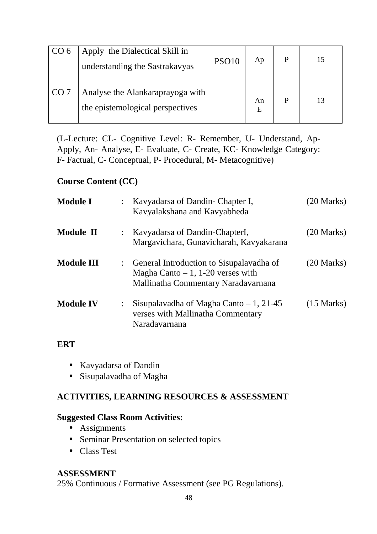| CO <sub>6</sub> | Apply the Dialectical Skill in                                       | PSO <sub>10</sub> | Ap      | P |  |
|-----------------|----------------------------------------------------------------------|-------------------|---------|---|--|
|                 | understanding the Sastrakavyas                                       |                   |         |   |  |
| CO <sub>7</sub> | Analyse the Alankaraprayoga with<br>the epistemological perspectives |                   | An<br>E | P |  |

(L-Lecture: CL- Cognitive Level: R- Remember, U- Understand, Ap-Apply, An- Analyse, E- Evaluate, C- Create, KC- Knowledge Category: F- Factual, C- Conceptual, P- Procedural, M- Metacognitive)

# **Course Content (CC)**

| <b>Module I</b>   | : Kavyadarsa of Dandin- Chapter I,<br>Kavyalakshana and Kavyabheda                                                       | (20 Marks)           |
|-------------------|--------------------------------------------------------------------------------------------------------------------------|----------------------|
| Module II         | : Kavyadarsa of Dandin-ChapterI,<br>Margavichara, Gunavicharah, Kavyakarana                                              | (20 Marks)           |
| <b>Module III</b> | : General Introduction to Sisupalavadha of<br>Magha Canto $-1$ , 1-20 verses with<br>Mallinatha Commentary Naradavarnana | $(20$ Marks)         |
| <b>Module IV</b>  | Sisupalavadha of Magha Canto $-1$ , 21-45<br>verses with Mallinatha Commentary<br>Naradavarnana                          | $(15 \text{ Marks})$ |

### **ERT**

- Kavyadarsa of Dandin
- Sisupalavadha of Magha

# **ACTIVITIES, LEARNING RESOURCES & ASSESSMENT**

### **Suggested Class Room Activities:**

- Assignments
- Seminar Presentation on selected topics
- Class Test

### **ASSESSMENT**

25% Continuous / Formative Assessment (see PG Regulations).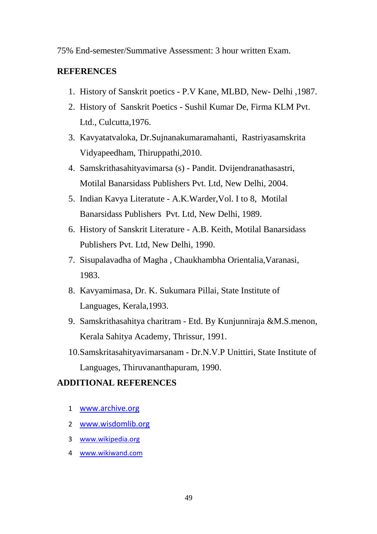75% End-semester/Summative Assessment: 3 hour written Exam.

### **REFERENCES**

- 1. History of Sanskrit poetics P.V Kane, MLBD, New- Delhi ,1987.
- 2. History of Sanskrit Poetics Sushil Kumar De, Firma KLM Pvt. Ltd., Culcutta,1976.
- 3. Kavyatatvaloka, Dr.Sujnanakumaramahanti, Rastriyasamskrita Vidyapeedham, Thiruppathi,2010.
- 4. Samskrithasahityavimarsa (s) Pandit. Dvijendranathasastri, Motilal Banarsidass Publishers Pvt. Ltd, New Delhi, 2004.
- 5. Indian Kavya Literatute A.K.Warder,Vol. I to 8, Motilal Banarsidass Publishers Pvt. Ltd, New Delhi, 1989.
- 6. History of Sanskrit Literature A.B. Keith, Motilal Banarsidass Publishers Pvt. Ltd, New Delhi, 1990.
- 7. Sisupalavadha of Magha , Chaukhambha Orientalia,Varanasi, 1983.
- 8. Kavyamimasa, Dr. K. Sukumara Pillai, State Institute of Languages, Kerala,1993.
- 9. Samskrithasahitya charitram Etd. By Kunjunniraja &M.S.menon, Kerala Sahitya Academy, Thrissur, 1991.
- 10.Samskritasahityavimarsanam Dr.N.V.P Unittiri, State Institute of Languages, Thiruvananthapuram, 1990.

- 1 www.archive.org
- 2 www.wisdomlib.org
- 3 www.wikipedia.org
- 4 www.wikiwand.com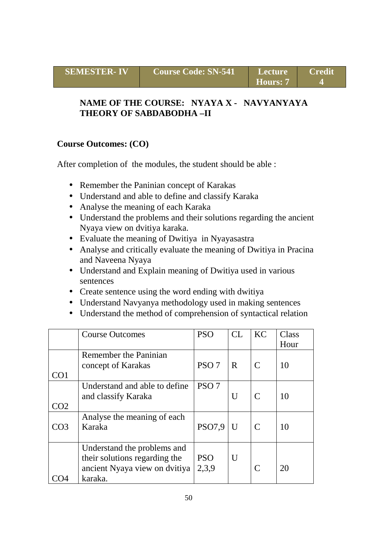# **NAME OF THE COURSE: NYAYA X - NAVYANYAYA THEORY OF SABDABODHA –II**

# **Course Outcomes: (CO)**

After completion of the modules, the student should be able :

- Remember the Paninian concept of Karakas
- Understand and able to define and classify Karaka
- Analyse the meaning of each Karaka
- Understand the problems and their solutions regarding the ancient Nyaya view on dvitiya karaka.
- Evaluate the meaning of Dwitiya in Nyayasastra
- Analyse and critically evaluate the meaning of Dwitiya in Pracina and Naveena Nyaya
- Understand and Explain meaning of Dwitiya used in various sentences
- Create sentence using the word ending with dwitiya
- Understand Navyanya methodology used in making sentences
- Understand the method of comprehension of syntactical relation

|     | <b>Course Outcomes</b>        | <b>PSO</b>       | CL           | KC            | Class |
|-----|-------------------------------|------------------|--------------|---------------|-------|
|     |                               |                  |              |               | Hour  |
|     | Remember the Paninian         |                  |              |               |       |
|     | concept of Karakas            | PSO <sub>7</sub> | R            | $\mathcal{C}$ | 10    |
| CO1 |                               |                  |              |               |       |
|     | Understand and able to define | PSO <sub>7</sub> |              |               |       |
|     | and classify Karaka           |                  | U            | $\mathcal{C}$ | 10    |
| CO2 |                               |                  |              |               |       |
|     | Analyse the meaning of each   |                  |              |               |       |
| CO3 | Karaka                        | PSO7,9           | $\mathbf{U}$ | $\mathcal{C}$ | 10    |
|     |                               |                  |              |               |       |
|     | Understand the problems and   |                  |              |               |       |
|     | their solutions regarding the | <b>PSO</b>       | U            |               |       |
|     | ancient Nyaya view on dvitiya | 2,3,9            |              | $\mathcal{C}$ | 20    |
|     | karaka.                       |                  |              |               |       |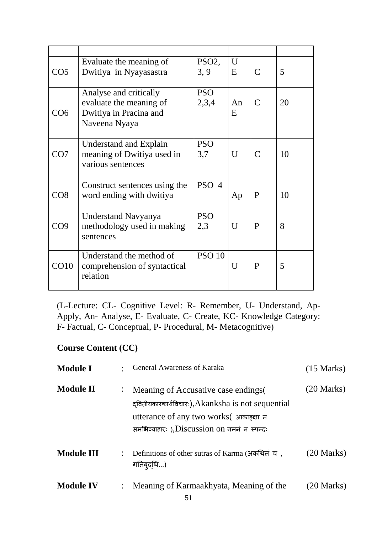|                 | Evaluate the meaning of       | PSO <sub>2</sub> | U  |               |    |
|-----------------|-------------------------------|------------------|----|---------------|----|
| CO <sub>5</sub> | Dwitiya in Nyayasastra        | 3, 9             | E  | $\mathcal{C}$ | 5  |
|                 |                               |                  |    |               |    |
|                 | Analyse and critically        | <b>PSO</b>       |    |               |    |
|                 | evaluate the meaning of       | 2,3,4            | An | $\mathcal{C}$ | 20 |
| CO <sub>6</sub> | Dwitiya in Pracina and        |                  | E  |               |    |
|                 | Naveena Nyaya                 |                  |    |               |    |
|                 |                               |                  |    |               |    |
|                 | Understand and Explain        | <b>PSO</b>       |    |               |    |
| CO7             | meaning of Dwitiya used in    | 3,7              | U  | $\mathcal{C}$ | 10 |
|                 | various sentences             |                  |    |               |    |
|                 | Construct sentences using the | PSO 4            |    |               |    |
| CO8             | word ending with dwitiya      |                  | Ap | $\mathbf{P}$  | 10 |
|                 |                               |                  |    |               |    |
|                 | <b>Understand Navyanya</b>    | <b>PSO</b>       |    |               |    |
| CO <sub>9</sub> | methodology used in making    | 2,3              | U  | P             | 8  |
|                 | sentences                     |                  |    |               |    |
|                 |                               |                  |    |               |    |
|                 | Understand the method of      | <b>PSO 10</b>    |    |               |    |
| CO10            | comprehension of syntactical  |                  | U  | P             | 5  |
|                 | relation                      |                  |    |               |    |
|                 |                               |                  |    |               |    |

(L-Lecture: CL- Cognitive Level: R- Remember, U- Understand, Ap-Apply, An- Analyse, E- Evaluate, C- Create, KC- Knowledge Category: F- Factual, C- Conceptual, P- Procedural, M- Metacognitive)

# **Course Content (CC)**

| <b>Module I</b>   |                | General Awareness of Karaka                                                                                                                                                         | $(15 \text{ Marks})$ |
|-------------------|----------------|-------------------------------------------------------------------------------------------------------------------------------------------------------------------------------------|----------------------|
| <b>Module II</b>  | $\ddot{\cdot}$ | Meaning of Accusative case endings<br>दवितीयकारकार्थविचारः), Akanksha is not sequential<br>utterance of any two works( आकाइक्षा न<br>समभिव्याहारः ), $Discussion$ on गमनं न स्पन्दः | (20 Marks)           |
| <b>Module III</b> |                | Definitions of other sutras of Karma (अकथितं च,<br>गतिबुद्धि)                                                                                                                       | $(20 \text{ Marks})$ |
| <b>Module IV</b>  |                | Meaning of Karmaakhyata, Meaning of the                                                                                                                                             | 20 Marks)            |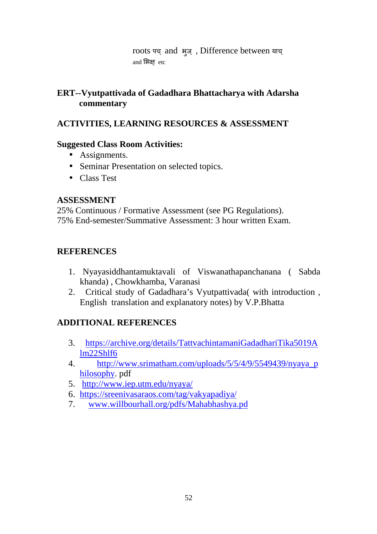roots पच् and भुज् , Difference between याच् and भिक्ष etc

# **ERT--Vyutpattivada of Gadadhara Bhattacharya with Adarsha commentary**

# **ACTIVITIES, LEARNING RESOURCES & ASSESSMENT**

## **Suggested Class Room Activities:**

- Assignments.
- Seminar Presentation on selected topics.
- Class Test

### **ASSESSMENT**

25% Continuous / Formative Assessment (see PG Regulations). 75% End-semester/Summative Assessment: 3 hour written Exam.

# **REFERENCES**

- 1. Nyayasiddhantamuktavali of Viswanathapanchanana ( Sabda khanda) , Chowkhamba, Varanasi
- 2. Critical study of Gadadhara's Vyutpattivada( with introduction , English translation and explanatory notes) by V.P.Bhatta

- 3. https://archive.org/details/TattvachintamaniGadadhariTika5019A lm22Shlf6
- 4. http://www.srimatham.com/uploads/5/5/4/9/5549439/nyaya\_p hilosophy. pdf
- 5. http://www.iep.utm.edu/nyaya/
- 6. https://sreenivasaraos.com/tag/vakyapadiya/
- 7. www.willbourhall.org/pdfs/Mahabhashya.pd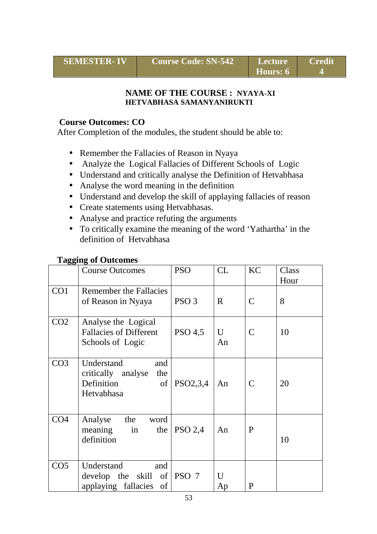| <b>SEMESTER-IV</b> | <b>Course Code: SN-542</b> | 'Lecture | \Credit\ |
|--------------------|----------------------------|----------|----------|
|                    |                            | Hours: 6 |          |

### **NAME OF THE COURSE : NYAYA-XI HETVABHASA SAMANYANIRUKTI**

### **Course Outcomes: CO**

After Completion of the modules, the student should be able to:

- Remember the Fallacies of Reason in Nyaya
- Analyze the Logical Fallacies of Different Schools of Logic
- Understand and critically analyse the Definition of Hetvabhasa
- Analyse the word meaning in the definition
- Understand and develop the skill of applaying fallacies of reason
- Create statements using Hetvabhasas.
- Analyse and practice refuting the arguments
- To critically examine the meaning of the word 'Yathartha' in the definition of Hetvabhasa

|                 | <b>Course Outcomes</b>                                                                        | <b>PSO</b>       | CL      | KC            | Class     |
|-----------------|-----------------------------------------------------------------------------------------------|------------------|---------|---------------|-----------|
| CO <sub>1</sub> | <b>Remember the Fallacies</b><br>of Reason in Nyaya                                           | PSO <sub>3</sub> | R       | $\mathcal{C}$ | Hour<br>8 |
| CO <sub>2</sub> | Analyse the Logical<br><b>Fallacies of Different</b><br>Schools of Logic                      | <b>PSO 4,5</b>   | U<br>An | $\mathcal{C}$ | 10        |
| CO <sub>3</sub> | Understand<br>and<br>critically analyse the<br>Definition<br>$\circ$ of $\vert$<br>Hetvabhasa | PSO2,3,4         | An      | $\mathsf{C}$  | 20        |
| CO <sub>4</sub> | the word<br>Analyse<br>meaning in<br>the<br>definition                                        | <b>PSO 2.4</b>   | An      | P             | 10        |
| CO <sub>5</sub> | Understand<br>and<br>develop the skill of $ PSO 7$<br>applaying fallacies<br>of               |                  | U<br>Ap | P             |           |

### **Tagging of Outcomes**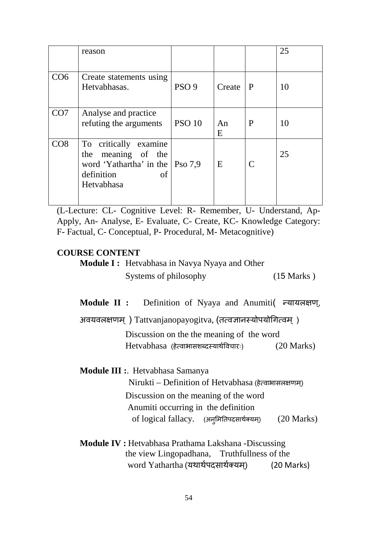|     | reason                                                                                                                  |                  |         |   | 25 |
|-----|-------------------------------------------------------------------------------------------------------------------------|------------------|---------|---|----|
| CO6 | Create statements using<br>Hetvabhasas.                                                                                 | PSO <sub>9</sub> | Create  | P | 10 |
| CO7 | Analyse and practice<br>refuting the arguments                                                                          | <b>PSO 10</b>    | An<br>Ε | P | 10 |
| CO8 | To critically examine<br>meaning of the<br>the<br>word 'Yathartha' in the   Pso $7.9$<br>definition<br>of<br>Hetvabhasa |                  | E       |   | 25 |

(L-Lecture: CL- Cognitive Level: R- Remember, U- Understand, Ap-Apply, An- Analyse, E- Evaluate, C- Create, KC- Knowledge Category: F- Factual, C- Conceptual, P- Procedural, M- Metacognitive)

### **COURSE CONTENT**

**Module I:** Hetvabhasa in Navya Nyaya and Other Systems of philosophy(15 Marks )

Module II : Definition of Nyaya and Anumiti( न्यायलक्षण,

अवयवलक्षणम् ) Tattvanjanopayogitva, (तत्वज्ञानस्योपयोगित्वम)

Discussion on the the meaning of the word Hetvabhasa (हेत्वाभासशब्दस्यार्थविचारः)  $(20 \text{ Marks})$ 

**Module III :**. Hetvabhasa Samanya Nirukti – Definition of Hetvabhasa (हेवाभासल"णम)् Discussion on the meaning of the word Anumiti occurring in the definition

of logical fallacy. (अनुमितिपदसार्थक्यम) (20 Marks)

**Module IV :** Hetvabhasa Prathama Lakshana -Discussing the view Lingopadhana, Truthfullness of the word Yathartha (यथार्थपदसार्थक्यम) (20 Marks)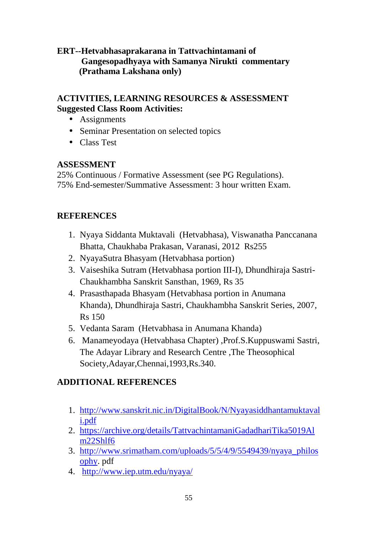# **ERT--Hetvabhasaprakarana in Tattvachintamani of Gangesopadhyaya with Samanya Nirukti commentary (Prathama Lakshana only)**

# **ACTIVITIES, LEARNING RESOURCES & ASSESSMENT Suggested Class Room Activities:**

- Assignments
- Seminar Presentation on selected topics
- Class Test

# **ASSESSMENT**

25% Continuous / Formative Assessment (see PG Regulations). 75% End-semester/Summative Assessment: 3 hour written Exam.

# **REFERENCES**

- 1. Nyaya Siddanta Muktavali (Hetvabhasa), Viswanatha Panccanana Bhatta, Chaukhaba Prakasan, Varanasi, 2012 Rs255
- 2. NyayaSutra Bhasyam (Hetvabhasa portion)
- 3. Vaiseshika Sutram (Hetvabhasa portion III-I), Dhundhiraja Sastri-Chaukhambha Sanskrit Sansthan, 1969, Rs 35
- 4. Prasasthapada Bhasyam (Hetvabhasa portion in Anumana Khanda), Dhundhiraja Sastri, Chaukhambha Sanskrit Series, 2007, Rs 150
- 5. Vedanta Saram (Hetvabhasa in Anumana Khanda)
- 6. Manameyodaya (Hetvabhasa Chapter) ,Prof.S.Kuppuswami Sastri, The Adayar Library and Research Centre ,The Theosophical Society,Adayar,Chennai,1993,Rs.340.

- 1. http://www.sanskrit.nic.in/DigitalBook/N/Nyayasiddhantamuktaval i.pdf
- 2. https://archive.org/details/TattvachintamaniGadadhariTika5019Al m22Shlf6
- 3. http://www.srimatham.com/uploads/5/5/4/9/5549439/nyaya\_philos ophy. pdf
- 4. http://www.iep.utm.edu/nyaya/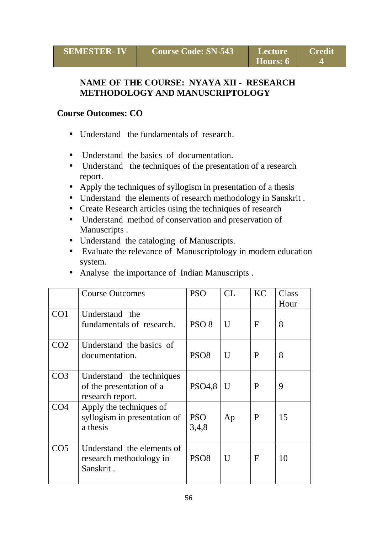# **NAME OF THE COURSE: NYAYA XII - RESEARCH METHODOLOGY AND MANUSCRIPTOLOGY**

### **Course Outcomes: CO**

- Understand the fundamentals of research.
- Understand the basics of documentation.
- Understand the techniques of the presentation of a research report.
- Apply the techniques of syllogism in presentation of a thesis
- Understand the elements of research methodology in Sanskrit .
- Create Research articles using the techniques of research
- Understand method of conservation and preservation of Manuscripts .
- Understand the cataloging of Manuscripts.
- Evaluate the relevance of Manuscriptology in modern education system.
- Analyse the importance of Indian Manuscripts .

|                 | <b>Course Outcomes</b>                                                    | <b>PSO</b>          | CL          | <b>KC</b>    | Class<br>Hour |
|-----------------|---------------------------------------------------------------------------|---------------------|-------------|--------------|---------------|
| CO <sub>1</sub> | Understand the<br>fundamentals of research.                               | PSO <sub>8</sub>    | U           | $\mathbf F$  | 8             |
| CO <sub>2</sub> | Understand the basics of<br>documentation.                                | PSO <sub>8</sub>    | U           | P            | 8             |
| CO <sub>3</sub> | Understand the techniques<br>of the presentation of a<br>research report. | <b>PSO4,8</b>       | $\mathbf U$ | P            | 9             |
| CO <sub>4</sub> | Apply the techniques of<br>syllogism in presentation of<br>a thesis       | <b>PSO</b><br>3,4,8 | Ap          | P            | 15            |
| CO <sub>5</sub> | Understand the elements of<br>research methodology in<br>Sanskrit.        | PSO <sub>8</sub>    | U           | $\mathbf{F}$ | 10            |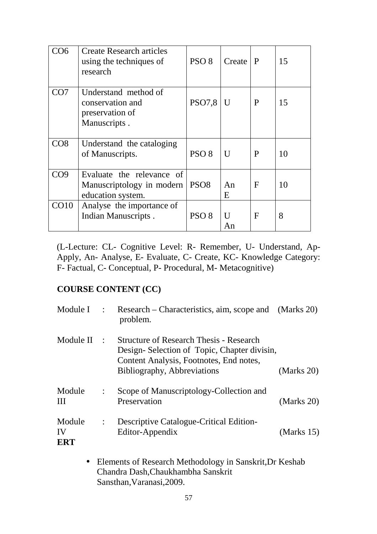| CO6              | <b>Create Research articles</b><br>using the techniques of<br>research      | PSO <sub>8</sub> | Create       | $\mathbf{P}$ | 15 |
|------------------|-----------------------------------------------------------------------------|------------------|--------------|--------------|----|
| CO <sub>7</sub>  | Understand method of<br>conservation and<br>preservation of<br>Manuscripts. | <b>PSO7,8</b>    | U            | P            | 15 |
| CO8              | Understand the cataloging<br>of Manuscripts.                                | PSO <sub>8</sub> | U            | P            | 10 |
| CO9              | Evaluate the relevance of<br>Manuscriptology in modern<br>education system. | PSO <sub>8</sub> | An<br>E      | $\mathbf{F}$ | 10 |
| CO <sub>10</sub> | Analyse the importance of<br>Indian Manuscripts.                            | PSO <sub>8</sub> | $\mathbf{U}$ | $\mathbf F$  | 8  |

(L-Lecture: CL- Cognitive Level: R- Remember, U- Understand, Ap-Apply, An- Analyse, E- Evaluate, C- Create, KC- Knowledge Category: F- Factual, C- Conceptual, P- Procedural, M- Metacognitive)

# **COURSE CONTENT (CC)**

| Module I            | $\mathbb{R}^2$       | Research – Characteristics, aim, scope and (Marks 20)<br>problem.                                                                                                       |               |
|---------------------|----------------------|-------------------------------------------------------------------------------------------------------------------------------------------------------------------------|---------------|
| Module II           | $\mathcal{L}$        | <b>Structure of Research Thesis - Research</b><br>Design-Selection of Topic, Chapter divisin,<br>Content Analysis, Footnotes, End notes,<br>Bibliography, Abbreviations | (Marks 20)    |
| Module<br>Ш         | $\ddot{\phantom{a}}$ | Scope of Manuscriptology-Collection and<br>Preservation                                                                                                                 | (Marks 20)    |
| Module<br>IV<br>ERT | $\ddot{\cdot}$       | Descriptive Catalogue-Critical Edition-<br>Editor-Appendix                                                                                                              | (Marks $15$ ) |

• Elements of Research Methodology in Sanskrit,Dr Keshab Chandra Dash,Chaukhambha Sanskrit Sansthan,Varanasi,2009.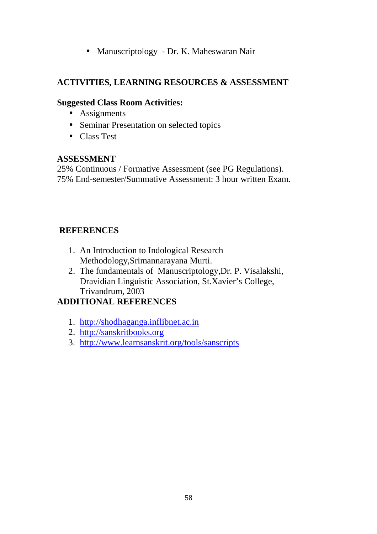• Manuscriptology - Dr. K. Maheswaran Nair

# **ACTIVITIES, LEARNING RESOURCES & ASSESSMENT**

### **Suggested Class Room Activities:**

- Assignments
- Seminar Presentation on selected topics
- Class Test

# **ASSESSMENT**

25% Continuous / Formative Assessment (see PG Regulations). 75% End-semester/Summative Assessment: 3 hour written Exam.

# **REFERENCES**

- 1. An Introduction to Indological Research Methodology,Srimannarayana Murti.
- 2. The fundamentals of Manuscriptology,Dr. P. Visalakshi, Dravidian Linguistic Association, St.Xavier's College, Trivandrum, 2003

- 1. http://shodhaganga.inflibnet.ac.in
- 2. http://sanskritbooks.org
- 3. http://www.learnsanskrit.org/tools/sanscripts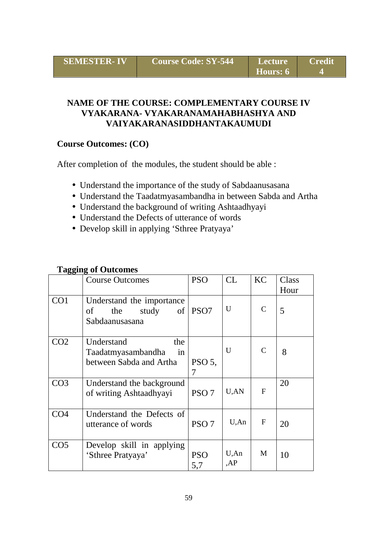# **NAME OF THE COURSE: COMPLEMENTARY COURSE IV VYAKARANA- VYAKARANAMAHABHASHYA AND VAIYAKARANASIDDHANTAKAUMUDI**

## **Course Outcomes: (CO)**

After completion of the modules, the student should be able :

- Understand the importance of the study of Sabdaanusasana
- Understand the Taadatmyasambandha in between Sabda and Artha
- Understand the background of writing Ashtaadhyayi
- Understand the Defects of utterance of words
- Develop skill in applying 'Sthree Pratyaya'

| 88              | <b>Course Outcomes</b>                                                   | <b>PSO</b>        | CL          | <b>KC</b>    | Class<br>Hour |
|-----------------|--------------------------------------------------------------------------|-------------------|-------------|--------------|---------------|
| CO <sub>1</sub> | Understand the importance<br>study<br>the<br>of<br>Sabdaanusasana        | of   PSO7         | U           | C            | 5             |
| CO <sub>2</sub> | Understand<br>the<br>Taadatmyasambandha<br>in<br>between Sabda and Artha | PSO 5.<br>7       | U           | $\mathsf{C}$ | 8             |
| CO <sub>3</sub> | Understand the background<br>of writing Ashtaadhyayi                     | PSO <sub>7</sub>  | U,AN        | $\mathbf{F}$ | 20            |
| CO <sub>4</sub> | Understand the Defects of<br>utterance of words                          | PSO <sub>7</sub>  | U, An       | $\mathbf{F}$ | 20            |
| CO <sub>5</sub> | Develop skill in applying<br>'Sthree Pratyaya'                           | <b>PSO</b><br>5,7 | U, An<br>AP | M            | 10            |

### **Tagging of Outcomes**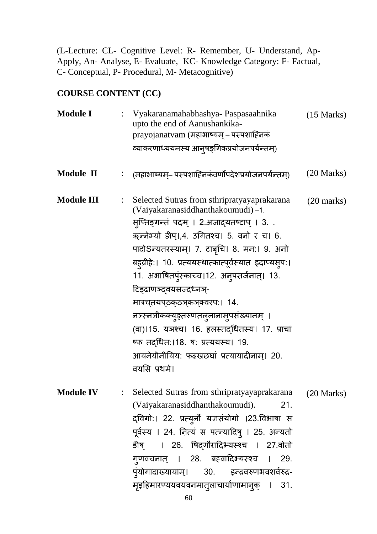(L-Lecture: CL- Cognitive Level: R- Remember, U- Understand, Ap-Apply, An- Analyse, E- Evaluate, KC- Knowledge Category: F- Factual, C- Conceptual, P- Procedural, M- Metacognitive)

# **COURSE CONTENT (CC)**

| <b>Module I</b>   | Vyakaranamahabhashya- Paspasaahnika<br>upto the end of Aanushankika-<br>$prayojanatvam$ (महाभाष्यम् – पस्पशाहिनकं<br>व्याकरणाध्ययनस्य आनुषङ्गिकप्रयोजनपर्यन्तम्)                                                                                                                                                                                                                                                                                                                                                                                                                                         | $(15 \text{ Marks})$ |
|-------------------|----------------------------------------------------------------------------------------------------------------------------------------------------------------------------------------------------------------------------------------------------------------------------------------------------------------------------------------------------------------------------------------------------------------------------------------------------------------------------------------------------------------------------------------------------------------------------------------------------------|----------------------|
| <b>Module II</b>  | (महाभाष्यम्– पस्पशाहिनकंवर्णोपदेशप्रयोजनपर्यन्तम्)                                                                                                                                                                                                                                                                                                                                                                                                                                                                                                                                                       | $(20$ Marks)         |
| <b>Module III</b> | Selected Sutras from sthripratyayaprakarana<br>(Vaiyakaranasiddhanthakoumudi) -1.<br>सुप्तिङ्गन्तं पदम् । 2.अजाद्यतष्टाप् । 3. .<br>ऋन्नेभ्यो डीप्।,4. उगितश्च। 5. वनो र च। 6.<br>पादोSन्यतरस्याम्। 7. टाबृचि। 8. मन:। 9. अनो<br>बह्व्रीहे:। 10. प्रत्ययस्थात्कात्पूर्वस्यात इदाप्यस्प:।<br>11. अभाषितपुंस्काच्च।12. अनुपसर्जनात्। 13.<br>टिड्ढाणञ्दवयसज्दध्नञ्-<br>मात्रच्तयप्ठक्ठञ्कञ्क्वरप:। 14.<br>नञ्स्नत्रीकक्युङ्तरुणतल् नानाम् पसंख्यानम् ।<br>(वा)।15. यजश्च। 16. हलस्तद्धितस्य। 17. प्राचां<br>ष्फ तद्धित:।18. ष: प्रत्ययस्य। 19.<br>आयनेयीनीयिय: फढखछघां प्रत्यायादीनाम्। 20.<br>वयसि प्रथमे। | $(20 \text{ marks})$ |
| <b>Module IV</b>  | : Selected Sutras from sthripratyayaprakarana (20 Marks)<br>(Vaiyakaranasiddhanthakoumudi). 21.<br>द्विगो:। 22. प्रत्युर्नो यज्ञसंयोगो ।23.विभाषा स<br>पूर्वस्य । 24. नित्यं स पत्न्यादिषु । 25. अन्यतो<br>डीष् । 26. षिद्गौरादिभ्यस्श्च । 27.वोतो<br>गूणवचनात् । 28. बहवादिभ्यस्श्च । 29.<br>प्ंयोगादाख्यायाम्। 30. इन्द्रवरुणभवशर्वरुद्र-<br>मृडहिमारण्ययवयवनमातुलाचार्याणामानुक् । 31.<br>$\epsilon$                                                                                                                                                                                                  |                      |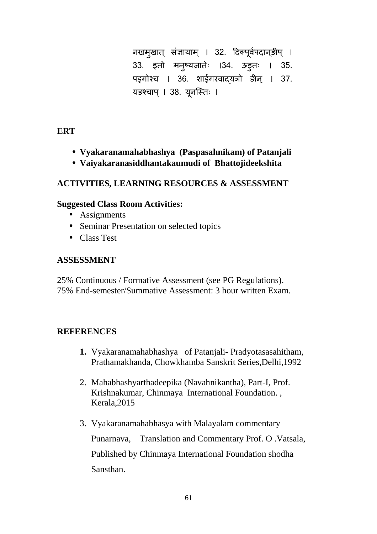नखमुखात् संज्ञायाम् । 32. दिक्पूर्वपदान्ङीप् । 33. इतो मनु6यजातेः ।34. ऊडुतः । 35. पड्गोश्च । 36. शार्ड्गरवाद्यञो ङीन् । 37. यङश्चाप् । 38. यूनस्तिः ।

**ERT** 

- **Vyakaranamahabhashya (Paspasahnikam) of Patanjali**
- **Vaiyakaranasiddhantakaumudi of Bhattojideekshita**

## **ACTIVITIES, LEARNING RESOURCES & ASSESSMENT**

### **Suggested Class Room Activities:**

- Assignments
- Seminar Presentation on selected topics
- Class Test

### **ASSESSMENT**

25% Continuous / Formative Assessment (see PG Regulations). 75% End-semester/Summative Assessment: 3 hour written Exam.

### **REFERENCES**

- **1.** Vyakaranamahabhashya of Patanjali- Pradyotasasahitham, Prathamakhanda, Chowkhamba Sanskrit Series,Delhi,1992
- 2. Mahabhashyarthadeepika (Navahnikantha), Part-I, Prof. Krishnakumar, Chinmaya International Foundation. , Kerala,2015
- 3. Vyakaranamahabhasya with Malayalam commentary Punarnava, Translation and Commentary Prof. O .Vatsala, Published by Chinmaya International Foundation shodha Sansthan.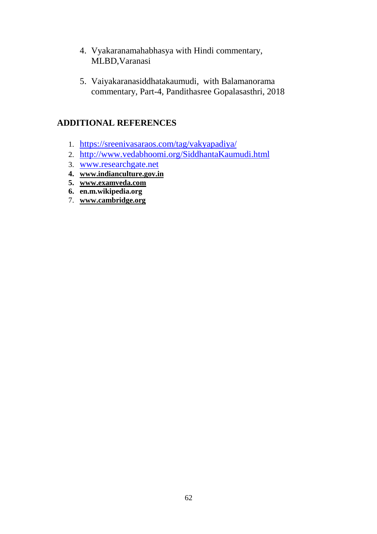- 4. Vyakaranamahabhasya with Hindi commentary, MLBD,Varanasi
- 5. Vaiyakaranasiddhatakaumudi, with Balamanorama commentary, Part-4, Pandithasree Gopalasasthri, 2018

- 1. https://sreenivasaraos.com/tag/vakyapadiya/
- 2. http://www.vedabhoomi.org/SiddhantaKaumudi.html
- 3. www.researchgate.net
- **4. www.indianculture.gov.in**
- **5. www.examveda.com**
- **6. en.m.wikipedia.org**
- 7. **www.cambridge.org**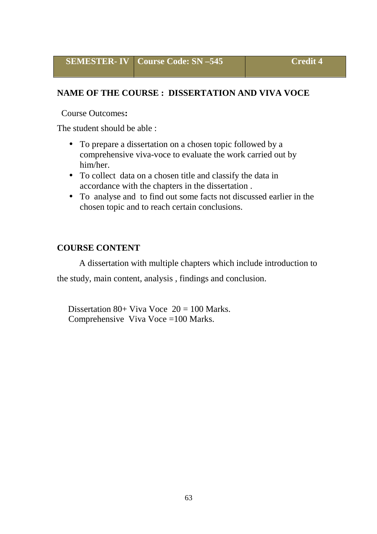# **NAME OF THE COURSE : DISSERTATION AND VIVA VOCE**

Course Outcomes**:** 

The student should be able :

- To prepare a dissertation on a chosen topic followed by a comprehensive viva-voce to evaluate the work carried out by him/her.
- To collect data on a chosen title and classify the data in accordance with the chapters in the dissertation .
- To analyse and to find out some facts not discussed earlier in the chosen topic and to reach certain conclusions.

# **COURSE CONTENT**

A dissertation with multiple chapters which include introduction to

the study, main content, analysis , findings and conclusion.

Dissertation 80+ Viva Voce  $20 = 100$  Marks. Comprehensive Viva Voce =100 Marks.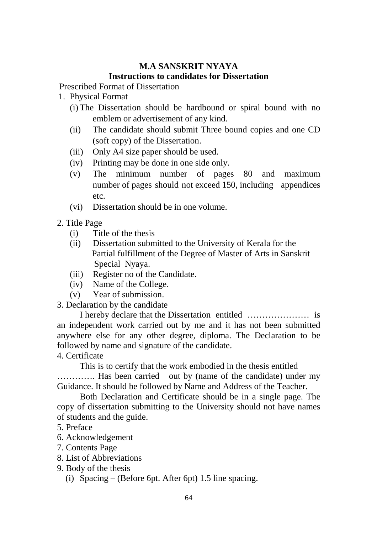# **M.A SANSKRIT NYAYA**

### **Instructions to candidates for Dissertation**

Prescribed Format of Dissertation

- 1. Physical Format
	- (i) The Dissertation should be hardbound or spiral bound with no emblem or advertisement of any kind.
	- (ii) The candidate should submit Three bound copies and one CD (soft copy) of the Dissertation.
	- (iii) Only A4 size paper should be used.
	- (iv) Printing may be done in one side only.
	- (v) The minimum number of pages 80 and maximum number of pages should not exceed 150, including appendices etc.
	- (vi) Dissertation should be in one volume.
- 2. Title Page
	- (i) Title of the thesis
	- (ii) Dissertation submitted to the University of Kerala for the Partial fulfillment of the Degree of Master of Arts in Sanskrit Special Nyaya.
	- (iii) Register no of the Candidate.
	- (iv) Name of the College.
	- (v) Year of submission.
- 3. Declaration by the candidate

I hereby declare that the Dissertation entitled ………………… is an independent work carried out by me and it has not been submitted anywhere else for any other degree, diploma. The Declaration to be followed by name and signature of the candidate. 4. Certificate

This is to certify that the work embodied in the thesis entitled …………. Has been carried out by (name of the candidate) under my Guidance. It should be followed by Name and Address of the Teacher.

 Both Declaration and Certificate should be in a single page. The copy of dissertation submitting to the University should not have names of students and the guide.

- 5. Preface
- 6. Acknowledgement
- 7. Contents Page
- 8. List of Abbreviations
- 9. Body of the thesis
	- (i) Spacing (Before 6pt. After 6pt) 1.5 line spacing.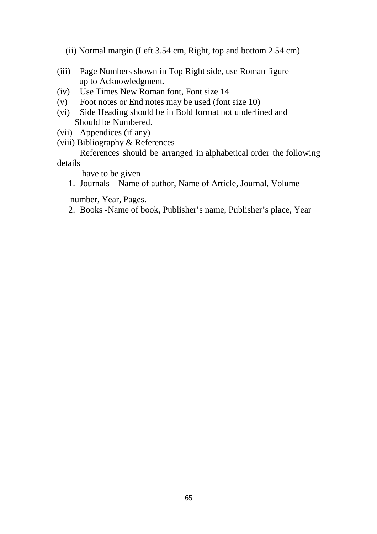- (ii) Normal margin (Left 3.54 cm, Right, top and bottom 2.54 cm)
- (iii) Page Numbers shown in Top Right side, use Roman figure up to Acknowledgment.
- (iv) Use Times New Roman font, Font size 14
- (v) Foot notes or End notes may be used (font size 10)
- (vi) Side Heading should be in Bold format not underlined and Should be Numbered.
- (vii) Appendices (if any)
- (viii) Bibliography & References

References should be arranged in alphabetical order the following details

have to be given

1. Journals – Name of author, Name of Article, Journal, Volume

number, Year, Pages.

2. Books -Name of book, Publisher's name, Publisher's place, Year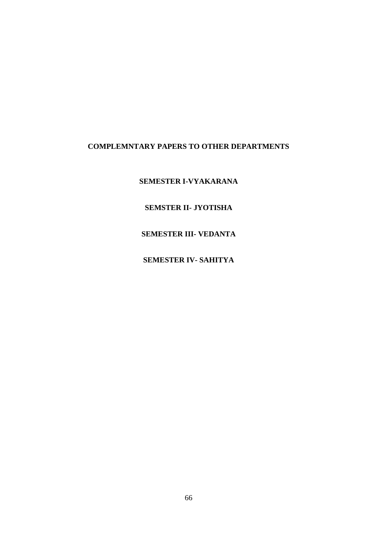### **COMPLEMNTARY PAPERS TO OTHER DEPARTMENTS**

**SEMESTER I-VYAKARANA** 

#### **SEMSTER II- JYOTISHA**

#### **SEMESTER III- VEDANTA**

**SEMESTER IV- SAHITYA**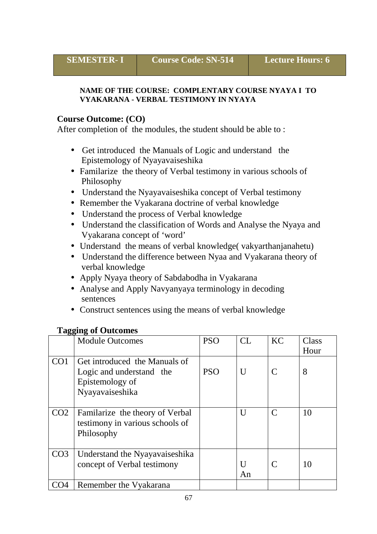#### **NAME OF THE COURSE: COMPLENTARY COURSE NYAYA I TO VYAKARANA - VERBAL TESTIMONY IN NYAYA**

### **Course Outcome: (CO)**

After completion of the modules, the student should be able to :

- Get introduced the Manuals of Logic and understand the Epistemology of Nyayavaiseshika
- Familarize the theory of Verbal testimony in various schools of Philosophy
- Understand the Nyayavaiseshika concept of Verbal testimony
- Remember the Vyakarana doctrine of verbal knowledge
- Understand the process of Verbal knowledge
- Understand the classification of Words and Analyse the Nyaya and Vyakarana concept of 'word'
- Understand the means of verbal knowledge (vakyarthanjanahetu)
- Understand the difference between Nyaa and Vyakarana theory of verbal knowledge
- Apply Nyaya theory of Sabdabodha in Vyakarana
- Analyse and Apply Navyanyaya terminology in decoding sentences
- Construct sentences using the means of verbal knowledge

### **Tagging of Outcomes**

| oo              | <b>Module Outcomes</b>                                                                          | <b>PSO</b> | CI                 | KC            | Class<br>Hour |
|-----------------|-------------------------------------------------------------------------------------------------|------------|--------------------|---------------|---------------|
| CO <sub>1</sub> | Get introduced the Manuals of<br>Logic and understand the<br>Epistemology of<br>Nyayavaiseshika | <b>PSO</b> | U                  | C             | 8             |
| CO <sub>2</sub> | Familarize the theory of Verbal<br>testimony in various schools of<br>Philosophy                |            | $\overline{U}$     | $\mathcal{C}$ | 10            |
| CO <sub>3</sub> | Understand the Nyayavaiseshika<br>concept of Verbal testimony                                   |            | $\mathbf{U}$<br>An | $\mathcal{C}$ | 10            |
|                 | Remember the Vyakarana                                                                          |            |                    |               |               |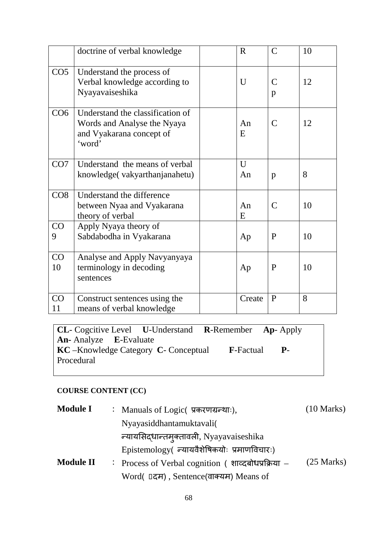|                 | doctrine of verbal knowledge                                                                          | $\mathbf R$ | $\mathcal{C}$      | 10 |
|-----------------|-------------------------------------------------------------------------------------------------------|-------------|--------------------|----|
| CO <sub>5</sub> | Understand the process of<br>Verbal knowledge according to<br>Nyayavaiseshika                         | U           | $\mathcal{C}$<br>p | 12 |
| CO6             | Understand the classification of<br>Words and Analyse the Nyaya<br>and Vyakarana concept of<br>'word' | An<br>E     | $\mathcal{C}$      | 12 |
| CO7             | Understand the means of verbal<br>knowledge(vakyarthanjanahetu)                                       | U<br>An     | $\mathbf{p}$       | 8  |
| CO8             | Understand the difference<br>between Nyaa and Vyakarana<br>theory of verbal                           | An<br>E     | $\mathcal{C}$      | 10 |
| CO<br>9         | Apply Nyaya theory of<br>Sabdabodha in Vyakarana                                                      | Ap          | $\mathbf{P}$       | 10 |
| CO<br>10        | Analyse and Apply Navyanyaya<br>terminology in decoding<br>sentences                                  | Ap          | P                  | 10 |
| CO<br>11        | Construct sentences using the<br>means of verbal knowledge                                            | Create      | $\mathbf{P}$       | 8  |

| <b>CL</b> -Cogcitive Level U-Understand <b>R</b> -Remember Ap-Apply |                   |                  |
|---------------------------------------------------------------------|-------------------|------------------|
| <b>An-Analyze E-Evaluate</b>                                        |                   |                  |
| <b>KC</b> – Knowledge Category <b>C</b> – Conceptual                | <b>F</b> -Factual | $\mathbf{P}_{-}$ |
| Procedural                                                          |                   |                  |

# **COURSE CONTENT (CC)**

| <b>Module I</b>  | : Manuals of Logic(प्रकरणग्रन्थाः),                | $(10 \text{ Marks})$ |
|------------------|----------------------------------------------------|----------------------|
|                  | Nyayasiddhantamuktavali(                           |                      |
|                  | न्यायसिद्धान्तमुक्तावली, Nyayavaiseshika           |                      |
|                  | Epistemology (न्यायवैशेषिकयोः प्रमाणविचारः)        |                      |
| <b>Module II</b> | : Process of Verbal cognition (शाव्दबोधप्रक्रिया – | $(25 \text{ Marks})$ |
|                  | Word( □दम), Sentence(वाक्यम) Means of              |                      |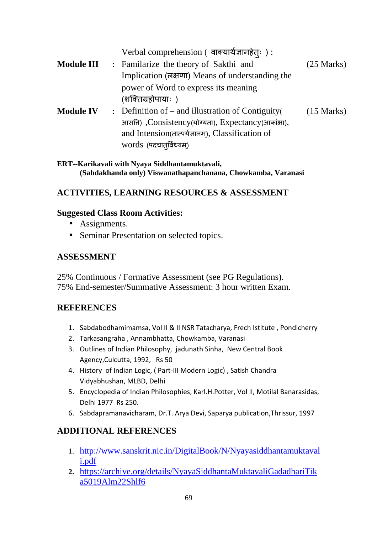|                   | Verbal comprehension (वाक्यार्थज्ञानहेतुः):        |                      |
|-------------------|----------------------------------------------------|----------------------|
| <b>Module III</b> | : Familarize the theory of Sakthi and              | $(25 \text{ Marks})$ |
|                   | Implication (लक्षणा) Means of understanding the    |                      |
|                   | power of Word to express its meaning               |                      |
|                   | (शक्तिग्रहोपायाः)                                  |                      |
| <b>Module IV</b>  | : Definition of $-$ and illustration of Contiguity | $(15 \text{ Marks})$ |
|                   | आसति), Consistency(योग्यता), Expectancy(आकांक्षा), |                      |
|                   | and Intension(तात्पर्यज्ञानम), Classification of   |                      |
|                   | words (पदचात्र्विध्यम्)                            |                      |

**ERT--Karikavali with Nyaya Siddhantamuktavali, (Sabdakhanda only) Viswanathapanchanana, Chowkamba, Varanasi**

## **ACTIVITIES, LEARNING RESOURCES & ASSESSMENT**

### **Suggested Class Room Activities:**

- Assignments.
- Seminar Presentation on selected topics.

## **ASSESSMENT**

25% Continuous / Formative Assessment (see PG Regulations). 75% End-semester/Summative Assessment: 3 hour written Exam.

# **REFERENCES**

- 1. Sabdabodhamimamsa, Vol II & II NSR Tatacharya, Frech Istitute , Pondicherry
- 2. Tarkasangraha , Annambhatta, Chowkamba, Varanasi
- 3. Outlines of Indian Philosophy, jadunath Sinha, New Central Book Agency,Culcutta, 1992, Rs 50
- 4. History of Indian Logic, ( Part-III Modern Logic) , Satish Chandra Vidyabhushan, MLBD, Delhi
- 5. Encyclopedia of Indian Philosophies, Karl.H.Potter, Vol II, Motilal Banarasidas, Delhi 1977 Rs 250.
- 6. Sabdapramanavicharam, Dr.T. Arya Devi, Saparya publication,Thrissur, 1997

- 1. http://www.sanskrit.nic.in/DigitalBook/N/Nyayasiddhantamuktaval i.pdf
- **2.** https://archive.org/details/NyayaSiddhantaMuktavaliGadadhariTik a5019Alm22Shlf6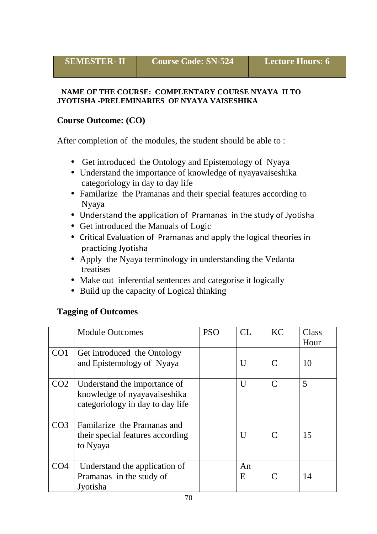#### **NAME OF THE COURSE: COMPLENTARY COURSE NYAYA II TO JYOTISHA -PRELEMINARIES OF NYAYA VAISESHIKA**

### **Course Outcome: (CO)**

After completion of the modules, the student should be able to :

- Get introduced the Ontology and Epistemology of Nyaya
- Understand the importance of knowledge of nyayavaiseshika categoriology in day to day life
- Familarize the Pramanas and their special features according to Nyaya
- Understand the application of Pramanas in the study of Jyotisha
- Get introduced the Manuals of Logic
- Critical Evaluation of Pramanas and apply the logical theories in practicing Jyotisha
- Apply the Nyaya terminology in understanding the Vedanta treatises
- Make out inferential sentences and categorise it logically
- Build up the capacity of Logical thinking

### **Tagging of Outcomes**

|                 | <b>Module Outcomes</b>                                                                           | <b>PSO</b> | CL.            | KC            | Class<br>Hour |
|-----------------|--------------------------------------------------------------------------------------------------|------------|----------------|---------------|---------------|
| CO1             | Get introduced the Ontology<br>and Epistemology of Nyaya                                         |            | U              | $\mathcal{C}$ | 10            |
| CO <sub>2</sub> | Understand the importance of<br>knowledge of nyayavaiseshika<br>categoriology in day to day life |            | U              | $\mathcal{C}$ | 5             |
| CO <sub>3</sub> | Familarize the Pramanas and<br>their special features according<br>to Nyaya                      |            | $\overline{U}$ | $\mathcal{C}$ | 15            |
| CO <sub>4</sub> | Understand the application of<br>Pramanas in the study of<br>Jyotisha                            |            | An<br>E        | $\subset$     | 14            |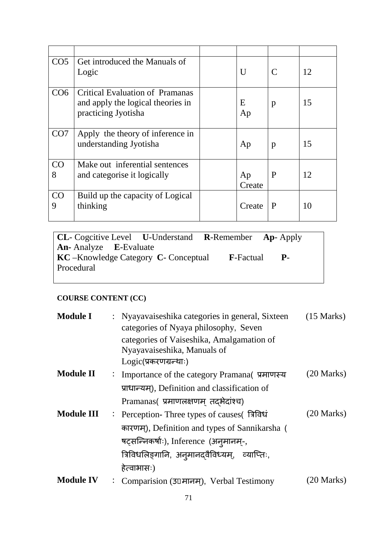| CO <sub>5</sub> | Get introduced the Manuals of<br>Logic                                                      | U            | $\mathcal{C}$ | 12 |
|-----------------|---------------------------------------------------------------------------------------------|--------------|---------------|----|
| CO6             | Critical Evaluation of Pramanas<br>and apply the logical theories in<br>practicing Jyotisha | E<br>Ap      | p             | 15 |
| CO7             | Apply the theory of inference in<br>understanding Jyotisha                                  | Ap           | p             | 15 |
| CO<br>8         | Make out inferential sentences<br>and categorise it logically                               | Ap<br>Create | P             | 12 |
| CO<br>9         | Build up the capacity of Logical<br>thinking                                                | Create       | P             | 10 |

| <b>CL</b> -Cogcitive Level U-Understand <b>R</b> -Remember Ap-Apply |  |  |
|---------------------------------------------------------------------|--|--|
| <b>An-Analyze E-Evaluate</b>                                        |  |  |
| $KC$ –Knowledge Category $C$ -Conceptual $F$ -Factual $P$ -         |  |  |
| Procedural                                                          |  |  |
|                                                                     |  |  |

# **COURSE CONTENT (CC)**

| <b>Module I</b>   | : Nyayavaiseshika categories in general, Sixteen<br>categories of Nyaya philosophy, Seven<br>categories of Vaiseshika, Amalgamation of<br>Nyayavaiseshika, Manuals of | $(15 \text{ Marks})$ |
|-------------------|-----------------------------------------------------------------------------------------------------------------------------------------------------------------------|----------------------|
|                   | $Logic(\overline{3}$ फुरणग्रन्थाः)                                                                                                                                    |                      |
| <b>Module II</b>  | : Importance of the category Pramana (प्रमाणस्य                                                                                                                       | $(20$ Marks)         |
|                   | प्राधान्यम), Definition and classification of                                                                                                                         |                      |
|                   | Pramanas( प्रमाणलक्षणम तदभेदांश्च)                                                                                                                                    |                      |
| <b>Module III</b> | : Perception- Three types of causes( त्रिविध                                                                                                                          | $(20 \text{ Marks})$ |
|                   | कारणम्), Definition and types of Sannikarsha (                                                                                                                        |                      |
|                   | षट्सन्निकर्षाः), Inference (अनुमानम्-,                                                                                                                                |                      |
|                   | त्रिविधलिङ्गानि, अन् मानद्वैविध्यम्, व्याप्तिः,                                                                                                                       |                      |
|                   | हेत्वाभासः)                                                                                                                                                           |                      |
| <b>Module IV</b>  | Comparision (उपमानम्), Verbal Testimony                                                                                                                               | (20 Marks)           |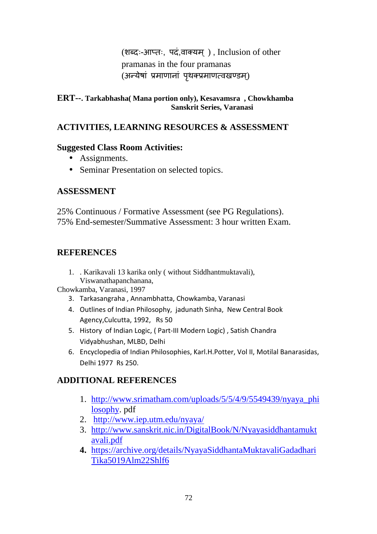(शब्दः-आप्तः, पदं,वाक्यम), Inclusion of other pramanas in the four pramanas (अन्येषां प्रमाणानां पृथक्प्रमाणत्वखण्डम्)

### **ERT--. Tarkabhasha( Mana portion only), Kesavamsra , Chowkhamba Sanskrit Series, Varanasi**

## **ACTIVITIES, LEARNING RESOURCES & ASSESSMENT**

### **Suggested Class Room Activities:**

- Assignments.
- Seminar Presentation on selected topics.

### **ASSESSMENT**

25% Continuous / Formative Assessment (see PG Regulations). 75% End-semester/Summative Assessment: 3 hour written Exam.

# **REFERENCES**

1. . Karikavali 13 karika only ( without Siddhantmuktavali), Viswanathapanchanana,

Chowkamba, Varanasi, 1997

- 3. Tarkasangraha , Annambhatta, Chowkamba, Varanasi
- 4. Outlines of Indian Philosophy, jadunath Sinha, New Central Book Agency,Culcutta, 1992, Rs 50
- 5. History of Indian Logic, ( Part-III Modern Logic) , Satish Chandra Vidyabhushan, MLBD, Delhi
- 6. Encyclopedia of Indian Philosophies, Karl.H.Potter, Vol II, Motilal Banarasidas, Delhi 1977 Rs 250.

- 1. http://www.srimatham.com/uploads/5/5/4/9/5549439/nyaya\_phi losophy. pdf
- 2. http://www.iep.utm.edu/nyaya/
- 3. http://www.sanskrit.nic.in/DigitalBook/N/Nyayasiddhantamukt avali.pdf
- **4.** https://archive.org/details/NyayaSiddhantaMuktavaliGadadhari Tika5019Alm22Shlf6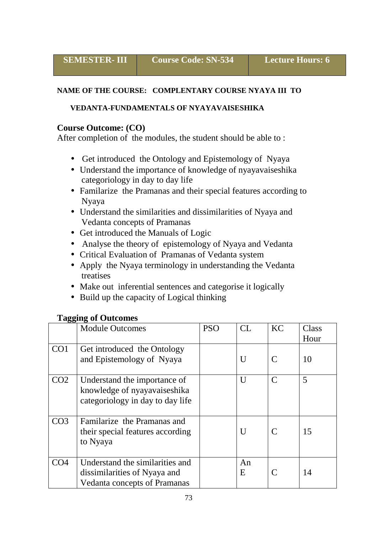### **NAME OF THE COURSE: COMPLENTARY COURSE NYAYA III TO**

### **VEDANTA-FUNDAMENTALS OF NYAYAVAISESHIKA**

#### **Course Outcome: (CO)**

After completion of the modules, the student should be able to :

- Get introduced the Ontology and Epistemology of Nyaya
- Understand the importance of knowledge of nyayavaiseshika categoriology in day to day life
- Familarize the Pramanas and their special features according to Nyaya
- Understand the similarities and dissimilarities of Nyaya and Vedanta concepts of Pramanas
- Get introduced the Manuals of Logic
- Analyse the theory of epistemology of Nyaya and Vedanta
- Critical Evaluation of Pramanas of Vedanta system
- Apply the Nyaya terminology in understanding the Vedanta treatises
- Make out inferential sentences and categorise it logically
- Build up the capacity of Logical thinking

### **Tagging of Outcomes**

|                 | <b>Module Outcomes</b>                                                                                 | <b>PSO</b> | CL.     | KC            | Class<br>Hour |
|-----------------|--------------------------------------------------------------------------------------------------------|------------|---------|---------------|---------------|
| CO <sub>1</sub> | Get introduced the Ontology<br>and Epistemology of Nyaya                                               |            | U       | $\mathsf{C}$  | 10            |
| CO <sub>2</sub> | Understand the importance of<br>knowledge of nyayavaiseshika<br>categoriology in day to day life       |            | U       | $\mathsf{C}$  | 5             |
| CO <sub>3</sub> | Familarize the Pramanas and<br>their special features according<br>to Nyaya                            |            | U       | $\mathcal{C}$ | 15            |
| CO <sub>4</sub> | Understand the similarities and<br>dissimilarities of Nyaya and<br><b>Vedanta concepts of Pramanas</b> |            | An<br>Ε | $\mathcal C$  | 14            |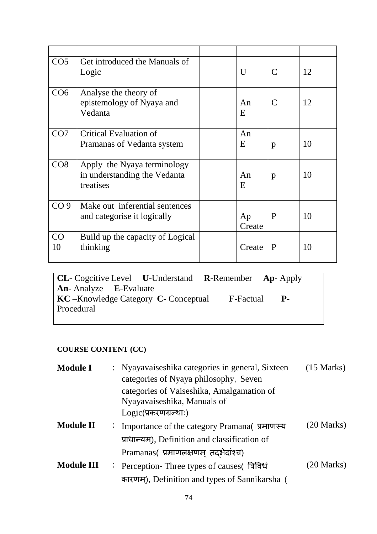| CO <sub>5</sub> | Get introduced the Manuals of<br>Logic                                   | U            | $\mathcal{C}$ | 12 |
|-----------------|--------------------------------------------------------------------------|--------------|---------------|----|
| CO <sub>6</sub> | Analyse the theory of<br>epistemology of Nyaya and<br>Vedanta            | An<br>E      | $\mathcal{C}$ | 12 |
| CO <sub>7</sub> | Critical Evaluation of<br>Pramanas of Vedanta system                     | An<br>E      | p             | 10 |
| CO8             | Apply the Nyaya terminology<br>in understanding the Vedanta<br>treatises | An<br>E      | p             | 10 |
| CO <sub>9</sub> | Make out inferential sentences<br>and categorise it logically            | Ap<br>Create | P             | 10 |
| CO<br>10        | Build up the capacity of Logical<br>thinking                             | Create       | P             | 10 |

**CL**- Cogcitive Level **U**-Understand **R**-Remember **Ap**- Apply **An-** Analyze **E**-Evaluate **KC** –Knowledge Category **C**- Conceptual **F**-Factual **P**-Procedural

# **COURSE CONTENT (CC)**

| <b>Module I</b>   | : Nyayavaiseshika categories in general, Sixteen<br>categories of Nyaya philosophy, Seven | $(15 \text{ Marks})$ |
|-------------------|-------------------------------------------------------------------------------------------|----------------------|
|                   | categories of Vaiseshika, Amalgamation of<br>Nyayavaiseshika, Manuals of                  |                      |
| <b>Module II</b>  | $Logic(\overline{3}$ फरणग्रन्थाः)<br>: Importance of the category Pramana(प्रमाणस्य       | $(20 \text{ Marks})$ |
|                   | प्राधान्यम), Definition and classification of<br>Pramanas(प्रमाणलक्षणम् तदभैदांश्च)       |                      |
| <b>Module III</b> | : Perception- Three types of causes( त्रिविध                                              | (20 Marks)           |
|                   | कारणम), Definition and types of Sannikarsha (                                             |                      |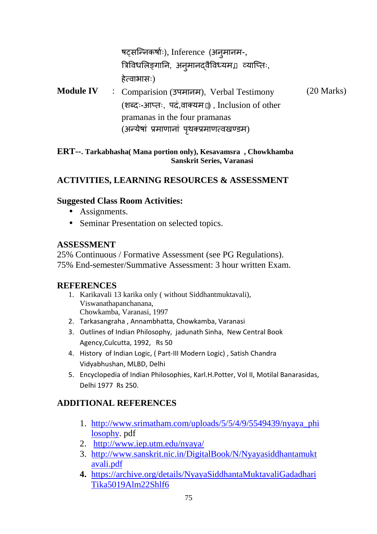षट्सन्निकर्षाः), Inference (अनुमानम-, त्रिविधलिङ्गानि, अनुमानदवैविध्यम $\Box$  व्याप्तिः, हेवाभासः)

**Module IV** : Comparision (उपमानम)्, Verbal Testimony (शब्दः-आप्तः, पदं,वाक्यम $\Box$ ), Inclusion of other pramanas in the four pramanas (अन्येषां प्रमाणानां पथक्प्रमाणत्वखण्डम)

(20 Marks)

# **ERT--. Tarkabhasha( Mana portion only), Kesavamsra , Chowkhamba Sanskrit Series, Varanasi**

# **ACTIVITIES, LEARNING RESOURCES & ASSESSMENT**

# **Suggested Class Room Activities:**

- Assignments.
- Seminar Presentation on selected topics.

# **ASSESSMENT**

25% Continuous / Formative Assessment (see PG Regulations). 75% End-semester/Summative Assessment: 3 hour written Exam.

# **REFERENCES**

- 1. Karikavali 13 karika only ( without Siddhantmuktavali), Viswanathapanchanana, Chowkamba, Varanasi, 1997
- 2. Tarkasangraha , Annambhatta, Chowkamba, Varanasi
- 3. Outlines of Indian Philosophy, jadunath Sinha, New Central Book Agency,Culcutta, 1992, Rs 50
- 4. History of Indian Logic, ( Part-III Modern Logic) , Satish Chandra Vidyabhushan, MLBD, Delhi
- 5. Encyclopedia of Indian Philosophies, Karl.H.Potter, Vol II, Motilal Banarasidas, Delhi 1977 Rs 250.

# **ADDITIONAL REFERENCES**

- 1. http://www.srimatham.com/uploads/5/5/4/9/5549439/nyaya\_phi losophy. pdf
- 2. http://www.iep.utm.edu/nyaya/
- 3. http://www.sanskrit.nic.in/DigitalBook/N/Nyayasiddhantamukt avali.pdf
- **4.** https://archive.org/details/NyayaSiddhantaMuktavaliGadadhari Tika5019Alm22Shlf6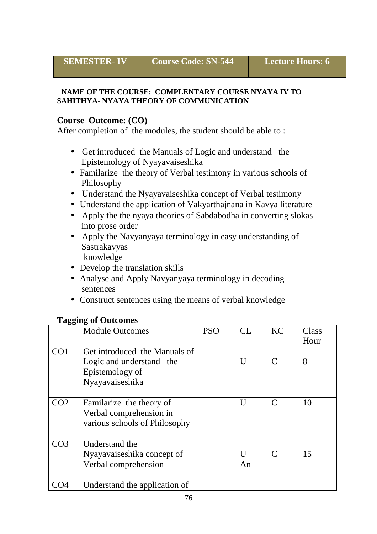### **NAME OF THE COURSE: COMPLENTARY COURSE NYAYA IV TO SAHITHYA- NYAYA THEORY OF COMMUNICATION**

# **Course Outcome: (CO)**

After completion of the modules, the student should be able to :

- Get introduced the Manuals of Logic and understand the Epistemology of Nyayavaiseshika
- Familarize the theory of Verbal testimony in various schools of Philosophy
- Understand the Nyayavaiseshika concept of Verbal testimony
- Understand the application of Vakyarthajnana in Kavya literature
- Apply the the nyaya theories of Sabdabodha in converting slokas into prose order
- Apply the Navyanyaya terminology in easy understanding of Sastrakavyas
	- knowledge
- Develop the translation skills
- Analyse and Apply Navyanyaya terminology in decoding sentences
- Construct sentences using the means of verbal knowledge

# **Tagging of Outcomes**

|                 | <b>Module Outcomes</b>                                                                          | <b>PSO</b> | CI      | <b>KC</b>     | Class<br>Hour |
|-----------------|-------------------------------------------------------------------------------------------------|------------|---------|---------------|---------------|
| CO <sub>1</sub> | Get introduced the Manuals of<br>Logic and understand the<br>Epistemology of<br>Nyayavaiseshika |            | U       | $\mathcal{C}$ | 8             |
| CO <sub>2</sub> | Familarize the theory of<br>Verbal comprehension in<br>various schools of Philosophy            |            | U       | $\mathcal{C}$ | 10            |
| CO <sub>3</sub> | Understand the<br>Nyayavaiseshika concept of<br>Verbal comprehension                            |            | U<br>An | $\mathcal{C}$ | 15            |
| CO4             | Understand the application of                                                                   |            |         |               |               |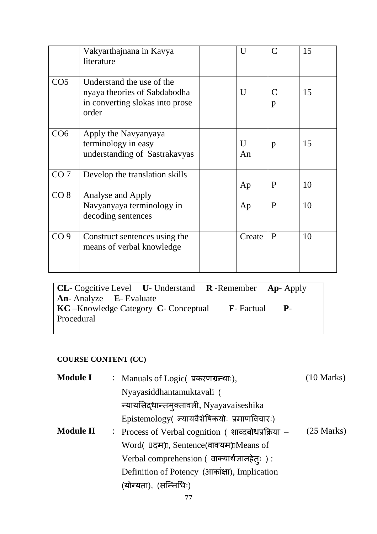|                 | Vakyarthajnana in Kavya<br>literature                                                                 | U       | $\mathcal{C}$      | 15 |
|-----------------|-------------------------------------------------------------------------------------------------------|---------|--------------------|----|
| CO <sub>5</sub> | Understand the use of the<br>nyaya theories of Sabdabodha<br>in converting slokas into prose<br>order | U       | $\mathcal{C}$<br>p | 15 |
| CO <sub>6</sub> | Apply the Navyanyaya<br>terminology in easy<br>understanding of Sastrakavyas                          | U<br>An | $\mathbf{p}$       | 15 |
| CO <sub>7</sub> | Develop the translation skills                                                                        | Ap      | P                  | 10 |
| CO 8            | Analyse and Apply<br>Navyanyaya terminology in<br>decoding sentences                                  | Ap      | P                  | 10 |
| CO <sub>9</sub> | Construct sentences using the<br>means of verbal knowledge                                            | Create  | P                  | 10 |

**CL**- Cogcitive Level **U**- Understand **R** -Remember **Ap**- Apply **An-** Analyze **E**- Evaluate **KC** –Knowledge Category **C**- Conceptual **F**- Factual **P**-Procedural

# **COURSE CONTENT (CC)**

| <b>Module I</b>  | : Manuals of Logic(प्रकरणग्रन्थाः),                | $(10 \text{ Marks})$ |
|------------------|----------------------------------------------------|----------------------|
|                  | Nyayasiddhantamuktavali (                          |                      |
|                  | न्यायसिद्धान्तमुक्तावली, Nyayavaiseshika           |                      |
|                  | Epistemology( न्यायवैशेषिकयोः प्रमाणविचारः)        |                      |
| <b>Module II</b> | : Process of Verbal cognition (शाव्दबोधप्रक्रिया - | $(25 \text{ Marks})$ |
|                  | Word( □दम), Sentence(वाक्यम) Means of              |                      |
|                  | Verbal comprehension (वाक्यार्थज्ञानहेत्ः):        |                      |
|                  | Definition of Potency (आकांक्षा), Implication      |                      |
|                  | (योग्यता), (सन्निधिः)                              |                      |
|                  |                                                    |                      |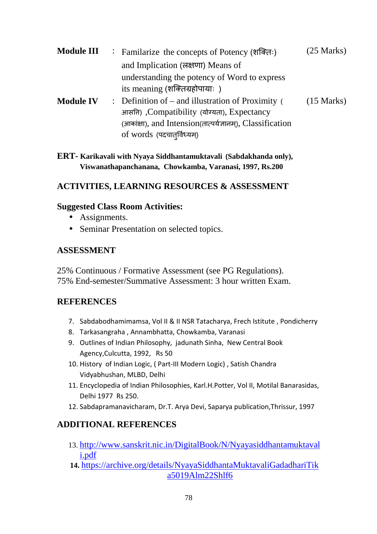| <b>Module III</b> | : Familarize the concepts of Potency (शक्तिः)             | $(25$ Marks)         |
|-------------------|-----------------------------------------------------------|----------------------|
|                   | and Implication (लक्षणा) Means of                         |                      |
|                   | understanding the potency of Word to express              |                      |
|                   | its meaning (शक्तिग्रहोपायाः)                             |                      |
| <b>Module IV</b>  | : Definition of – and illustration of Proximity (         | $(15 \text{ Marks})$ |
|                   | आसत्ति), Compatibility (योग्यता), Expectancy              |                      |
|                   | (आकांक्षा), and Intension(तात्पर्यज्ञानम), Classification |                      |
|                   | of words (पदचात्र्विध्यम्)                                |                      |

**ERT- Karikavali with Nyaya Siddhantamuktavali (Sabdakhanda only), Viswanathapanchanana, Chowkamba, Varanasi, 1997, Rs.200**

# **ACTIVITIES, LEARNING RESOURCES & ASSESSMENT**

## **Suggested Class Room Activities:**

- Assignments.
- Seminar Presentation on selected topics.

## **ASSESSMENT**

25% Continuous / Formative Assessment (see PG Regulations). 75% End-semester/Summative Assessment: 3 hour written Exam.

# **REFERENCES**

- 7. Sabdabodhamimamsa, Vol II & II NSR Tatacharya, Frech Istitute , Pondicherry
- 8. Tarkasangraha , Annambhatta, Chowkamba, Varanasi
- 9. Outlines of Indian Philosophy, jadunath Sinha, New Central Book Agency,Culcutta, 1992, Rs 50
- 10. History of Indian Logic, ( Part-III Modern Logic) , Satish Chandra Vidyabhushan, MLBD, Delhi
- 11. Encyclopedia of Indian Philosophies, Karl.H.Potter, Vol II, Motilal Banarasidas, Delhi 1977 Rs 250.
- 12. Sabdapramanavicharam, Dr.T. Arya Devi, Saparya publication,Thrissur, 1997

# **ADDITIONAL REFERENCES**

- 13. http://www.sanskrit.nic.in/DigitalBook/N/Nyayasiddhantamuktaval i.pdf
- **14.** https://archive.org/details/NyayaSiddhantaMuktavaliGadadhariTik a5019Alm22Shlf6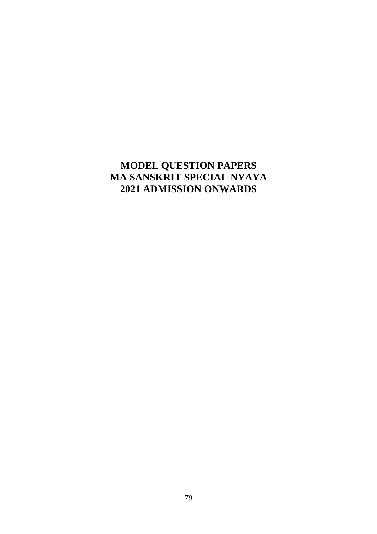# **MODEL QUESTION PAPERS MA SANSKRIT SPECIAL NYAYA 2021 ADMISSION ONWARDS**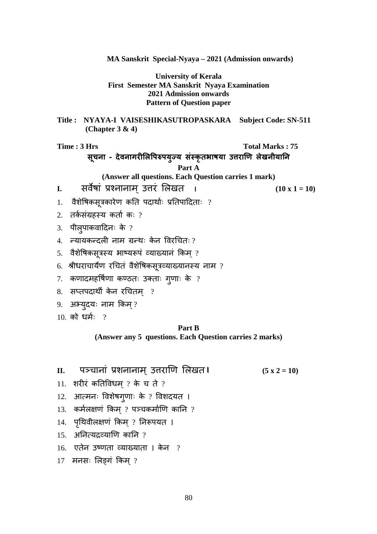### **University of Kerala First Semester MA Sanskrit Nyaya Examination 2021 Admission onwards Pattern of Question paper**

### **Title : NYAYA-I VAISESHIKASUTROPASKARA Subject Code: SN-511 (Chapter 3 & 4)**

**Time : 3 Hrs** Total Marks : 75 सूचना - देवनागरीलिपिरुपयुज्य संस्कृतभाषया उत्तराणि लेखनीयानि **Part A (Answer all questions. Each Question carries 1 mark) I.** सवषां नानाम उरं लखत ् **। (10 x 1 = 10)**   $1.$  वैशेषिकसूत्रकारेण कति पदार्थाः प्रतिपादिताः ?

- $2.$  तर्कसंग्रहस्य कर्ता कः ?
- $3.$  पील्पाकवादिनः के ?
- $4.$   $\overline{r}$ स्यायकन्दली नाम ग्रन्थः केन विरचितः ?
- $5.$  वैशेषिकसूत्रस्य भाष्यरूपं व्याख्यानं किम ?
- 6. श्रीधराचार्येण रचितं वैशेषिकसूत्रव्याख्यानस्य नाम ?
- $7.$  कणादमहर्षिणा कण्ठतः उक्ताः गृणाः के ?
- 8. सप्तपदार्थी केन रचितम्  $?$
- $9.$  अभ्युदयः नाम किम्?
- $10.$  को धर्मः ?

### **Part B (Answer any 5 questions. Each Question carries 2 marks)**

- **II.** पचानां शनानाम उराण लखत ् **\* (5 x 2 = 10)**
- $11.$  शरीरं कतिविधम ? के च ते ?
- $12.$  आत्मनः विशेषग्णाः के ? विशदयत ।
- $13.$  कर्मलक्षणं किम ? पञ्चकर्माणि कानि ?
- 14. पृथिवीलक्षणं किम् ? निरूपयत ।
- $15.$  अनित्यद्रव्याणि कानि ?
- $16.$  एतेन उष्णता व्याख्याता । केन ?
- $17$  मनसः लिङ्गं किम् ?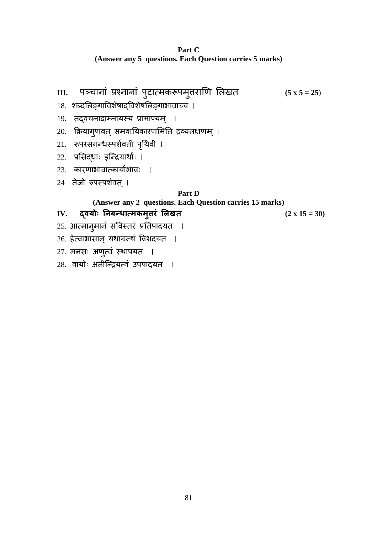- **III.** पञ्चानां प्रश्नानां पुटात्मकरूपमुत्तराणि लिखत (5 x 5 = 25)
- 18. शब्दलिङ्गाविशेषाद्विशेषलिङ्गाभावाच्च ।
- 19. तद्वचनादाम्नायस्य प्रामाण्यम् ।
- 20. क्रियागुणवत् समवायिकारणमिति द्रव्यलक्षणम् ।
- 21. रूपरसगन्धरूपर्शवती पृथिवी ।
- 22. प्रसिद्धाः इन्द्रियार्थाः ।
- 23. कारणाभावात्कार्याभावः ।
- 24 तेजो रुपस्पर्शवत् ।

### **Part D**

# **(Answer any 2 questions. Each Question carries 15 marks)**

- IV. दवयोः निबन्धात्मकमुत्तरं लिखत **(2x 15 = 30)** 
	-
- 
- 25. आत्मानुमानं सविस्तरं प्रतिपादयत ।
- 26. हेत्वाभासान् यथाग्रन्थं विशदयत ।
- $27.$  मनसः अणुत्वं स्थापयत ।
- 28. वायोः अतीन्द्रियत्वं उपपादयत ।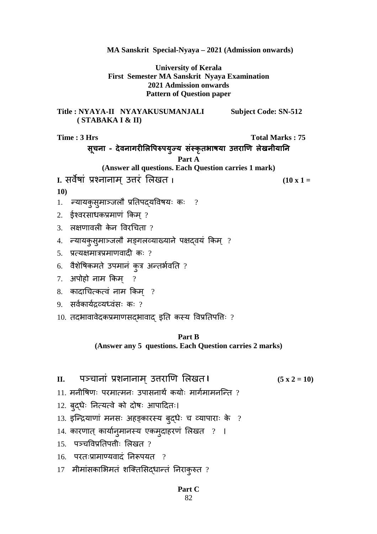**2021 Admission onwards Pattern of Question paper Title : NYAYA-II NYAYAKUSUMANJALI Subject Code: SN-512 ( STABAKA I & II) Time : 3 Hrs** Total Marks : 75 सूचना - देवनागरीलिपिरुपयुज्य संस्कृतभाषया उत्तराणि लेखनीयानि **Part A (Answer all questions. Each Question carries 1 mark) I.** सवषां नानाम उरं ल ् खत **। (10 x 1 =**   $1.$  न्यायकुसुमाञ्जलौ प्रतिपद्यविषयः कः ?  $2.$  ईश्वरसाधकप्रमाणं किम् ?  $3.$  लक्षणावली केन विरचिता  $2$ 4.  $\epsilon$ यायकुसुमाञ्जलौ मङ्गलव्याख्याने पक्षद्वयं किम् ?

**MA Sanskrit Special-Nyaya – 2021 (Admission onwards)** 

**University of Kerala First Semester MA Sanskrit Nyaya Examination** 

- $5.$  प्रत्यक्षमात्रप्रमाणवादी कः ?
- $6.$  वैशेषिकमते उपमानं कुत्र अन्तर्भवति ?
- $7.$  अपोहो नाम किम्  $?$

**10)** 

 $8.$  कादाचित्कत्वं नाम किम  $?$ 

9. सर्वकार्यद्रव्यध्वंसः कः ?

 $10.$  तदभावावेदकप्रमाणसद्भावाद् इति कस्य विप्रतिपतिः ?

### **Part B (Answer any 5 questions. Each Question carries 2 marks)**

# **II.** पचानां शनानाम उराण लखत ् **\* (5 x 2 = 10)**

- $11.$  मनीषिणः परमात्मनः उपासनार्थं कयोः मार्गमामनन्ति ?
- 12. बुदधैः नित्यत्वे को दोषः आपादितः।
- 13. इन्द्रियाणां मनसः अहङ्कारस्य बुद्धैः च व्यापाराः के ?
- 14. कारणात् कार्यानुमानस्य एकमुदाहरणं लिखत ? ।
- $15.$  पञ्चविप्रतिपत्तीः लिखत ?
- $16.$  परतःप्रामाण्यवादं निरूपयत ?
- $17$  मीमांसकाभिमतं शक्तिसिद्धान्तं निराकुरुत ?

# **Part C**

82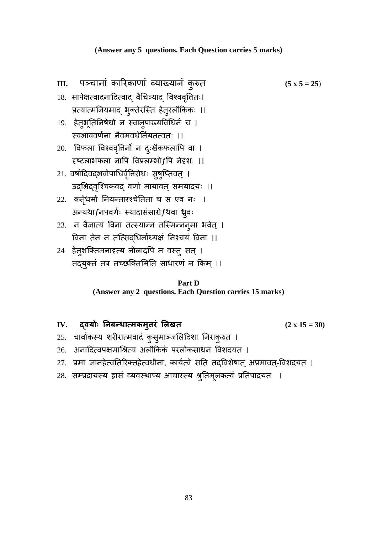- III. पञ्चाना कारिकाणा व्याख्यान कु
- 18. सापेक्षत्वादनादित्वाद् वैचित्र्याद् विश्ववृत्तितः। प्रत्यात्मनियमाद् भुक्तेरस्ति हेतुरलौकिकः ।।
- 19. हेतुभूतिनिषेधो न स्वानुपाख्यविधिर्न च । स्वभाववर्णना नैवमवधेर्नियतत्वतः ।।
- $20.$  विफला विश्ववृत्तिर्नो न दुःखैकफलापि वा ।  $550$ टलाभफला नापि विप्रलम्भो $f$ पि नेदृशः ।।
- 21. वर्षादिवद्भवोपाधिर्वृत्तिरोधः सुषुप्तिवत् । उद्भिद्वृश्चिकवद् वर्णा मायावत् समयादयः ।।
- 22. कर्तृधर्मा नियन्तारश्चेतिता च स एव नः । अन्यथा $f$ नपवर्गः स्यादासंसारो $f$ थवा ध्रुवः
- 23. न वैजात्यं विना तत्स्यान्न तस्मिन्ननुमा भवेत् । विना तेन न तत्सिद्धिर्नाध्यक्षं निश्चयं विना ।।
- 24 हेतुशक्तिमनादृत्य नीलादपि न वस्तु सत् । तद्युक्तं तत्र तच्छक्तिमिति साधारणं न किम् ।।

### **Part D (Answer any 2 questions. Each Question carries 15 marks)**

IV. दवयोः निबन्धात्मकमुत्तरं लिखत **(2x 15 = 30)** 

 $(5 x 5 = 25)$ 

- 25. चार्वाकस्य शरीरात्मवादं कुसुमाञ्जलिदिशा निराकुरुत ।
- 26. अनादित्वपक्षमाश्रित्य अलौकिकं परलोकसाधनं विशदयत ।
- 27. प्रमा ज्ञानहेत्वतिरिक्तहेत्वधीना, कार्यत्वे सति तद्विशेषात् अप्रमावत्-विशदयत ।
- 28. सम्प्रदायस्य ह्रासं व्यवस्थाप्य आचारस्य श्रुतिमूलकत्वं प्रतिपादयत ।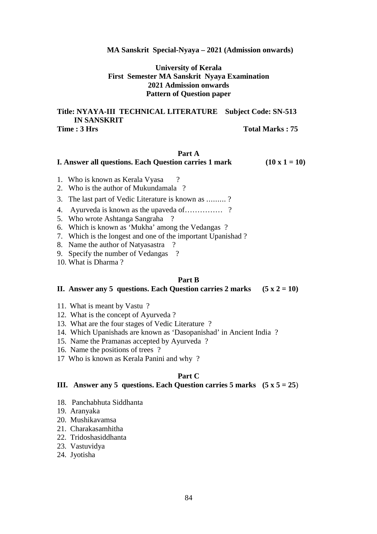### **University of Kerala First Semester MA Sanskrit Nyaya Examination 2021 Admission onwards Pattern of Question paper**

**Title: NYAYA-III TECHNICAL LITERATURE Subject Code: SN-513 IN SANSKRIT Time : 3 Hrs** Total Marks : 75

### **Part A I.** Answer all questions. Each Question carries 1 mark  $(10 \times 1 = 10)$

- 1. Who is known as Kerala Vyasa ?
- 2. Who is the author of Mukundamala ?
- 3. The last part of Vedic Literature is known as ......... ?
- 4. Ayurveda is known as the upaveda of…………… ?
- 5. Who wrote Ashtanga Sangraha ?
- 6. Which is known as 'Mukha' among the Vedangas ?
- 7. Which is the longest and one of the important Upanishad ?
- 8. Name the author of Natyasastra ?
- 9. Specify the number of Vedangas ?
- 10. What is Dharma ?

### **Part B**

### **II.** Answer any 5 questions. Each Question carries  $2 \text{ marks}$  ( $5 \text{ x } 2 = 10$ )

- 11. What is meant by Vastu ?
- 12. What is the concept of Ayurveda ?
- 13. What are the four stages of Vedic Literature ?
- 14. Which Upanishads are known as 'Dasopanishad' in Ancient India ?
- 15. Name the Pramanas accepted by Ayurveda ?
- 16. Name the positions of trees ?
- 17 Who is known as Kerala Panini and why ?

#### **Part C**

### **III. Answer any 5 questions. Each Question carries 5 marks (5 x 5 = 25**)

- 18. Panchabhuta Siddhanta
- 19. Aranyaka
- 20. Mushikavamsa
- 21. Charakasamhitha
- 22. Tridoshasiddhanta
- 23. Vastuvidya
- 24. Jyotisha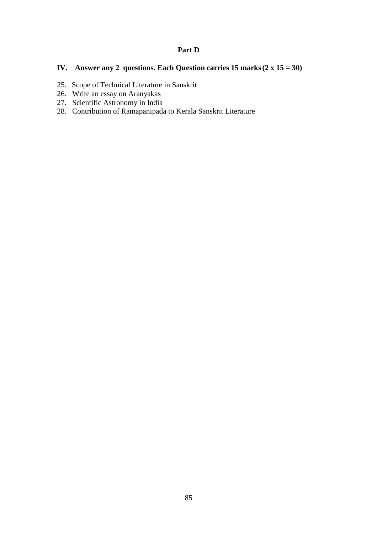### **Part D**

# **IV. Answer any 2 questions. Each Question carries 15 marks (2 x 15 = 30)**

- 25. Scope of Technical Literature in Sanskrit
- 26. Write an essay on Aranyakas
- 27. Scientific Astronomy in India
- 28. Contribution of Ramapanipada to Kerala Sanskrit Literature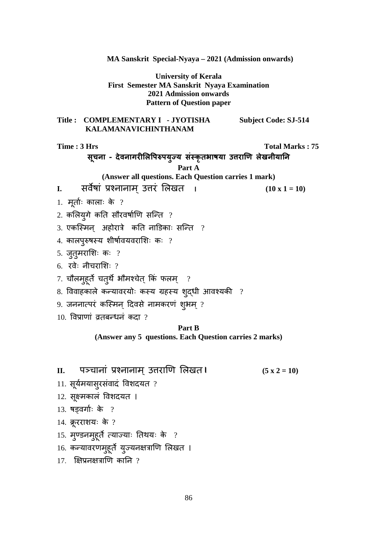**University of Kerala First Semester MA Sanskrit Nyaya Examination 2021 Admission onwards Pattern of Question paper** 

### **Title : COMPLEMENTARY I - JYOTISHA Subject Code: SJ-514 KALAMANAVICHINTHANAM**

**Time : 3 Hrs** Total Marks : 75 सूचना - देवनागरीलिपिरुपयुज्य संस्कृतभाषया उत्तराणि लेखनीयानि **Part A (Answer all questions. Each Question carries 1 mark) I.** सवषां नानाम ्उरं लखत **। (10 x 1 = 10)**   $1.$  मूर्ताः कालाः के ?  $2.$  कलियुगे कति सौरवर्षाणि सन्ति ?  $3.$  एकस्मिन् अहोरात्रे कति नाडिकाः सन्ति ?  $4.$  कालपुरुषस्य शीर्षावयवराशिः कः ? 5. जुतुमराशः कः ? 6. रवेः नीचराशः ?  $7.$  चौलमुहूर्ते चतुर्थे भौमश्चेत् किं फलम्  $2$ 8. विवाहकाले कन्यावरयोः कस्य ग्रहस्य शुद्धी आवश्यकी ? 9. जननात्परं कस्मिन् दिवसे नामकरणं शुभम् ?  $10.$  विप्राणां व्रतबन्धनं कदा ? **Part B (Answer any 5 questions. Each Question carries 2 marks)** 

**II.** पचानां नानाम उराण लखत ् **\* (5 x 2 = 10)** 

- $11.$  सूर्यमयासुरसंवादं विशदयत ?
- 12. सूक्ष्मकालं विशदयत ।
- $13.$  षड़वर्गाः के ?
- $14.$  क्रूरराशयः के ?
- $15.$  मुण्डनमुहूर्ते त्याज्याः तिथयः के ?

16. कन्यावरणमुहूर्ते युज्यनक्षत्राणि लिखत ।

17. सिप्रनक्षत्राणि कानि  $\theta$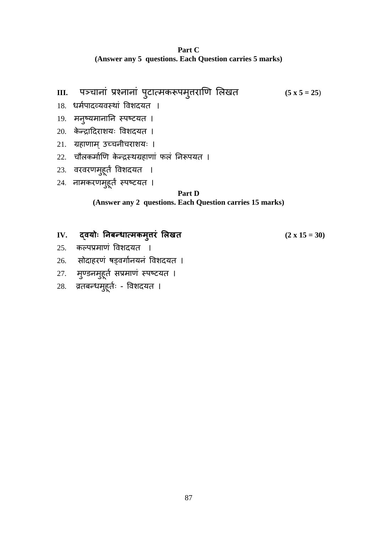- 19. मनुष्यमानानि स्पष्टयत ।
- 20. केन्द्रादिराशयः विशदयत ।
- 21. ग्रहाणाम् उच्चनीचराशयः ।
- 22. चौलकर्माणि केन्द्रस्थग्रहाणां फलं निरूपयत ।
- 23. वरवरणमुहूर्त विशदयत ।
- 24. नामकरणमुहूर्त स्पष्टयत ।

# **Part D**

### **(Answer any 2 questions. Each Question carries 15 marks)**

IV. द्**वयोः निबन्धात्मकमुत्तरं लिखत** (2 x 15 = 30)

- 25. कल्पप्रमाणं विशदयत ।
- 26. सोदाहरणं षड्वर्गानयनं विशदयत ।
- $27.$  मुण्डनमुहूर्त सप्रमाणं स्पष्टयत ।
- 28. व्रतबन्धमुहूर्तः विशदयत ।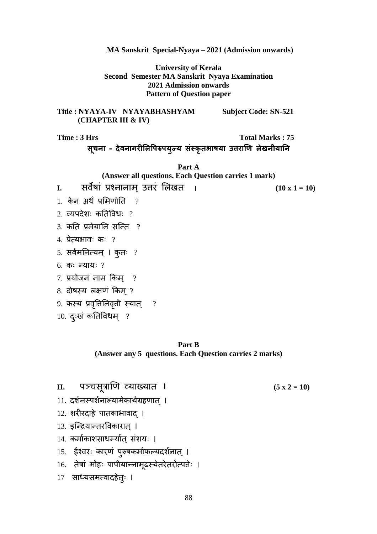### **University of Kerala Second Semester MA Sanskrit Nyaya Examination 2021 Admission onwards Pattern of Question paper**

**Title : NYAYA-IV NYAYABHASHYAM Subject Code: SN-521 (CHAPTER III & IV)** 

Time : 3 Hrs Total Marks : 75

सूचना - देवनागरीलिपिरुपयुज्य संस्कृतभाषया उत्तराणि लेखनीयानि

**Part A (Answer all questions. Each Question carries 1 mark)**

**I.** सवषां नानाम ्उरं लखत **। (10 x 1 = 10)** 

 $(5 x 2 = 10)$ 

- $1.$  केन अर्थ प्रमिणोति  $2.2$
- $2.$  व्यपदेशः कतिविधः ?
- $3.$  कति प्रमेयानि सन्ति  $2$
- $4.$  प्रेत्यभावः कः ?
- 5. सर्वमनित्यम् । कुतः ?
- $6.$  कः न्यायः ?
- $7.$  प्रयोजनं नाम किम  $\,$  ?
- $8.$  दोषस्य लक्षणं किम ?
- 9. कस्य प्रवृत्तिनिवृत्ती स्यात्  $\cdot$  ?
- $10.$  दुःखं कतिविधम् ?

**Part B (Answer any 5 questions. Each Question carries 2 marks)** 

- II. पञ्चसूत्राणि व्याख्यात ।
- 
- 11. दर्शनस्पर्शनाभ्यामेकार्थग्रहणात ।
- 12. शरीरदाहे पातकाभावाद ।
- 13. इन्द्रियान्तरविकारात ।
- 14. कर्माकाशसाधम्यात् संशयः ।
- 15. ईश्वरः कारणं पुरुषकर्माफल्यदर्शनात् ।
- 16. तेषां मोहः पापीयान्नामूढस्येतरेतरोत्पतेः ।
- 17 साध्यसमत्वादहेतुः ।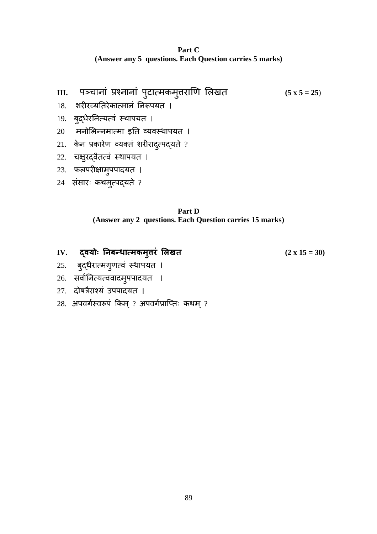- III. पञ्चानां प्रश्नानां पुटात्मकमुत्तराणि लिखत **(5 x 5 = 25**)
- 18. शरीरव्यतिरेकात्मानं निरूपयत ।
- 19. बुद्धेरनित्यत्वं स्थापयत ।
- $20$  मनोभिन्नमात्मा इति व्यवस्थापयत ।
- $21.$  केन प्रकारेण व्यक्तं शरीरादुत्पद्यते ?
- 22. चक्षुरद्वैतत्वं स्थापयत ।
- 23. फलपरीक्षामुपपादयत ।
- $24$  संसारः कथमुत्पद्यते ?

## **Part D (Answer any 2 questions. Each Question carries 15 marks)**

- IV. दवयोः निबन्धात्मकमुत्तरं लिखत **(2x 15 = 30)** 
	-
- $25.$  बुद्धैरात्मगुणत्वं स्थापयत ।
- 26. सर्वानित्यत्ववादमुपपादयत ।
- 27. दोषत्रैराश्यं उपपादयत ।
- $28.$  अपवर्गस्वरूपं किम् ? अपवर्गप्राप्तिः कथम् ?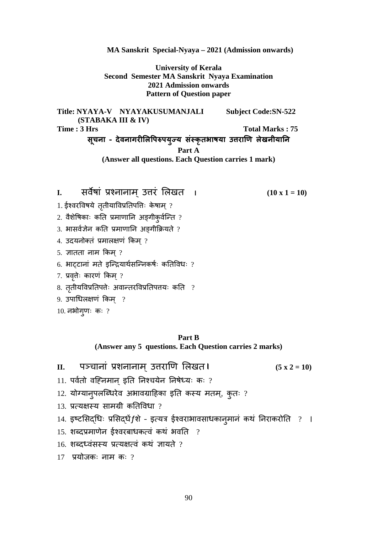### **University of Kerala Second Semester MA Sanskrit Nyaya Examination 2021 Admission onwards Pattern of Question paper**

**Title: NYAYA-V NYAYAKUSUMANJALI Subject Code:SN-522 (STABAKA III & IV) Time : 3 Hrs** Total Marks : 75 सूचना - देवनागरीलिपिरुपयुज्य संस्कृतभाषया उत्तराणि लेखनीयानि **Part A** 

**(Answer all questions. Each Question carries 1 mark)** 

**I.** सवषां नानाम उरं लखत ् **। (10 x 1 = 10)** 

- $1.$ ईश्वरविषये तृतीयाविप्रतिपतिः केषाम् ?
- $2.$  वैशेषिकाः कति प्रमाणानि अङ्गीकुर्वन्ति ?
- $3.$  भासर्वज्ञेन कति प्रमाणानि अङ्गीक्रियते ?
- $4.$  उदयनोक्तं प्रमालक्षणं किम् ?
- $5.$  ज्ञातता नाम किम  $?$
- $6.$  भाट्टानां मते इन्द्रियार्थसन्निकर्षः कतिविधः ?
- $7.$  प्रवृतेः कारणं किम्  $?$
- $8.$  तृतीयविप्रतिपत्तेः अवान्तरविप्रतिपत्तयः कति  $\,$  ?
- $9.$  उपाधिलक्षणं किम $\,$  ?
- $10.$  नभोगुणः कः ?

### **Part B (Answer any 5 questions. Each Question carries 2 marks)**

- **II.** पचानां शनानाम उराण लखत ् **\* (5 x 2 = 10)** 
	-

- $11.$  पर्वतो वहिनमान् इति निश्चयेन निषेध्यः कः ?
- $12.$  योग्यान्पलब्धिरेव अभावग्राहिका इति कस्य मतम्, क्तः ?
- $13.$  प्रत्यक्षस्य सामग्री कतिविधा ?
- $14.$  इष्टसिद्धिः प्रसिद्धें $f$ शे इत्यत्र ईश्वराभावसाधकानुमानं कथं निराकरोति ? ।
- $15.$  शब्दप्रमाणेन ईश्वरबाधकत्वं कथं भवति ?
- $16.$  शब्दध्वंसस्य प्रत्यक्षत्वं कथं ज्ञायते ?
- $17$  प्रयोजकः नाम कः ?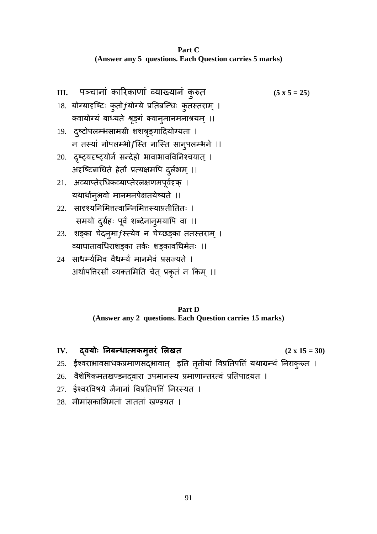**Part C (Answer any 5 questions. Each Question carries 5 marks)** 

| III.   पञ्चाना कारिकाणा व्याख्यानं कुरुत                        |
|-----------------------------------------------------------------|
| 18. योग्यादृष्टिः कृतो <i>f</i> योग्ये प्रतिबन्धिः कुतस्तराम् । |
| क्वायोग्यं बाध्यते श्रृङ्गं क्वानुमानमनाश्रयम् ।।               |
| 19. दुष्टोपलम्भसामग्री शशश्रृङ्गादियोग्यता ।                    |
| न तस्यां नोपलम्भो $f$ स्ति नास्ति सान् <b>पलम्भने</b> ॥         |
| 20.  द्रष्ट्यदृष्ट्योर्न सन्देहो भावाभावविनिश्चयात् ।           |
| अदृष्टिबाधिते हेतौ प्रत्यक्षमपि दुर्लभम् ।।                     |
| 21. अव्याप्तेरधिकव्याप्तेरलक्षणमपूर्वदृक् ।                     |
| यथार्थान्अवो मानमनपेक्षतयेष्यते ।।                              |
| २२. सादृश्यनिमित्तत्वान्निमित्तस्याप्रतीतितः ।                  |
| समयो दुर्ग्रहः पूर्वं शब्देनानुमयापि वा ।।                      |
| 23. शङ्का चेदन् <b>मा</b> fस्त्येव न चेच्छङ्का ततस्तराम् ।      |
| व्याघातावधिराशङ्का तर्कः शङ्कावधिर्मतः ।।                       |
| 24 साधर्म्यमिव वैधर्म्यं मानमेवं प्रसज्यते ।                    |
| अर्थापतिरसौ व्यक्तमिति चेत् प्रकृतं न किम् ।।                   |

IV. दवयोः निबन्धात्मकमुत्तरं लिखत **(2x 15 = 30)** 

 $(5 x 5 = 25)$ 

- 25. ईश्वराभावसाधकप्रमाणसद्भावात् इति तृतीयां विप्रतिपतिं यथाग्रन्थं निराकुरुत ।
- -<br>26. वैशेषिकमतखण्डनद्वारा उपमानस्य प्रमाणान्तरत्वं प्रतिपादयत ।
- 27. ईश्वरविषये जैनानां विप्रतिपतिं निरस्यत ।
- 28. मीमांसकाभिमतां ज्ञाततां खण्डयत ।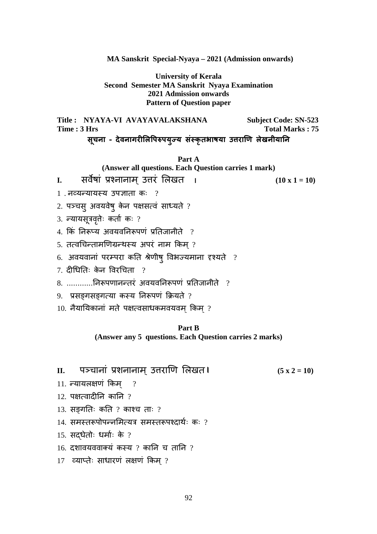**University of Kerala Second Semester MA Sanskrit Nyaya Examination 2021 Admission onwards Pattern of Question paper** 

**Title : NYAYA-VI AVAYAVALAKSHANA Subject Code: SN-523 Time : 3 Hrs** Total Marks : 75 सूचना - देवनागरीलिपिरुपयुज्य संस्कृतभाषया उत्तराणि लेखनीयानि

**Part A** 

**(Answer all questions. Each Question carries 1 mark)**

**I.** सवषां नानाम उरं लखत ् **। (10 x 1 = 10)** 

 $1$  . नव्यन्यायस्य उपज्ञाता कः ?

2. पञ्चसु अवयवेषु केन पक्षसत्वं साध्यते ?

 $3.$   $\overline{r}$ यायसूत्रवृतेः कर्ता कः ?

 $4.$  किं निरूप्य अवयवनिरूपणं प्रतिजानीते  $.2$ 

 $5.$  तत्वचिन्तामणिग्रन्थस्य अपरं नाम किम् ?

6. अवयवानां परम्परा कति श्रेणीषु विभज्यमाना दृश्यते ?

 $7.$  दीधितिः केन विरचिता ?

 $8.$  .............निरूपणानन्तरं अवयवनिरूपणं प्रतिजानीते  $2$ 

 $9.$  प्रसङ्गसङ्गत्या कस्य निरूपणं क्रियते ?

 $10.$  नैयायिकानां मते पक्षत्वसाधकमवयवम् किम् ?

**Part B (Answer any 5 questions. Each Question carries 2 marks)** 

# **II.** पचानां शनानाम उराण लखत ् **\* (5 x 2 = 10)**

 $11.$   $\overline{r}$ यायलक्षणं किम ?

 $12.$  पक्षत्वादीनि कानि ?

 $13.$  सङ्गतिः कति ? काश्च ताः ?

 $14.$  समस्तरूपोपन्नमित्यत्र समस्तरूपश्दार्थः कः ?

 $15.$  सदधेतोः धर्माः के ?

 $16.$  दशावयववाक्यं कस्य ? कानि च तानि ?

 $17$  व्याप्तेः साधारणं लक्षणं किम् ?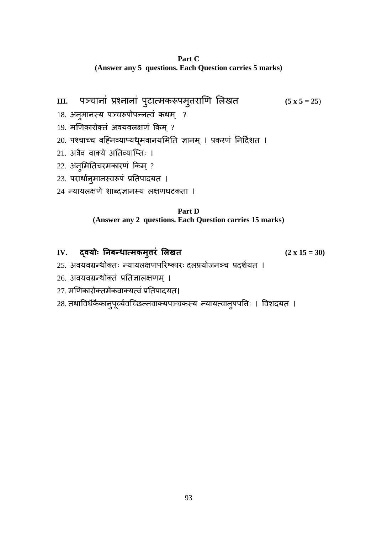III. पञ्चानां प्रश्नानां पुटात्मकरूपमुत्तराणि लिखत *(5 x 5 = 25)* 

- $18.$  अनुमानस्य पञ्चरूपोपन्नत्वं कथम्  $\,$  ?
- 19. मणिकारोक्तं अवयवलक्षणं किम् ?
- 20. पश्चाच्च वह्निव्याप्यधूमवानयमिति ज्ञानम् । प्रकरणं निर्दिशत ।
- 21. अत्रैव वाक्ये अतिव्याप्तिः ।
- $22.$  अनुमितिचरमकारणं किम् ?
- 23. परार्थानुमानस्वरूपं प्रतिपादयत ।
- 24 न्यायलक्षणे शाब्दज्ञानस्य लक्षणघटकता ।

### **Part D (Answer any 2 questions. Each Question carries 15 marks)**

IV. दवयोः निबन्धात्मकमुत्तरं लिखत **(2x 15 = 30)** 

- 25. अवयवग्रन्थोक्तः न्यायलक्षणपरिष्कारः दलप्रयोजनञ्च प्रदर्शयत ।
- 26. अवयवग्रन्थोक्तं प्रतिज्ञालक्षणम् ।
- 27. मणिकारोक्तमेकवाक्यत्वं प्रतिपादयत।
- 28. तथाविधैकैकानुपूर्व्यवच्छिन्नवाक्यपञ्चकस्य न्यायत्वानुपपतिः । विशदयत ।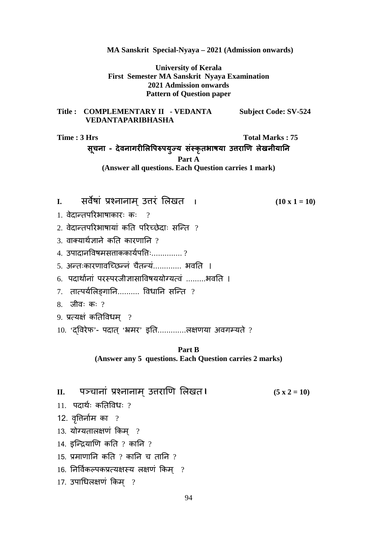### **University of Kerala First Semester MA Sanskrit Nyaya Examination 2021 Admission onwards Pattern of Question paper**

### **Title : COMPLEMENTARY II - VEDANTA Subject Code: SV-524 VEDANTAPARIBHASHA**

**Time : 3 Hrs** Total Marks : 75

सूचना - देवनागरीलिपिरुपयुज्य संस्कृतभाषया उत्तराणि लेखनीयानि **Part A (Answer all questions. Each Question carries 1 mark)** 

**I.** सवषां नानाम उरं लखत ् **। (10 x 1 = 10)** 

- 1. वेदान्तपरिभाषाकारः कः  $\frac{1}{2}$
- 2. वेदान्तपरिभाषायां कति परिच्छेदाः सन्ति ?
- $3$  वाक्यार्थजाने कति कारणानि  $2$
- $4.$  उपादानविषमसत्ताककार्यपतिः................?
- 5. अन्तःकारणावच्छिन्नं चैतन्यं............. भवति ।
- 6. पदार्थानां परस्परजीज्ञासाविषययोग्यत्वं .........भवति ।
- $7.$  तात्पर्यलिङ्गानि.......... विधानि सन्ति ?
- 8. जीवः कः ?
- 9. प्रत्यक्षं कतिविधम $\,$  ?
- $10.$  'द्विरेफ'- पदात् 'भ्रमर' इति..............लक्षणया अवगम्यते ?

### **Part B (Answer any 5 questions. Each Question carries 2 marks)**

# **II.** पचानां नानाम उराण लखत ् **\* (5 x 2 = 10)**

- $11.$  पदार्थः कतिविधः ?
- 12. वृत्तिर्नाम का  $\frac{1}{2}$
- $13.$  योग्यतालक्षणं किम $\,$  ?
- $14.$  इन्द्रियाणि कति ? कानि ?
- 15. प्रमाणानि कति ? कानि च तानि ?
- $16.$  निर्विकल्पकप्रत्यक्षस्य लक्षणं किम  $?$
- $17.$  उपाधिलक्षणं किम  $\,$  ?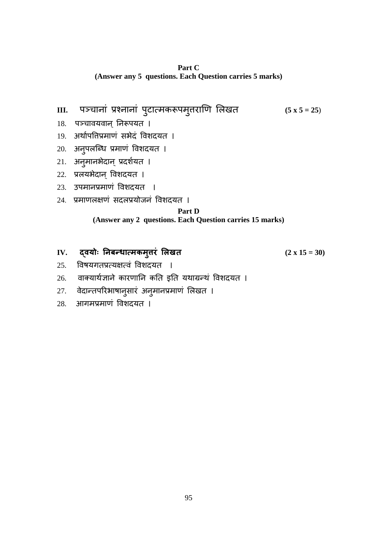III. पञ्चानां प्रश्नानां पुटात्मकरूपमुत्तराणि लिखत *(5 x 5 = 25)* 

- 18. पञ्चावयवान् निरूपयत ।
- 19. अर्थापतिप्रमाणं सभेदं विशदयत ।
- 20. अनुपलब्धि प्रमाणं विशदयत ।
- $21.$  अनुमानभेदान् प्रदर्शयत ।
- $22.$  प्रलयभैदान् विशदयत ।
- 23. उपमानप्रमाणं विशदयत ।
- 24. प्रमाणलक्षणं सदलप्रयोजनं विशदयत ।

### **Part D**

## **(Answer any 2 questions. Each Question carries 15 marks)**

- IV. दवयोः निबन्धात्मकमुत्तरं लिखत **(2x 15 = 30)** 
	-
- 25. विषयगतप्रत्यक्षत्वं विशदयत ।
- 26. वाक्यार्थज्ञाने कारणानि कति इति यथाग्रन्थं विशदयत ।
- 27. वेदान्तपरिभाषानुसारं अनुमानप्रमाणं लिखत ।
- 28. आगममाणं 0वशदयत ।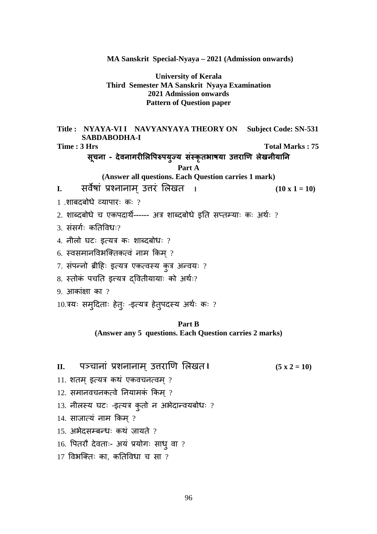### **University of Kerala Third Semester MA Sanskrit Nyaya Examination 2021 Admission onwards Pattern of Question paper**

### **Title : NYAYA-VI I NAVYANYAYA THEORY ON Subject Code: SN-531 SABDABODHA-I**

**Time : 3 Hrs** Total Marks : 75

# सूचना - देवनागरीलिपिरुपयुज्य संस्कृतभाषया उत्तराणि लेखनीयानि **Part A**

**(Answer all questions. Each Question carries 1 mark)**

**I.** सवषां नानाम उरं लखत ् **। (10 x 1 = 10)** 

- $1$  .शाबदबोधे व्यापारः कः ?
- $2.$  शाब्दबोधे च एकपदार्थ------ अत्र शाब्दबोधे इति सप्तम्याः कः अर्थः ?
- $3.$  संसर्गः कुतिविधः $2$
- $4.$  नीलो घटः इत्यत्र कः शाब्दबोधः ?
- $6.$  स्वसमानविभक्तिकत्वं नाम किम $?$
- $7.$  संपन्नो ब्रीहिः इत्यत्र एकत्वस्य कुत्र अन्वयः ?
- $8.$  स्तोकं पचति इत्यत्र दवितीयायाः को अर्थः?

 $9.$  आकांक्षा का  $?$ 

 $10.$ त्रयः समुदिताः हेतुः -इत्यत्र हेतुपदस्य अर्थः कः ?

### **Part B (Answer any 5 questions. Each Question carries 2 marks)**

# **II.** पचानां शनानाम उराण लखत ् **\* (5 x 2 = 10)**

- 11. शतम इत्यत्र कथं एकवचनत्वम ?
- $12.$  समानवचनकत्वे नियामकं किम $?$
- $13.$  नीलस्य घटः -इत्यत्र कुतो न अभेदान्वयबोधः ?
- $14.$  साजात्यं नाम किम  $?$
- $15.$  अभेदसम्बन्धः कथं जायते ?
- $16.$  पितरौ देवताः- अयं प्रयोगः साध् वा ?
- $17$  विभक्तिः का, कतिविधा च सा ?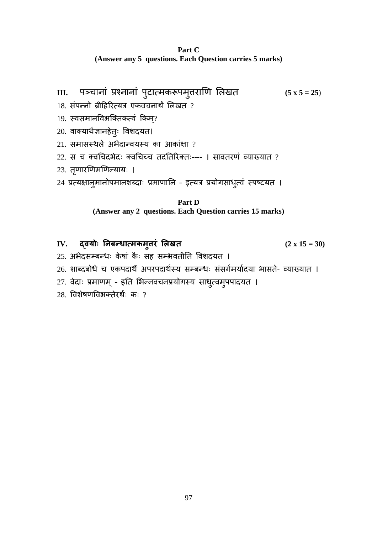III. पञ्चानां प्रश्नानां पुटात्मकरूपमुत्तराणि लिखत (5 x 5 = 25)

- $18.$  संपन्नो ब्रीहिरित्यत्र एकवचनार्थ लिखत ?
- 19. स्वसमानविभक्तिकत्वं किम?
- $20.$  वाक्यार्थज्ञानहेतुः विशदयत।
- $21.$  समासस्थले अभेदान्वयस्य का आकांक्षा ?
- $22.$  स च क्वचिदभेदः क्वचिच्च तदतिरिक्तः---- । सावतरणं व्याख्यात ?
- 23. तृणारणिमणिन्यायः ।
- 24 प्रत्यक्षानुमानोपमानशब्दाः प्रमाणानि इत्यत्र प्रयोगसाधुत्वं स्पष्टयत ।

### **Part D (Answer any 2 questions. Each Question carries 15 marks)**

IV. दवयोः निबन्धात्मकमुत्तरं लिखत **(2x 15 = 30)** 

- 25. अभेदसम्बन्धः केषां कैः सह सम्भवतीति विशदयत ।
- 26. शाब्दबोधे च एकपदार्थ अपरपदार्थस्य सम्बन्धः संसर्गमर्यादया भासते- व्याख्यात ।
- २७. वेदाः प्रमाणम् इति भिन्नवचनप्रयोगस्य साधुत्वमुपपादयत ।
- $28.$  विशेषणविभक्तेरर्थः कः ?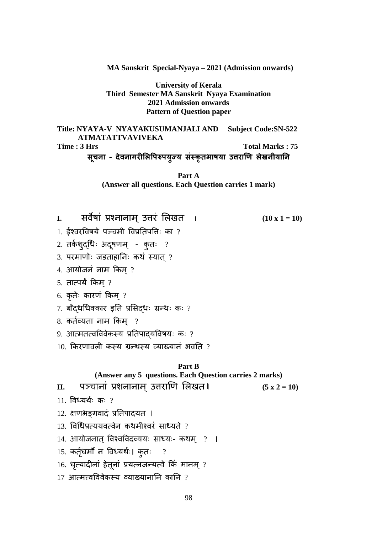**University of Kerala Third Semester MA Sanskrit Nyaya Examination 2021 Admission onwards Pattern of Question paper** 

**Title: NYAYA-V NYAYAKUSUMANJALI AND Subject Code:SN-522 ATMATATTVAVIVEKA**  Time : 3 Hrs Total Marks : 75

सूचना - देवनागरीलिपिरुपयुज्य संस्कृतभाषया उत्तराणि लेखनीयानि

**Part A (Answer all questions. Each Question carries 1 mark)** 

**I.** सवषां नानाम उरं लखत ् **। (10 x 1 = 10)** 

 $1.$ ईश्वरविषये पञ्चमी विप्रतिपतिः का ?

 $2.$  तर्कशुद्धिः अदूषणम् - कुतः ?

 $3.$  परमाणोः जडताहानिः कथं स्यात् ?

 $4.$  आयोजनं नाम किम्  $?$ 

 $5.$  तात्पर्यं किम  $?$ 

 $6.$  कृतेः कारणं किम् ?

 $7.$  बौद्धधिक्कार इति प्रसिद्धः ग्रन्थः कः ?

 $8.$  कर्तव्यता नाम किम्  $?$ 

9. आत्मतत्वविवेकस्य प्रतिपादयविषयः कः ?

 $10.$  किरणावली कस्य ग्रन्थस्य व्याख्यानं भवति ?

#### **Part B**

**(Answer any 5 questions. Each Question carries 2 marks)**

**II.** पचानां शनानाम उराण लखत ् **\* (5 x 2 = 10)** 

 $11.$  विध्यर्थः कः ?

12. क्षणभङ्गवादं प्रतिपादयत ।

 $13.$  विधिप्रत्ययवत्वेन कथमीश्वरं साध्यते ?

14. आयोजनात विश्वविदव्ययः साध्यः- कथम ? ।

15. कर्तृधर्मौ न विध्यर्थः। कुतः ?

 $16.$  धृत्यादीनां हेतूनां प्रयत्नजन्यत्वे किं मानम् ?

17 आत्मत्वविवेकस्य व्याख्यानानि कानि  $^{\eta}$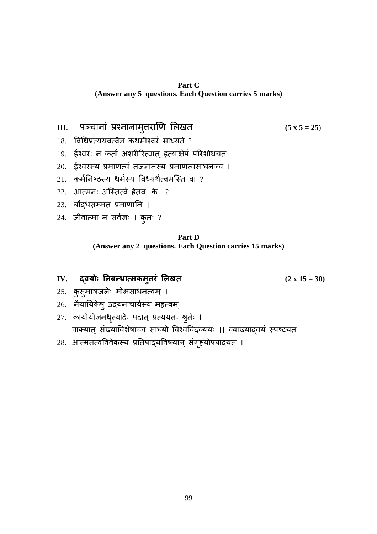# III. पञ्चानां प्रश्नानामुत्तराणि लिखत (5 x 5 = 25)

- $18.$  विधिप्रत्ययवत्वॆन कथमीश्वरं साध्यते ?
- 19. ईश्वरः न कर्ता अशरीरित्वात् इत्याक्षेपं परिशोधयत ।
- 20. ईश्वरस्य प्रमाणत्वं तज्ज्ञानस्य प्रमाणत्वसाधनञ्च ।
- $21.$  कर्मनिष्ठस्य धर्मस्य विध्यर्थत्वमस्ति वा ?
- $22.$  आत्मनः अस्तित्वे हेतवः के ?
- $23.$  बौद्धसम्मत प्रमाणानि ।
- 24. जीवात्मा न सर्वज्ञः । कुतः ?

### **Part D (Answer any 2 questions. Each Question carries 15 marks)**

# IV. दवयोः निबन्धात्मकमुत्तरं लिखत **(2x 15 = 30)**

- 25. कुसुमाञजलेः मोक्षसाधनत्वम् ।
- 26. नैयायिकेषु उदयनाचार्यस्य महत्वम् ।
- 27. कार्यायोजनधृत्यादेः पदात् प्रत्ययतः श्रुतेः । वाक्यात् संख्याविशेषाच्च साध्यो विश्वविदव्ययः ।। व्याख्याद्वयं स्पष्टयत ।
- 28. आत्मतत्वविवेकस्य प्रतिपाद्यविषयान् संगृहयोपपादयत ।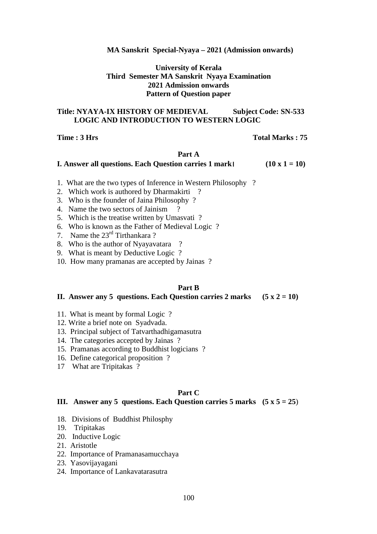### **University of Kerala Third Semester MA Sanskrit Nyaya Examination 2021 Admission onwards Pattern of Question paper**

### **Title: NYAYA-IX HISTORY OF MEDIEVAL Subject Code: SN-533 LOGIC AND INTRODUCTION TO WESTERN LOGIC**

### **Time : 3 Hrs** Total Marks : 75

#### **Part A**

### **I.** Answer all questions. Each Question carries 1 mark  $(10 \times 1 = 10)$

- 1. What are the two types of Inference in Western Philosophy ?
- 2. Which work is authored by Dharmakirti ?
- 3. Who is the founder of Jaina Philosophy ?
- 4. Name the two sectors of Jainism
- 5. Which is the treatise written by Umasvati ?
- 6. Who is known as the Father of Medieval Logic ?
- 7. Name the 23rd Tirthankara ?
- 8. Who is the author of Nyayavatara ?
- 9. What is meant by Deductive Logic ?
- 10. How many pramanas are accepted by Jainas ?

#### **Part B**

#### **II.** Answer any 5 questions. Each Question carries  $2$  marks  $(5 \times 2 = 10)$

- 11. What is meant by formal Logic ?
- 12. Write a brief note on Syadvada.
- 13. Principal subject of Tatvarthadhigamasutra
- 14. The categories accepted by Jainas ?
- 15. Pramanas according to Buddhist logicians ?
- 16. Define categorical proposition ?
- 17 What are Tripitakas ?

#### **Part C**

#### **III. Answer any 5 questions. Each Question carries 5 marks (5 x 5 = 25**)

- 18. Divisions of Buddhist Philosphy
- 19. Tripitakas
- 20. Inductive Logic
- 21. Aristotle
- 22. Importance of Pramanasamucchaya
- 23. Yasovijayagani
- 24. Importance of Lankavatarasutra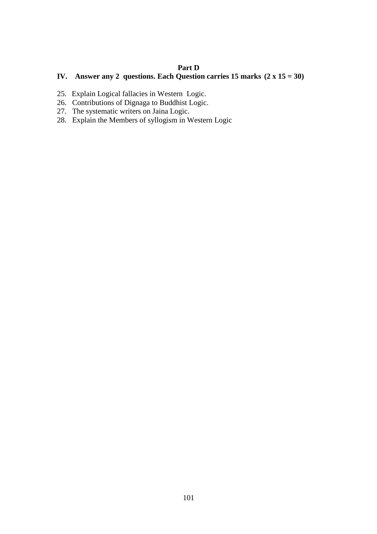### **Part D**

# **IV. Answer any 2 questions. Each Question carries 15 marks (2 x 15 = 30)**

- 25. Explain Logical fallacies in Western Logic.
- 26. Contributions of Dignaga to Buddhist Logic.
- 27. The systematic writers on Jaina Logic.
- 28. Explain the Members of syllogism in Western Logic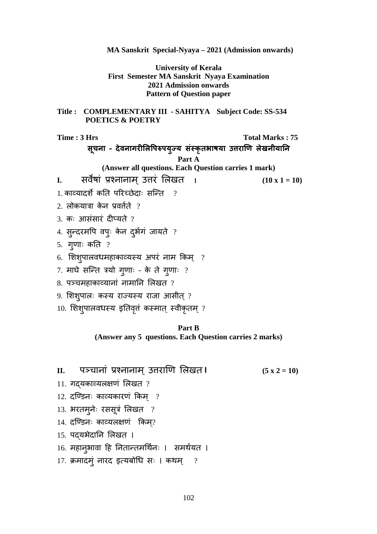**MA Sanskrit Special-Nyaya – 2021 (Admission onwards) University of Kerala First Semester MA Sanskrit Nyaya Examination 2021 Admission onwards Pattern of Question paper Title : COMPLEMENTARY III - SAHITYA Subject Code: SS-534 POETICS & POETRY Time : 3 Hrs** Total Marks : 75 सूचना - देवनागरीलिपिरुपयुज्य संस्कृतभाषया उत्तराणि लेखनीयानि **Part A (Answer all questions. Each Question carries 1 mark) I.** सवषां नानाम ्उरं लखत **। (10 x 1 = 10)**   $1.$  काव्यादर्श कति परिच्छेदाः सन्ति  $?$ 2. लोकयात्रा केन प्रवर्तते  $\overline{?}$  $3.$  कः आसंसारं दीप्यते ? 4. सुन्दरमपि वपुः केन दुर्भगं जायते ?  $5.$  गृणाः कति ? 6. शिशुपालवधमहाकाव्यस्य अपरं नाम किम् ?  $7.$  माघे सन्ति त्रयो गुणाः - के ते गुणाः ?  $8.$  पञ्चमहाकाव्यानां नामानि लिखत ?  $9.$  शिशुपालः कस्य राज्यस्य राजा आसीत् ?

 $10.$  शिशुपालवधस्य इतिवृत्तं कस्मात् स्वीकृतम् ?

### **Part B (Answer any 5 questions. Each Question carries 2 marks)**

- **II.** पचानां नानाम उराण लखत ् **\* (5 x 2 = 10)** 
	-

- $11.$  गदयकाव्यलक्षणं लिखत ?
- $12.$  दण्डिनः काव्यकारणं किम ?
- $13.$  भरतम् $\vec{a}$ : रससूत्रं लिखत ?
- $14.$  दण्डिनः काव्यलक्षणं किम?
- 15. पद्यभेदानि लिखत ।
- 16. महानुभावा हि नितान्तमर्थिनः । समर्थयत ।
- 17. क्रमादमुं नारद इत्यबोधि सः । कथम् ?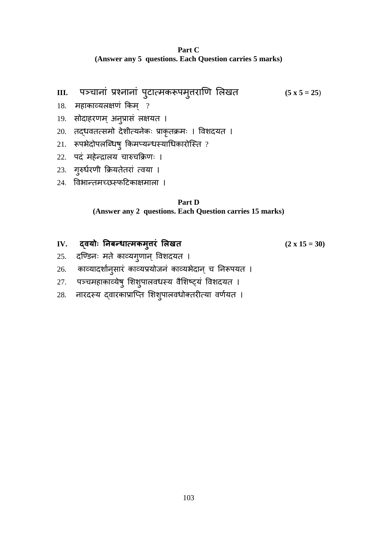III. पञ्चानां प्रश्नानां पुटात्मकरूपमुत्तराणि लिखत (5 x 5 = 25)

- $18.$  महाकाव्यलक्षणं किम् ?
- 19. सोदाहरणम् अनुप्रासं लक्षयत ।
- 20. तद्धवतत्समो देशीत्यनेकः प्राकृतक्रमः । विशदयत ।
- $21.$  रूपभेदोपलब्धिषु किमप्यन्धस्याधिकारोस्ति ?
- 22. पदं महेन्द्रालय चारुचक्रिणः ।
- 23. गुरुर्धरणी क्रियतेतरां त्वया ।
- 24. विभान्तमच्छरूफटिकाक्षमाला ।

### **Part D (Answer any 2 questions. Each Question carries 15 marks)**

IV. दवयोः निबन्धात्मकमुत्तरं लिखत **(2x 15 = 30)** 

- $25.$  दण्डिनः मते काव्यगुणान् विशदयत ।
- 26. काव्यादर्शानुसारं काव्यप्रयोजनं काव्यभेदान् च निरूपयत ।
- 27. पञ्चमहाकाव्येषु शिशुपालवधस्य वैशिष्ट्यं विशदयत ।
- 28. नारदस्य द्वारकाप्राप्ति शिशुपालवधोक्तरीत्या वर्णयत ।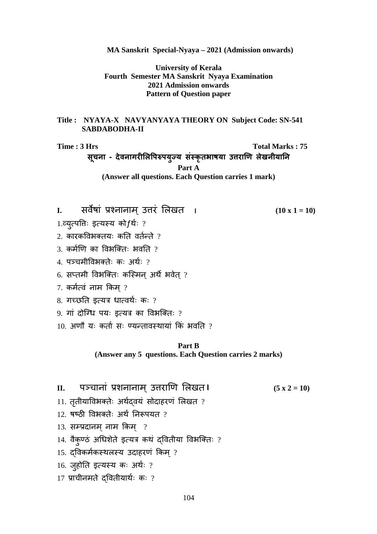### **University of Kerala Fourth Semester MA Sanskrit Nyaya Examination 2021 Admission onwards Pattern of Question paper**

### **Title : NYAYA-X NAVYANYAYA THEORY ON Subject Code: SN-541 SABDABODHA-II**

**Time : 3 Hrs** Total Marks : 75 सूचना - देवनागरीलिपिरुपयुज्य संस्कृतभाषया उत्तराणि लेखनीयानि **Part A (Answer all questions. Each Question carries 1 mark)** 

**I.** सवषां नानाम उरं लखत ् **। (10 x 1 = 10)** 

 $1.$ व्यृत्पतिः इत्यस्य को $f$ र्थः ?

- $2.$  कारकविभक्तयः कति वर्तन्ते ?
- $3.$  कर्मणि का विभक्तिः भवति  $2$
- $4.$  पञ्चमीविभक्तेः कः अर्थः ?
- $6.$  सप्तमी विभक्तिः कस्मिन अर्थ भवेत् ?
- $7.$  कर्मत्वं नाम किम $?$
- $8.$  गच्छति इत्यत्र धात्वर्थः कः ?
- $9.$  गां दोग्धि पयः इत्यत्र का विभक्तिः ?
- $10.$  अणौ यः कर्ता सः ण्यन्तावस्थायां किं भवति ?

### **Part B (Answer any 5 questions. Each Question carries 2 marks)**

# **II.** पचानां शनानाम उराण लखत ् **\* (5 x 2 = 10)**

 $11.$  तृतीयाविभक्तेः अर्थदवयं सोदाहरणं लिखत ?

- $12.$  षष्ठी विभक्तेः अर्थं निरूपयत ?
- $13.$  सम्प्रदानम नाम किम  $?$
- $14.$  वैकुण्ठं अधिशेते इत्यत्र कथं दवितीया विभक्तिः ?
- $15.$  दविकर्मकस्थलस्य उदाहरणं किम् ?

 $16.$  जुहोति इत्यस्य कः अर्थः ?

 $17$  प्राचीनमते दवितीयार्थः कः ?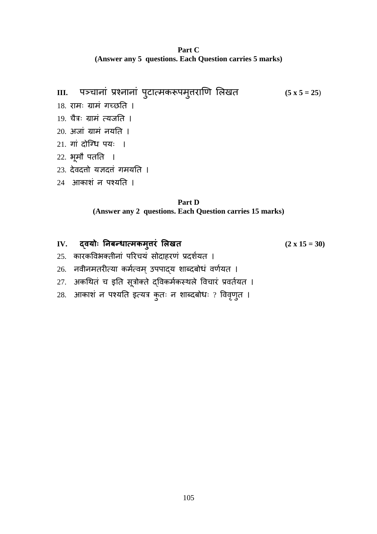**Part C (Answer any 5 questions. Each Question carries 5 marks)** 

**III.** पचानां नानां पटामकपम ु राण लखत ु **(5 x 5 = 25**)

- $18.$  रामः ग्रामं गच्छति ।
- $19.$  चैत्रः ग्रामं त्यजति ।
- $20.$  अजां ग्रामं नयति ।
- $21.$  गां दोग्धि पयः ।
- 22. भूमौ पतति ।
- 23. देवदत्तो यज्ञदत्तं गमयति ।
- $24$  आकाशं न पश्यति ।

- IV. द्वयोः निबन्धात्मकमुत्तरं लिखत **(2x 15 = 30)** 
	-
- 25. कारकविभक्तीनां परिचयं सोदाहरणं प्रदर्शयत ।
- 26. नवीनमतरीत्या कर्मत्वम् उपपाद्य शाब्दबोधं वर्णयत ।
- 27. अकथितं च इति सूत्रोक्ते द्विकर्मकस्थले विचारं प्रवर्तयत ।
- 28. आकाशं न पश्यति इत्यत्र कुतः न शाब्दबोधः ? विवृणुत ।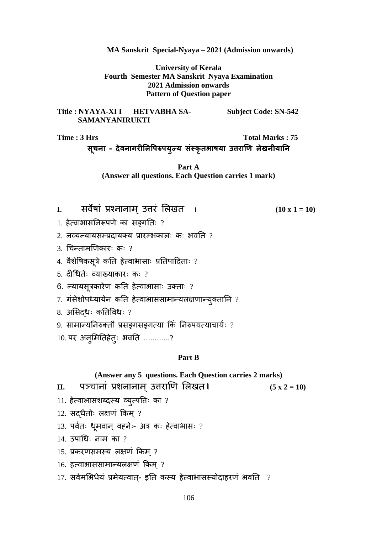### **University of Kerala Fourth Semester MA Sanskrit Nyaya Examination 2021 Admission onwards Pattern of Question paper**

**Title : NYAYA-XI I HETVABHA SA- Subject Code: SN-542 SAMANYANIRUKTI** 

**Time : 3 Hrs** Total Marks : 75

सूचना - देवनागरीलिपिरुपयुज्य संस्कृतभाषया उत्तराणि लेखनीयानि

**Part A (Answer all questions. Each Question carries 1 mark)** 

- **I.** सवषां नानाम उरं लखत ् **। (10 x 1 = 10)**
- $1.$  हेत्वाभासनिरूपणे का सङ्गतिः ?
- $2.$  नव्यन्यायसम्प्रदायक्य प्रारम्भकालः कः भवति ?
- $3.$  चिन्तामणिकारः कः  $9.$
- 4. वैशेषिकसूत्रे कति हेत्वाभासाः प्रतिपादिताः ?
- 5. दीधितेः व्याख्याकारः कः ?
- 6. न्यायसूत्रकारेण कति हेत्वाभासाः उक्ताः ?
- $7.$  गंसेशोपध्यायेन कति हेत्वाभाससामान्यलक्षणान्युक्तानि ?
- $8.$  असिदधः कतिविधः ?
- $9.$  सामान्यनिरुक्तौ प्रसङ्गसङ्गत्या किं निरुपयत्याचार्यः ?
- $10.$  पर अनुमितिहेतुः भवति ............?

### **Part B**

#### **(Answer any 5 questions. Each Question carries 2 marks)**

**II.** पचानां शनानाम उराण लखत ् **\* (5 x 2 = 10)** 

- $11.$  हेत्वाभासशब्दस्य व्युत्पतिः का ?
- $12.$  सदधेतोः लक्षणं किम् ?
- 13. पर्वतः धूमवान् वहनेः- अत्र कः हेत्वाभासः ?
- $14.$  उपाधिः नाम का ?
- $15.$  प्रकरणसमस्य लक्षणं किम् ?
- $16.$  हत्वाभाससामान्यलक्षणं किम् ?
- $17.$  सर्वमभिधेयं प्रमेयत्वात्- इति कस्य हेत्वाभासस्योदाहरणं भवति ?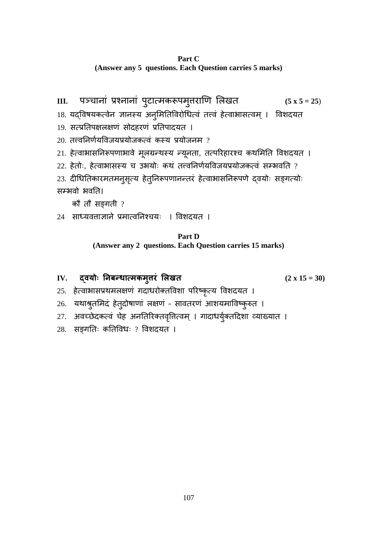III. पञ्चानां प्रश्नानां पुटात्मकरूपमुत्तराणि लिखत **(5 x 5 = 25**)

18. यद्विषयकत्वेन ज्ञानस्य अनुमितिविरोधित्वं तत्त्वं हेत्वाभासत्वम् । विशदयत

- 19. सत्प्रतिपक्षलक्षणं सोदहरणं प्रतिपादयत ।
- $20.$  तत्त्वनिर्णयविजयप्रयोजकत्वं कस्य प्रयोजनम $?$
- 21. हेत्वाभासनिरूपणाभावे मूलग्रन्थस्य न्यूनता, तत्परिहारश्च कथमिति विशदयत ।
- $22.$  हेतोः, हेत्वाभासस्य च उभयोः कथं तत्त्वनिर्णयविजयप्रयोजकत्वं सम्भवति ?

कौ $\overrightarrow{d}$  तौ सङ़गती ?

24 साध्यवताज्ञाने प्रमात्वनिश्चयः । विशदयत ।

### **Part D (Answer any 2 questions. Each Question carries 15 marks)**

# IV. दवयोः निबन्धात्मकमुत्तरं लिखत **(2x 15 = 30)**

- 25. हेत्वाभासप्रथमलक्षणं गदाधरोक्तविशा परिष्कृत्य विशदयत ।
- 26. यथाश्रुतमिदं हेतुदोषाणां लक्षणं सावतरणं आशयमाविष्कुरुत ।
- 27. अवच्छेदकत्वं चेह अनतिरिक्तवृत्तित्वम् । गादाधर्युक्तदिशा व्याख्यात ।
- 28. सङ्गतिः कतिविधः ? विशदयत ।

<sup>23.</sup> दीधितिकारमतमनुसृत्य हेतुनिरूपणानन्तरं हेत्वाभासनिरूपणे द्वयोः सङ्गत्योः सम्भवो भवति।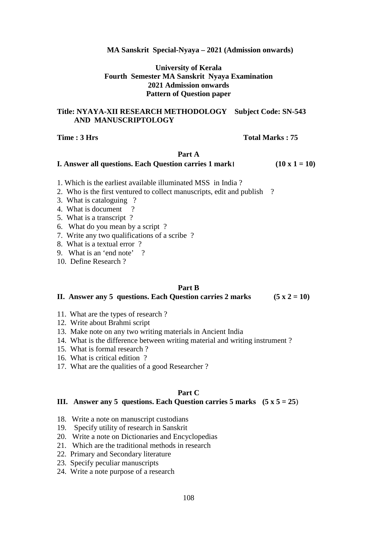### **University of Kerala Fourth Semester MA Sanskrit Nyaya Examination 2021 Admission onwards Pattern of Question paper**

### **Title: NYAYA-XII RESEARCH METHODOLOGY Subject Code: SN-543 AND MANUSCRIPTOLOGY**

### **Time : 3 Hrs** Total Marks : 75

#### **Part A**

### **I.** Answer all questions. Each Question carries  $1 \text{ mark}$  (10 x  $1 = 10$ )

- 1. Which is the earliest available illuminated MSS in India ?
- 2. Who is the first ventured to collect manuscripts, edit and publish ?
- 3. What is cataloguing ?
- 4. What is document ?
- 5. What is a transcript ?
- 6. What do you mean by a script ?
- 7. Write any two qualifications of a scribe ?
- 8. What is a textual error ?
- 9. What is an 'end note' ?
- 10. Define Research ?

### **Part B**

### **II.** Answer any 5 questions. Each Question carries 2 marks  $(5 \times 2 = 10)$

- 11. What are the types of research ?
- 12. Write about Brahmi script
- 13. Make note on any two writing materials in Ancient India
- 14. What is the difference between writing material and writing instrument ?
- 15. What is formal research ?
- 16. What is critical edition ?
- 17. What are the qualities of a good Researcher ?

#### **Part C**

#### **III. Answer any 5 questions. Each Question carries 5 marks (5 x 5 = 25**)

- 18. Write a note on manuscript custodians
- 19. Specify utility of research in Sanskrit
- 20. Write a note on Dictionaries and Encyclopedias
- 21. Which are the traditional methods in research
- 22. Primary and Secondary literature
- 23. Specify peculiar manuscripts
- 24. Write a note purpose of a research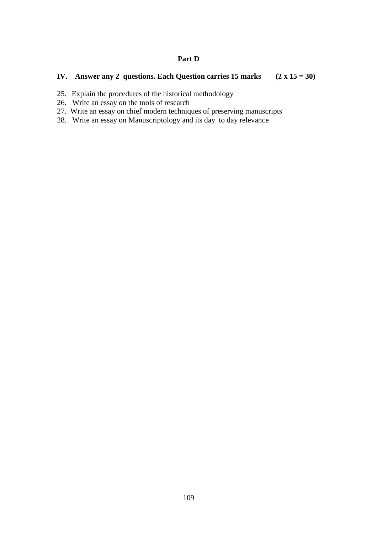### **Part D**

# **IV.** Answer any 2 questions. Each Question carries 15 marks (2 x 15 = 30)

- 25. Explain the procedures of the historical methodology
- 26. Write an essay on the tools of research
- 27. Write an essay on chief modern techniques of preserving manuscripts
- 28. Write an essay on Manuscriptology and its day to day relevance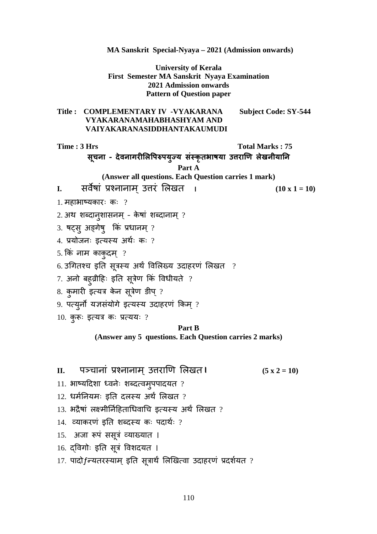**MA Sanskrit Special-Nyaya – 2021 (Admission onwards)** 

**University of Kerala First Semester MA Sanskrit Nyaya Examination 2021 Admission onwards Pattern of Question paper** 

### **Title : COMPLEMENTARY IV -VYAKARANA Subject Code: SY-544 VYAKARANAMAHABHASHYAM AND VAIYAKARANASIDDHANTAKAUMUDI**

Time : 3 Hrs Total Marks : 75 सूचना - देवनागरीलिपिरुपयुज्य संस्कृतभाषया उत्तराणि लेखनीयानि **Part A (Answer all questions. Each Question carries 1 mark) I.** सवषां नानाम उरं लखत ् **। (10 x 1 = 10)** 

- $1.$  महाभाष्यकारः कः ?
- $2.$  अथ शब्दानुशासनम् केषां शब्दानाम् ?
- $3.$  षट्स् अङ्गेषु किं प्रधानम् ?
- $4.$  प्रयोजनः इत्यस्य अर्थः कः ?
- $5.$  किं नाम काकुदम्  $?$
- 6. उगितश्च इति सूत्रस्य अर्थं विलिख्य उदाहरणं लिखत ?
- $7.$  अनो बह़्व्रीहिः इति सूत्रेण किं विधीयते ?
- 8. कुमारी इत्यत्र केन सूत्रेण डीप् ?
- $9.$  पत्युर्नो यज्ञसंयोगे इत्यस्य उदाहरणं किम् ?
- $10.$  कुरूः इत्यत्र कः प्रत्ययः ?

# **Part B**

**(Answer any 5 questions. Each Question carries 2 marks)** 

- **II.** पचानां नानाम उराण लखत ् **\* (5 x 2 = 10)** 
	-

- $11.$  भाष्यदिशा ध्वनेः शब्दत्वम्पपादयत ?
- $12.$  धर्मनियमः इति दलस्य अर्थं लिखत ?
- $13.$  भद्रैषां लक्ष्मीर्निहिताधिवाचि इत्यस्य अर्थं लिखत ?
- $14.$  व्याकरणं इति शब्दस्य कः पदार्थः ?
- 15. अजा रूपं ससूत्रं व्याख्यात ।
- 16. द्विगोः इति सूत्रं विशदयत ।
- 17. पादो $f$ न्यतरस्याम् इति सूत्रार्थं लिखित्वा उदाहरणं प्रदर्शयत ?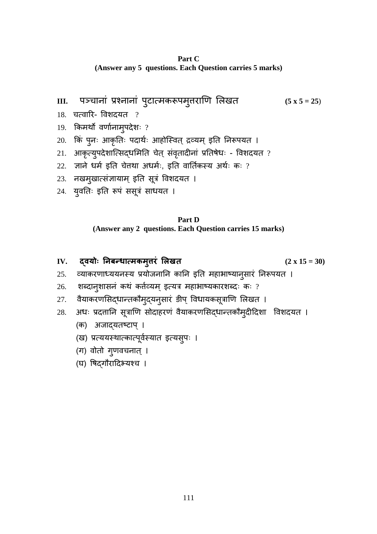# **Part C (Answer any 5 questions. Each Question carries 5 marks)**

III. पञ्चानां प्रश्नानां पुटात्मकरूपमुत्तराणि लिखत **(5 x 5 = 25**)

- $18.$  चत्वारि- विशदयत ?
- $19.$  किमर्थो वर्णानामुपदेशः ?
- 20. किं पुनः आकृतिः पदार्थः आहोस्वित् द्रव्यम् इति निरूपयत ।
- 21. आकृत्युपदेशात्सिद्धमिति चेत् संवृतादीनां प्रतिषेधः विशदयत ?
- $22.$  ज्ञाने धर्म इति चेतथा अधर्मः, इति वार्तिकस्य अर्थः कः ?
- 23. नखमुखात्संज्ञायाम् इति सूत्रं विशदयत ।
- 24. युवतिः इति रूपं ससूत्रं साधयत ।

### **Part D (Answer any 2 questions. Each Question carries 15 marks)**

# IV. दवयोः निबन्धात्मकमुत्तरं लिखत **adda (2x 15 = 30)**

- 25. व्याकरणाध्ययनस्य प्रयोजनानि कानि इति महाभाष्यानुसारं निरूपयत ।
- 26. शब्दानुशासनं कथं कर्तत्यम् इत्यत्र महाभाष्यकारशब्दः कः ?
- 27. वैयाकरणसिद्धान्तकौमुद्यनुसारं ङीप् विधायकसूत्राणि लिखत ।
- 28. अधः प्रदत्तानि सूत्राणि सोदाहरणं वैयाकरणसिद्धान्तकौमुदीदिशा विशदयत ।
	- (क) अजादयतष्टाप् ।
	- (ख) प्रत्ययस्थात्कात्पूर्वस्यात इत्यसुपः ।
	- (ग) वोतो गुणवचनात् ।
	- (घ) षिदगौरादिभ्यश्च ।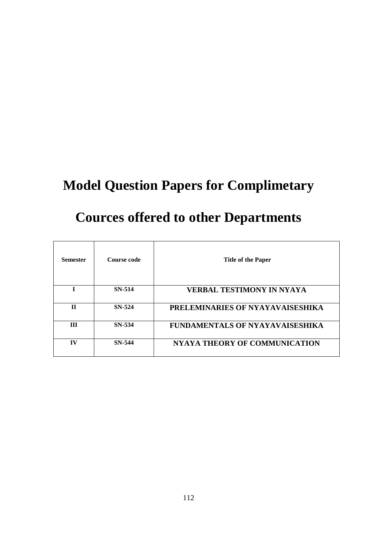# **Model Question Papers for Complimetary**

# **Cources offered to other Departments**

| <b>Semester</b> | Course code   | <b>Title of the Paper</b>              |
|-----------------|---------------|----------------------------------------|
| T               | <b>SN-514</b> | VERBAL TESTIMONY IN NYAYA              |
| $\mathbf{H}$    | SN-524        | PRELEMINARIES OF NYAYAVAISESHIKA       |
| Ш               | SN-534        | <b>FUNDAMENTALS OF NYAYAVAISESHIKA</b> |
| IV              | <b>SN-544</b> | <b>NYAYA THEORY OF COMMUNICATION</b>   |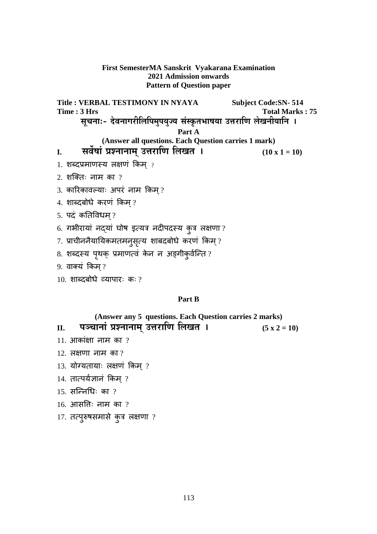### **First SemesterMA Sanskrit Vyakarana Examination 2021 Admission onwards Pattern of Question paper**

**Title : VERBAL TESTIMONY IN NYAYA Subject Code:SN- 514 Time : 3 Hrs** Total Marks : 75 सूचनाः- देवनागरीलिपिमुपयुज्य संस्कृतभाषया उत्तराणि लेखनीयानि । **Part A (Answer all questions. Each Question carries 1 mark)** I. सर्वेषां प्रश्नानाम् उत्तराणि लिखत<sup>1</sup> 1. शब्दप्रमाणस्य लक्षणं किम ?  $2.$  शक्तिः नाम का ?  $3.$  कारिकावल्याः अपरं नाम किम् ?  $4.$  शाब्दबोधे करणं किम्?  $5.$  पदं कतिविधम् ? 6. गभीरायां नद्यां घोष इत्यत्र नदीपदस्य कुत्र लक्षणा ?  $7.$  प्राचीननैयायिकमतमनुसृत्य शाबदबोधे करणं किम् ? 8. शब्दस्य पृथक् प्रमाणत्वं केन न अङ्गीकुर्वन्ति ?  $9.$  वाक्यं किम $?$  $10.$  शाब्दबोधे व्यापारः कः ?

### **Part B**

|     | (Answer any 5 questions. Each Question carries 2 marks) |                     |
|-----|---------------------------------------------------------|---------------------|
| II. | पञ्चानां प्रश्नानाम् उत्तराणि लिखत <sup>ं</sup> ।       | $(5 \times 2 = 10)$ |
|     | $11.$ आकाक्षा नाम का ?                                  |                     |
|     | $12.$ लक्षणा नाम का?                                    |                     |
|     | $13.$ योग्यतायाः लक्षणं किम् ?                          |                     |
|     | $14.$ तात्पर्यज्ञानं किम् ?                             |                     |
|     | $15.$ सन्निधिः का ?                                     |                     |
|     | $16.$ आसतिः नाम का ?                                    |                     |
|     | $17.$ तत्पुरुषसमासे कुत्र लक्षणा ?                      |                     |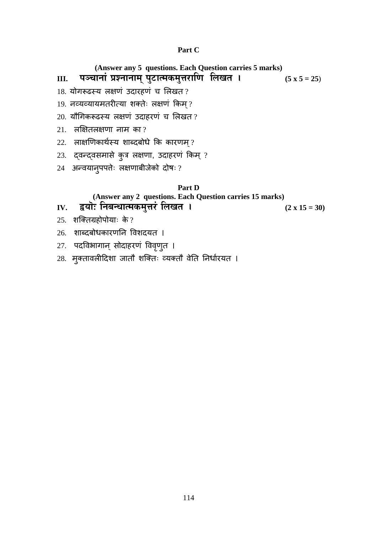# **Part C**

|      | (Answer any 5 questions. Each Question carries 5 marks)                                                                                                                                                                                                                                                                                                                              |                      |
|------|--------------------------------------------------------------------------------------------------------------------------------------------------------------------------------------------------------------------------------------------------------------------------------------------------------------------------------------------------------------------------------------|----------------------|
| III. | पञ्चानां प्रश्नानाम् पुटात्मकमुत्तराणि लिखत ।                                                                                                                                                                                                                                                                                                                                        | $(5 x 5 = 25)$       |
|      | $18.$ योगरूढस्य लक्षणं उदारहणं च लिखत?                                                                                                                                                                                                                                                                                                                                               |                      |
|      | 19. नव्यव्यायमतरीत्या शक्तेः लक्षणं किम्?                                                                                                                                                                                                                                                                                                                                            |                      |
|      | $20.$ यौगिकरूढस्य लक्षणं उदाहरणं च लिखत ?                                                                                                                                                                                                                                                                                                                                            |                      |
|      | $21.$ र्लाक्षेतलक्षणा नाम का ?                                                                                                                                                                                                                                                                                                                                                       |                      |
|      | 22. लाक्षणिकार्थस्य शाब्दबोधे कि कारणम्?                                                                                                                                                                                                                                                                                                                                             |                      |
|      | 23. दवन्दवसमासे कुत्र लक्षणा, उदाहरणं किम् ?                                                                                                                                                                                                                                                                                                                                         |                      |
|      | $24$ अन्वयान्पपतेः लक्षणाबीजेको दोषः?                                                                                                                                                                                                                                                                                                                                                |                      |
|      | Part D                                                                                                                                                                                                                                                                                                                                                                               |                      |
|      | (Answer any 2 questions. Each Question carries 15 marks)                                                                                                                                                                                                                                                                                                                             |                      |
|      | <u>IV. द्वयॊः निबन्धात्मकमुत्तरं लिखत ।</u>                                                                                                                                                                                                                                                                                                                                          | $(2 \times 15 = 30)$ |
|      | $\overline{a}$ $\overline{a}$ $\overline{a}$ $\overline{a}$ $\overline{a}$ $\overline{a}$ $\overline{a}$ $\overline{a}$ $\overline{a}$ $\overline{a}$ $\overline{a}$ $\overline{a}$ $\overline{a}$ $\overline{a}$ $\overline{a}$ $\overline{a}$ $\overline{a}$ $\overline{a}$ $\overline{a}$ $\overline{a}$ $\overline{a}$ $\overline{a}$ $\overline{a}$ $\overline{a}$ $\overline{$ |                      |

- $25.$  शक्तिग्रहोपोयाः के ?
- 26. शाब्दबोधकारणनि विशदयत ।
- 27. पदविभागान् सोदाहरणं विवृणुत ।
- 28. मुक्तावलीदिशा जातौ शक्तिः व्यक्तौ वेति निर्धारयत ।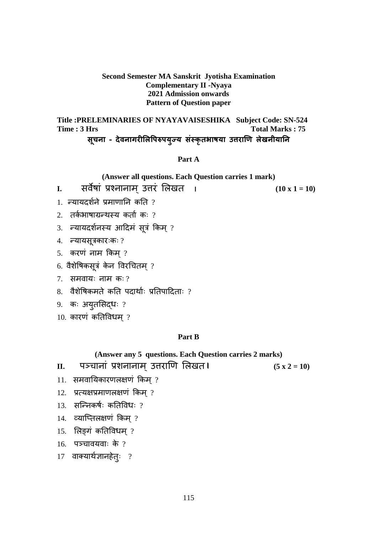**Second Semester MA Sanskrit Jyotisha Examination Complementary II -Nyaya 2021 Admission onwards Pattern of Question paper** 

**Title :PRELEMINARIES OF NYAYAVAISESHIKA Subject Code: SN-524**  Time : 3 Hrs Total Marks : 75 सूचना - देवनागरीलिपिरुपयुज्य संस्कृतभाषया उत्तराणि लेखनीयानि

### **Part A**

**(Answer all questions. Each Question carries 1 mark)**

**I.** सवषां नानाम उरं लखत ् **। (10 x 1 = 10)** 

- $1.$   $\bar{r}$ यायदर्शने प्रमाणानि कति ?
- $2.$  तर्कभाषाग्रन्थस्य कर्ता कः ?
- $3.$  न्यायदर्शनस्य आदिमं सूत्रं किम् ?
- 4. न्यायसूत्रकारःकः ?
- $5.$  करणं नाम किम् ?
- $6.$  वैशेषिकसूत्रं केन विरचितम् ?
- 7. समवायः नाम कः ?
- $8.$  वैशेषिकमते कति पदार्थाः प्रतिपादिताः ?
- 9. कः अयुतसिद्धः ?
- $10.$  कारणं कतिविधम $?$

### **Part B**

### **(Answer any 5 questions. Each Question carries 2 marks)**

**II.** पचानां शनानाम उराण लखत ् **\* (5 x 2 = 10)** 

- $11.$  समवायिकारणलक्षणं किम् ?
- $12.$  प्रत्यक्षप्रमाणलक्षणं किम $?$
- $13.$  सन्निकर्षः कतिविधः ?
- $14.$   $\overline{\text{ca}}$ ाप्तिलक्षणं किम ?
- $15.$  लिङ्गं कतिविधम $?$
- $16.$  पञ्चावयवाः के ?
- $17$  वाक्यार्थज्ञानहेतुः ?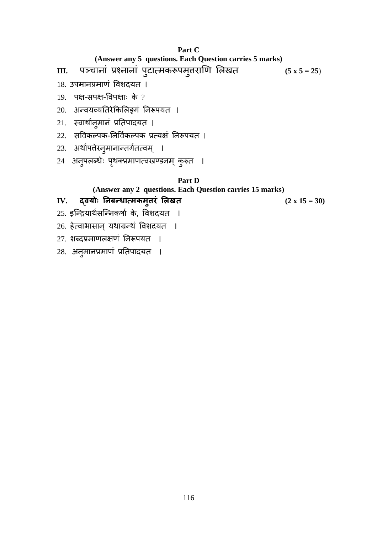## **Part C (Answer any 5 questions. Each Question carries 5 marks)**

- III. पञ्चानां प्रश्नानां पुटात्मकरूपमुत्तराणि लिखत *(5 x 5 = 25)*
- 18. उपमानप्रमाणं विशदयत ।
- $19.$  पक्ष-सपक्ष-विपक्षाः के ?
- 20. अन्वयव्यतिरेकिलिङ्गं निरूपयत ।
- 21. स्वार्थानुमानं प्रतिपादयत ।
- 22. सविकल्पक-निर्विकल्पक प्रत्यक्षं निरूपयत ।
- $23.$  अर्थापत्तेरनुमानान्तर्गतत्वम् ।
- 24 अनुपलब्धेः पृथक्प्रमाणत्वखण्डनम् कुरुत ।

# **Part D**

# **(Answer any 2 questions. Each Question carries 15 marks)**

IV. दवयोः निबन्धात्मकमुत्तरं लिखत **(2x 15 = 30)** 

- 25. इन्द्रियार्थसन्निकर्षा के, विशदयत । 26. हेत्वाभासान् यथाग्रन्थं विशदयत ।
- 27. शब्दप्रमाणलक्षणं निरूपयत ।
- 28. अनुमानप्रमाणं प्रतिपादयत ।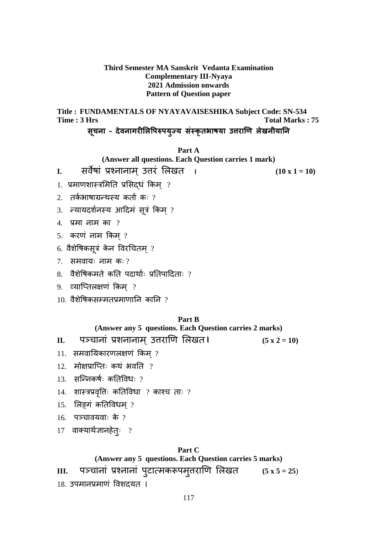### **Third Semester MA Sanskrit Vedanta Examination Complementary III-Nyaya 2021 Admission onwards Pattern of Question paper**

**Title : FUNDAMENTALS OF NYAYAVAISESHIKA Subject Code: SN-534 Time : 3 Hrs** Total Marks : 75

# सूचना - देवनागरीलिपिरुपयुज्य संस्कृतभाषया उत्तराणि लेखनीयानि

**Part A** 

**(Answer all questions. Each Question carries 1 mark)**

**I.** सवषां नानाम उरं लखत ् **। (10 x 1 = 10)** 

- $1.$  प्रमाणशास्त्रमिति प्रसिद्धं किम् ?
- $2.$  तर्कभाषाग्रन्थस्य कर्ता कः ?
- $3.$  न्यायदर्शनस्य आदिमं सूत्रं किम् ?
- $4.$  प्रमा नाम का  $?$
- $5.$  करणं नाम किम ?
- $6.$  वैशेषिकसूत्रं केन विरचितम् ?
- $7.$  समवायः नाम कः  $?$
- $8.$  वैशेषिकमते कति पदार्थाः प्रतिपादिताः ?
- $9.$  व्याप्तिलक्षणं किम $?$
- $10<sub>10</sub>$  वैशेषिकसम्मतप्रमाणानि कानि ?

### **Part B**

### **(Answer any 5 questions. Each Question carries 2 marks)**

- **II.** पचानां शनानाम उराण लखत ् **\* (5 x 2 = 10)**
- $11.$  समवायिकारणलक्षणं किम् ?
- 12. मोक्षप्राप्तिः कथं भवति  $\theta$
- $13.$  सन्निकर्षः कतिविधः  $?$
- $14.$  शास्त्रप्रवृतिः कतिविधा ? काश्च ताः ?
- $15.$  लिङ्गं कतिविधम् ?
- 16. पचावयवाः के ?
- $17$  वाक्यार्थज्ञानहेतुः ?

### **Part C**

### **(Answer any 5 questions. Each Question carries 5 marks)**

III. पञ्चानां प्रश्नानां पुटात्मकरूपमुत्तराणि लिखत (5 x 5 = 25) 18. उपमानप्रमाणं विशदयत ।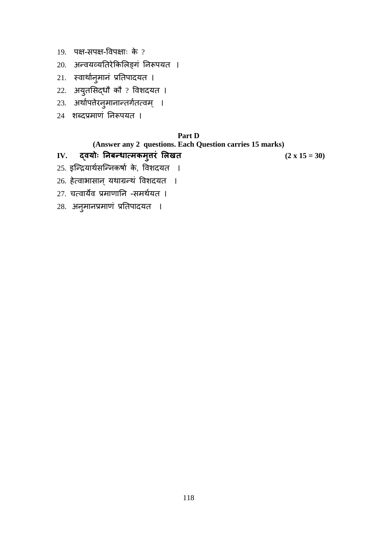- $19.$  पक्ष-सपक्ष-विपक्षाः के ?
- 20. अन्वयव्यतिरेकिलिङ्गं निरूपयत ।
- 21. स्वार्थानुमानं प्रतिपादयत ।
- 22. अयुतसिद्धौ कौ ? विशदयत ।
- 23. अर्थापत्तेरनुमानान्तर्गतत्वम् ।
- 24 शब्दप्रमाणं निरूपयत ।

# **Part D**

# **(Answer any 2 questions. Each Question carries 15 marks)**

IV. दवयोः निबन्धात्मकमुत्तरं लिखत **(2x 15 = 30)** 

- 25. इन्द्रियार्थसन्निकर्षा के, विशदयत ।
- 26. हेत्वाभासान् यथाग्रन्थं विशदयत ।
- $27.$  चत्वार्येव प्रमाणानि -समर्थयत ।
- 28. अनुमानप्रमाणं प्रतिपादयत ।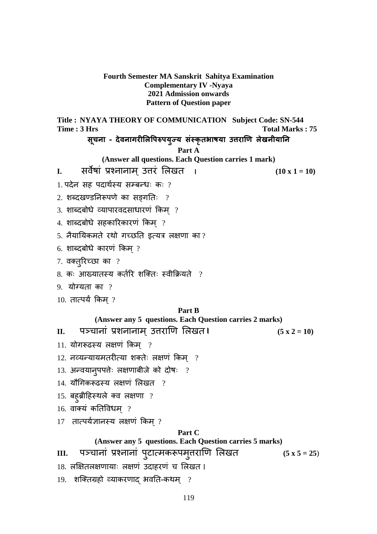**Fourth Semester MA Sanskrit Sahitya Examination Complementary IV -Nyaya 2021 Admission onwards Pattern of Question paper** 

**Title : NYAYA THEORY OF COMMUNICATION Subject Code: SN-544 Time : 3 Hrs** Total Marks : 75

# सूचना - देवनागरीलिपिरुपयुज्य संस्कृतभाषया उत्तराणि लेखनीयानि

**Part A** 

- **(Answer all questions. Each Question carries 1 mark)**
- **I.** सवषां नानाम उरं लखत ् **। (10 x 1 = 10)**

- $1.$  पदेन सह पदार्थस्य सम्बन्धः कः ?
- $2.$  शब्दखण्डनिरूपणे का सङ्गतिः ?
- 3. शाब्दबोधे व्यापारवदसाधारणं किम ?
- $4.$  शाब्दबोधे सहकारिकारणं किम् ?
- 5. नैयायिकमते रथो गच्छति इत्यत्र लक्षणा का ?
- $6.$  शाब्दबोधे कारणं किम् ?
- $7.$  वक्त् $\mathcal{R}$ च्छा का ?
- $8.$  कः आख्यातस्य कर्तरि शक्तिः स्वीक्रियते  $\overline{?}$
- $9.$  योग्यता का  $?$
- $10.$  तात्पर्य किम ?

#### **Part B**

### **(Answer any 5 questions. Each Question carries 2 marks)**

- **II.** पचानां शनानाम उराण लखत ् **\* (5 x 2 = 10)**
- $11.$  योगरूढस्य लक्षणं किम ?
- $12.$  नव्यन्यायमतरीत्या शक्तेः लक्षणं किम् ?
- $13.$  अन्वयानुपपतेः लक्षणाबीजे को दोषः ?
- $14.$  यौगिकरूढस्य लक्षणं लिखत $?$
- 15. बहुब्रीहिस्थले क्व लक्षणा ?
- $16.$  वाक्यं कतिविधम $?$
- $17$  तात्पर्यज्ञानस्य लक्षणं किम $?$

#### **Part C**

# **(Answer any 5 questions. Each Question carries 5 marks)**

<u>III. पञ्चानां प्रश्नानां पुटात्मकरूपमु</u>त्तराणि लिखत (5 x 5 = 25)

- 18. लक्षितलक्षणायाः लक्षणं उदाहरणं च लिखत ।
- $19.$  शक्तिग्रहो व्याकरणाद भवति-कथम् ?